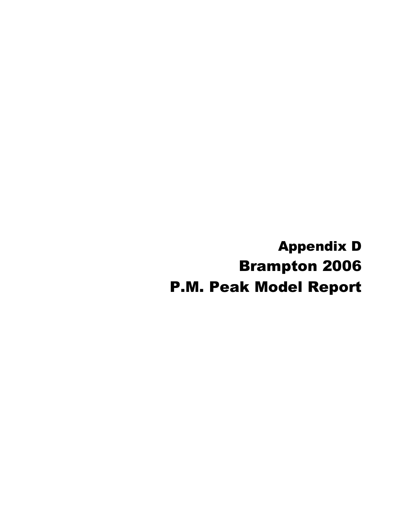Appendix D Brampton 2006 P.M. Peak Model Report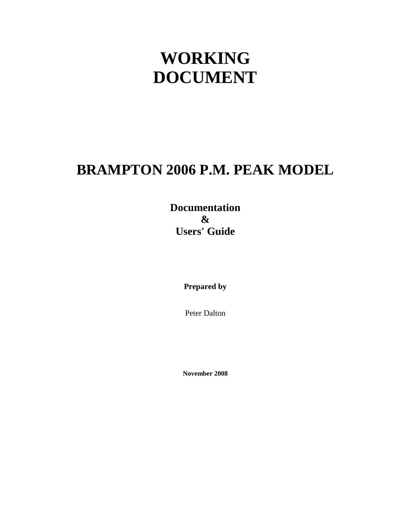# **WORKING DOCUMENT**

# **BRAMPTON 2006 P.M. PEAK MODEL**

**Documentation & Users' Guide**

**Prepared by**

Peter Dalton

**November 2008**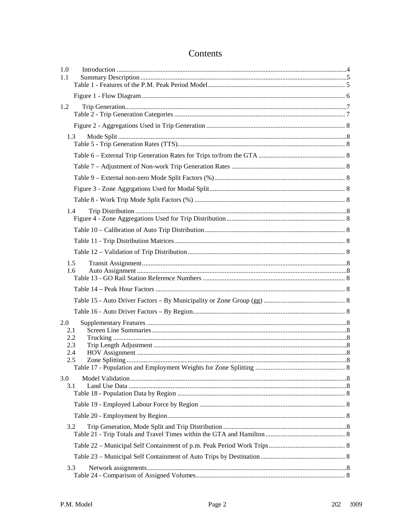| 1.0<br>1.1 |     |  |
|------------|-----|--|
|            |     |  |
| 1.2        |     |  |
|            |     |  |
|            | 1.3 |  |
|            |     |  |
|            |     |  |
|            |     |  |
|            |     |  |
|            |     |  |
| 1.4        |     |  |
|            |     |  |
|            |     |  |
|            |     |  |
| 1.5<br>1.6 |     |  |
|            |     |  |
|            |     |  |
|            |     |  |
| 2.0<br>2.1 |     |  |
| 2.2<br>2.3 |     |  |
| 2.4        |     |  |
| 2.5        |     |  |
| 3.0<br>3.1 |     |  |
|            |     |  |
|            |     |  |
|            |     |  |
| 3.2        |     |  |
|            |     |  |
|            |     |  |
| 3.3        |     |  |

# Contents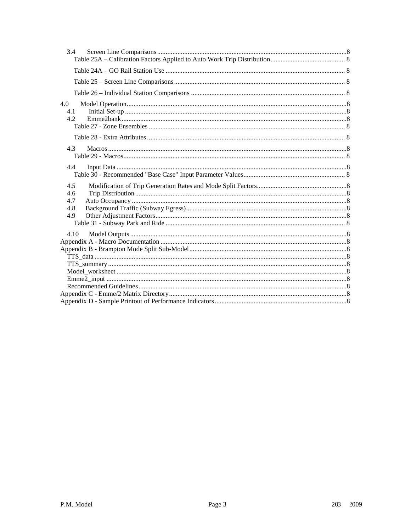| 3.4               |  |
|-------------------|--|
|                   |  |
|                   |  |
|                   |  |
| 4.0<br>4.1<br>4.2 |  |
|                   |  |
| 4.3               |  |
| 4.4               |  |
| 4.5               |  |
| 4.6               |  |
| 4.7               |  |
| 4.8               |  |
| 4.9               |  |
|                   |  |
| 4.10              |  |
|                   |  |
|                   |  |
|                   |  |
|                   |  |
|                   |  |
|                   |  |
|                   |  |
|                   |  |
|                   |  |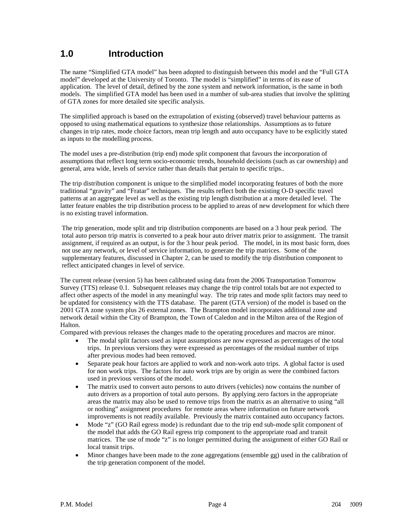# **1.0 Introduction**

The name "Simplified GTA model" has been adopted to distinguish between this model and the "Full GTA model" developed at the University of Toronto. The model is "simplified" in terms of its ease of application. The level of detail, defined by the zone system and network information, is the same in both models. The simplified GTA model has been used in a number of sub-area studies that involve the splitting of GTA zones for more detailed site specific analysis.

The simplified approach is based on the extrapolation of existing (observed) travel behaviour patterns as opposed to using mathematical equations to synthesize those relationships. Assumptions as to future changes in trip rates, mode choice factors, mean trip length and auto occupancy have to be explicitly stated as inputs to the modelling process.

The model uses a pre-distribution (trip end) mode split component that favours the incorporation of assumptions that reflect long term socio-economic trends, household decisions (such as car ownership) and general, area wide, levels of service rather than details that pertain to specific trips..

The trip distribution component is unique to the simplified model incorporating features of both the more traditional "gravity" and "Fratar" techniques. The results reflect both the existing O-D specific travel patterns at an aggregate level as well as the existing trip length distribution at a more detailed level. The latter feature enables the trip distribution process to be applied to areas of new development for which there is no existing travel information.

The trip generation, mode split and trip distribution components are based on a 3 hour peak period. The total auto person trip matrix is converted to a peak hour auto driver matrix prior to assignment. The transit assignment, if required as an output, is for the 3 hour peak period. The model, in its most basic form, does not use any network, or level of service information, to generate the trip matrices. Some of the supplementary features, discussed in Chapter 2, can be used to modify the trip distribution component to reflect anticipated changes in level of service.

The current release (version 5) has been calibrated using data from the 2006 Transportation Tomorrow Survey (TTS) release 0.1. Subsequent releases may change the trip control totals but are not expected to affect other aspects of the model in any meaningful way. The trip rates and mode split factors may need to be updated for consistency with the TTS database. The parent (GTA version) of the model is based on the 2001 GTA zone system plus 26 external zones. The Brampton model incorporates additional zone and network detail within the City of Brampton, the Town of Caledon and in the Milton area of the Region of Halton.

Compared with previous releases the changes made to the operating procedures and macros are minor.

- The modal split factors used as input assumptions are now expressed as percentages of the total trips. In previous versions they were expressed as percentages of the residual number of trips after previous modes had been removed.
- Separate peak hour factors are applied to work and non-work auto trips. A global factor is used for non work trips. The factors for auto work trips are by origin as were the combined factors used in previous versions of the model.
- The matrix used to convert auto persons to auto drivers (vehicles) now contains the number of auto drivers as a proportion of total auto persons. By applying zero factors in the appropriate areas the matrix may also be used to remove trips from the matrix as an alternative to using "all or nothing" assignment procedures for remote areas where information on future network improvements is not readily available. Previously the matrix contained auto occupancy factors.
- Mode "z" (GO Rail egress mode) is redundant due to the trip end sub-mode split component of the model that adds the GO Rail egress trip component to the appropriate road and transit matrices. The use of mode "z" is no longer permitted during the assignment of either GO Rail or local transit trips.
- Minor changes have been made to the zone aggregations (ensemble gg) used in the calibration of the trip generation component of the model.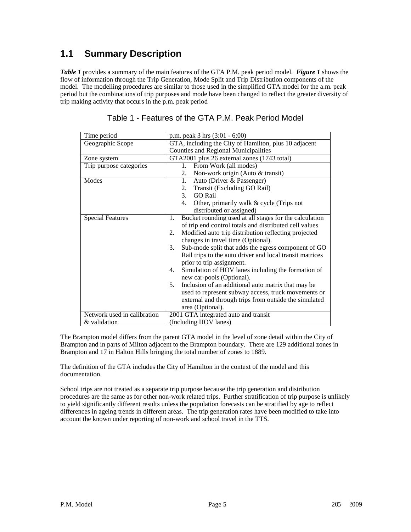# **1.1 Summary Description**

*Table 1* provides a summary of the main features of the GTA P.M. peak period model. *Figure 1* shows the flow of information through the Trip Generation, Mode Split and Trip Distribution components of the model. The modelling procedures are similar to those used in the simplified GTA model for the a.m. peak period but the combinations of trip purposes and mode have been changed to reflect the greater diversity of trip making activity that occurs in the p.m. peak period

| Time period                 | p.m. peak $3 \text{ hrs } (3:01 - 6:00)$                     |  |  |  |  |  |  |
|-----------------------------|--------------------------------------------------------------|--|--|--|--|--|--|
| Geographic Scope            | GTA, including the City of Hamilton, plus 10 adjacent        |  |  |  |  |  |  |
|                             | <b>Counties and Regional Municipalities</b>                  |  |  |  |  |  |  |
| Zone system                 | GTA2001 plus 26 external zones (1743 total)                  |  |  |  |  |  |  |
| Trip purpose categories     | From Work (all modes)<br>$1_{\cdot}$                         |  |  |  |  |  |  |
|                             | 2.<br>Non-work origin (Auto & transit)                       |  |  |  |  |  |  |
| Modes                       | 1.<br>Auto (Driver & Passenger)                              |  |  |  |  |  |  |
|                             | Transit (Excluding GO Rail)<br>2.                            |  |  |  |  |  |  |
|                             | 3.<br><b>GO Rail</b>                                         |  |  |  |  |  |  |
|                             | Other, primarily walk & cycle (Trips not<br>4.               |  |  |  |  |  |  |
|                             | distributed or assigned)                                     |  |  |  |  |  |  |
| <b>Special Features</b>     | Bucket rounding used at all stages for the calculation<br>1. |  |  |  |  |  |  |
|                             | of trip end control totals and distributed cell values       |  |  |  |  |  |  |
|                             | Modified auto trip distribution reflecting projected<br>2.   |  |  |  |  |  |  |
|                             | changes in travel time (Optional).                           |  |  |  |  |  |  |
|                             | Sub-mode split that adds the egress component of GO<br>3.    |  |  |  |  |  |  |
|                             | Rail trips to the auto driver and local transit matrices     |  |  |  |  |  |  |
|                             | prior to trip assignment.                                    |  |  |  |  |  |  |
|                             | Simulation of HOV lanes including the formation of<br>4.     |  |  |  |  |  |  |
|                             | new car-pools (Optional).                                    |  |  |  |  |  |  |
|                             | Inclusion of an additional auto matrix that may be<br>5.     |  |  |  |  |  |  |
|                             | used to represent subway access, truck movements or          |  |  |  |  |  |  |
|                             | external and through trips from outside the simulated        |  |  |  |  |  |  |
|                             | area (Optional).                                             |  |  |  |  |  |  |
| Network used in calibration | 2001 GTA integrated auto and transit                         |  |  |  |  |  |  |
| & validation                | (Including HOV lanes)                                        |  |  |  |  |  |  |

#### Table 1 - Features of the GTA P.M. Peak Period Model

The Brampton model differs from the parent GTA model in the level of zone detail within the City of Brampton and in parts of Milton adjacent to the Brampton boundary. There are 129 additional zones in Brampton and 17 in Halton Hills bringing the total number of zones to 1889.

The definition of the GTA includes the City of Hamilton in the context of the model and this documentation.

School trips are not treated as a separate trip purpose because the trip generation and distribution procedures are the same as for other non-work related trips. Further stratification of trip purpose is unlikely to yield significantly different results unless the population forecasts can be stratified by age to reflect differences in ageing trends in different areas. The trip generation rates have been modified to take into account the known under reporting of non-work and school travel in the TTS.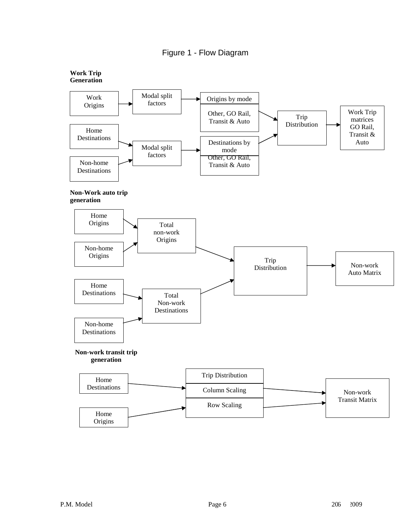

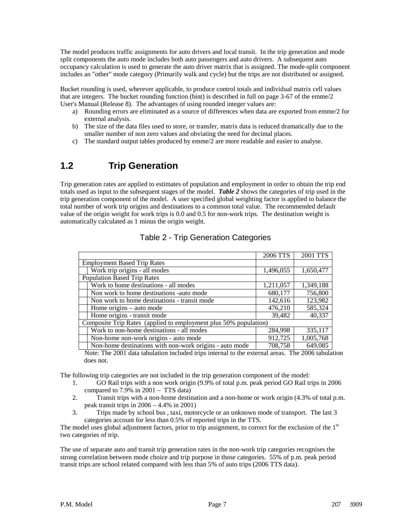The model produces traffic assignments for auto drivers and local transit. In the trip generation and mode split components the auto mode includes both auto passengers and auto drivers. A subsequent auto occupancy calculation is used to generate the auto driver matrix that is assigned. The mode-split component includes an "other" mode category (Primarily walk and cycle) but the trips are not distributed or assigned.

Bucket rounding is used, wherever applicable, to produce control totals and individual matrix cell values that are integers. The bucket rounding function (bint) is described in full on page 3-67 of the emme/2 User's Manual (Release 8). The advantages of using rounded integer values are:

- a) Rounding errors are eliminated as a source of differences when data are exported from emme/2 for external analysis.
- b) The size of the data files used to store, or transfer, matrix data is reduced dramatically due to the smaller number of non zero values and obviating the need for decimal places.
- c) The standard output tables produced by emme/2 are more readable and easier to analyse.

# **1.2 Trip Generation**

Trip generation rates are applied to estimates of population and employment in order to obtain the trip end totals used as input to the subsequent stages of the model. *Table 2* shows the categories of trip used in the trip generation component of the model. A user specified global weighting factor is applied to balance the total number of work trip origins and destinations to a common total value. The recommended default value of the origin weight for work trips is 0.0 and 0.5 for non-work trips. The destination weight is automatically calculated as 1 minus the origin weight.

|                                                                  | 2006 TTS  | 2001 TTS  |
|------------------------------------------------------------------|-----------|-----------|
| <b>Employment Based Trip Rates</b>                               |           |           |
| Work trip origins - all modes                                    | 1,496,055 | 1,650,477 |
| <b>Population Based Trip Rates</b>                               |           |           |
| Work to home destinations - all modes                            | 1,211,057 | 1,349,188 |
| Non work to home destinations -auto mode                         | 680,177   | 756,800   |
| Non work to home destinations - transit mode                     | 142,616   | 123,982   |
| Home origins – auto mode                                         | 476,210   | 585,324   |
| Home origins - transit mode                                      | 39,482    | 40,337    |
| Composite Trip Rates (applied to employment plus 50% population) |           |           |
| Work to non-home destinations - all modes                        | 284,998   | 335,117   |
| Non-home non-work origins - auto mode                            | 912,725   | 1,005,768 |
| Non-home destinations with non-work origins - auto mode          | 708,758   | 649,085   |

| Table 2 - Trip Generation Categories |  |  |
|--------------------------------------|--|--|
|--------------------------------------|--|--|

Note: The 2001 data tabulation included trips internal to the external areas. The 2006 tabulation does not.

The following trip categories are not included in the trip generation component of the model:

- 1. GO Rail trips with a non work origin (9.9% of total p.m. peak period GO Rail trips in 2006 compared to  $7.9\%$  in  $2001 - TTS$  data)
- 2. Transit trips with a non-home destination and a non-home or work origin (4.3% of total p.m. peak transit trips in  $2006 - 4.4\%$  in  $2001$ )
- 3. Trips made by school bus , taxi, motorcycle or an unknown mode of transport. The last 3 categories account for less than 0.5% of reported trips in the TTS.

The model uses global adjustment factors, prior to trip assignment, to correct for the exclusion of the  $1<sup>st</sup>$ two categories of trip.

The use of separate auto and transit trip generation rates in the non-work trip categories recognises the strong correlation between mode choice and trip purpose in those categories. 55% of p.m. peak period transit trips are school related compared with less than 5% of auto trips (2006 TTS data).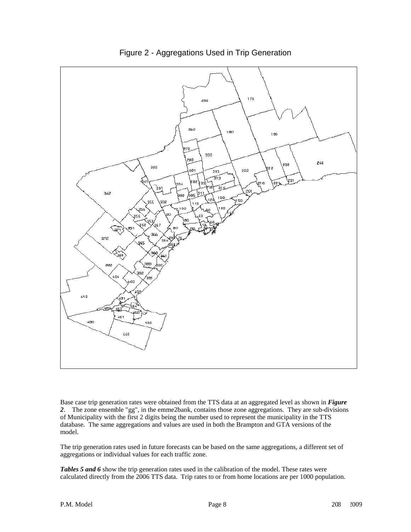

Base case trip generation rates were obtained from the TTS data at an aggregated level as shown in *Figure 2*. The zone ensemble "gg", in the emme2bank, contains those zone aggregations. They are sub-divisions of Municipality with the first 2 digits being the number used to represent the municipality in the TTS database. The same aggregations and values are used in both the Brampton and GTA versions of the model.

The trip generation rates used in future forecasts can be based on the same aggregations, a different set of aggregations or individual values for each traffic zone.

**Tables 5 and 6** show the trip generation rates used in the calibration of the model. These rates were calculated directly from the 2006 TTS data. Trip rates to or from home locations are per 1000 population.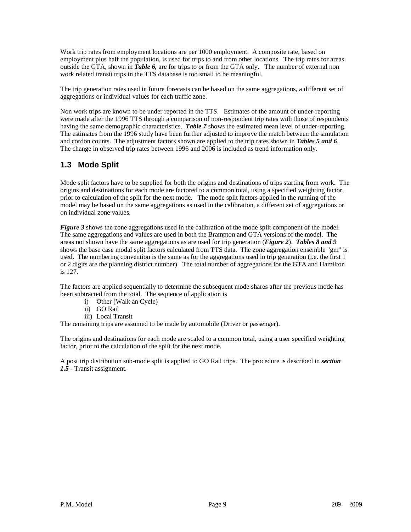Work trip rates from employment locations are per 1000 employment. A composite rate, based on employment plus half the population, is used for trips to and from other locations. The trip rates for areas outside the GTA, shown in *Table 6,* are for trips to or from the GTA only. The number of external non work related transit trips in the TTS database is too small to be meaningful.

The trip generation rates used in future forecasts can be based on the same aggregations, a different set of aggregations or individual values for each traffic zone.

Non work trips are known to be under reported in the TTS. Estimates of the amount of under-reporting were made after the 1996 TTS through a comparison of non-respondent trip rates with those of respondents having the same demographic characteristics. *Table 7* shows the estimated mean level of under-reporting. The estimates from the 1996 study have been further adjusted to improve the match between the simulation and cordon counts. The adjustment factors shown are applied to the trip rates shown in *Tables 5 and 6*. The change in observed trip rates between 1996 and 2006 is included as trend information only.

# **1.3 Mode Split**

Mode split factors have to be supplied for both the origins and destinations of trips starting from work. The origins and destinations for each mode are factored to a common total, using a specified weighting factor, prior to calculation of the split for the next mode. The mode split factors applied in the running of the model may be based on the same aggregations as used in the calibration, a different set of aggregations or on individual zone values.

*Figure 3* shows the zone aggregations used in the calibration of the mode split component of the model. The same aggregations and values are used in both the Brampton and GTA versions of the model. The areas not shown have the same aggregations as are used for trip generation (*Figure 2*). *Tables 8 and 9* shows the base case modal split factors calculated from TTS data. The zone aggregation ensemble "gm" is used. The numbering convention is the same as for the aggregations used in trip generation (i.e. the first 1 or 2 digits are the planning district number). The total number of aggregations for the GTA and Hamilton is 127.

The factors are applied sequentially to determine the subsequent mode shares after the previous mode has been subtracted from the total. The sequence of application is

- i) Other (Walk an Cycle)
- ii) GO Rail
- iii) Local Transit

The remaining trips are assumed to be made by automobile (Driver or passenger).

The origins and destinations for each mode are scaled to a common total, using a user specified weighting factor, prior to the calculation of the split for the next mode.

A post trip distribution sub-mode split is applied to GO Rail trips. The procedure is described in *section 1.5* - Transit assignment.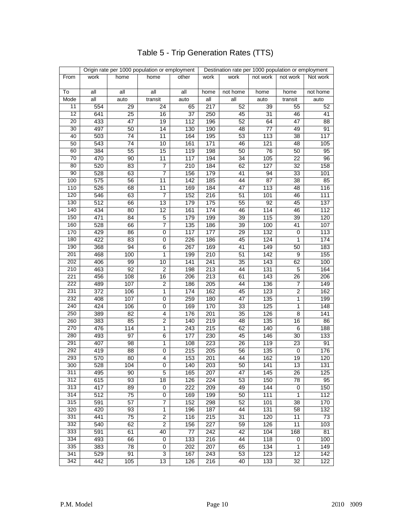|                  | Origin rate per 1000 population or employment<br>Destination rate per 1000 population or employment |                 |                |                  |                  |                 |          |                 |          |
|------------------|-----------------------------------------------------------------------------------------------------|-----------------|----------------|------------------|------------------|-----------------|----------|-----------------|----------|
| From             | work                                                                                                | home            | home           | other            | work             | work            | not work | not work        | Not work |
| To               | all                                                                                                 | all             | all            | all              | home             | not home        | home     | home            | not home |
| Mode             | all                                                                                                 | auto            | transit        | auto             | all              | all             | auto     | transit         | auto     |
| 11               | 554                                                                                                 | 29              | 24             | 65               | 217              | 52              | 39       | 55              | 52       |
| 12               | 641                                                                                                 | 25              | 16             | 37               | 250              | 45              | 31       | 46              | 41       |
| 20               | 433                                                                                                 | 47              | 19             | 112              | 196              | 52              | 64       | 47              | 88       |
| 30               | 497                                                                                                 | 50              | 14             | 130              | 190              | 48              | 77       | 49              | 91       |
| 40               | 503                                                                                                 | 74              | 11             | 164              | 195              | 53              | 113      | 38              | 117      |
| 50               | 543                                                                                                 | 74              | 10             | 161              | 171              | 46              | 121      | 48              | 105      |
| 60               | 384                                                                                                 | 55              | 15             | 119              | 198              | 50              | 76       | 50              | 95       |
| $\overline{70}$  | 470                                                                                                 | 90              | 11             | 117              | 194              | 34              | 105      | 22              | 96       |
| 80               | 520                                                                                                 | 83              | $\overline{7}$ | 210              | 184              | 62              | 127      | $\overline{32}$ | 158      |
| 90               | 528                                                                                                 | 63              | $\overline{7}$ | 156              | 179              | 41              | 94       | 33              | 101      |
| 100              | 575                                                                                                 | $\overline{56}$ | 11             | $\overline{142}$ | 185              | $\overline{44}$ | 87       | 38              | 85       |
| 110              | 526                                                                                                 | 68              | 11             | 169              | 184              | 47              | 113      | 48              | 116      |
| 120              | 546                                                                                                 | 63              | 7              | 152              | 216              | 51              | 101      | 46              | 111      |
| $\overline{130}$ | 512                                                                                                 | 66              | 13             | 179              | 175              | 55              | 92       | 45              | 137      |
| 140              | 434                                                                                                 | 80              | 12             | 161              | 174              | 46              | 114      | 46              | 112      |
| 150              | 471                                                                                                 | 84              | 5              | 179              | 199              | 39              | 115      | 39              | 120      |
| 160              | 528                                                                                                 | 66              | 7              | 135              | 186              | 39              | 100      | 41              | 107      |
| 170              | 429                                                                                                 | 86              | 0              | 117              | 177              | 29              | 132      | 0               | 113      |
| 180              | 422                                                                                                 | 83              | 0              | 226              | 186              | 45              | 124      | 1               | 174      |
| 190              | 368                                                                                                 | 94              | 6              | 267              | 169              | 41              | 149      | 50              | 183      |
| 201              | 468                                                                                                 | 100             | 1              | 199              | 210              | 51              | 142      | 9               | 155      |
| 202              | 406                                                                                                 | 99              | 10             | 141              | 241              | 35              | 143      | 62              | 100      |
| 210              | 463                                                                                                 | 92              | $\overline{2}$ | 198              | 213              | 44              | 131      | 5               | 164      |
| 221              | 456                                                                                                 | 108             | 16             | 206              | 213              | 61              | 143      | 26              | 206      |
| 222              | 489                                                                                                 | 107             | $\overline{2}$ | 186              | 205              | 44              | 136      | 7               | 149      |
| 231              | 372                                                                                                 | 106             | 1              | 174              | 162              | 45              | 123      | $\overline{2}$  | 162      |
| 232              | 408                                                                                                 | 107             | 0              | 259              | 180              | $\overline{47}$ | 135      | $\mathbf{1}$    | 199      |
| 240              | 424                                                                                                 | 106             | 0              | 169              | 170              | 33              | 125      | 1               | 148      |
| 250              | 389                                                                                                 | $\overline{82}$ | 4              | 176              | 201              | $\overline{35}$ | 126      | 8               | 141      |
| 260              | 383                                                                                                 | 85              | $\overline{2}$ | 140              | 219              | 48              | 135      | 16              | 86       |
| 270              | 476                                                                                                 | 114             | 1              | 243              | 215              | 62              | 140      | 6               | 188      |
| 280              | 493                                                                                                 | 97              | 6              | 177              | 230              | 45              | 146      | 30              | 133      |
| 291              | 407                                                                                                 | 98              | 1              | 108              | 223              | $\overline{26}$ | 119      | 23              | 91       |
| 292              | 419                                                                                                 | $\overline{88}$ | 0              | $\overline{215}$ | 205              | 56              | 135      | 0               | 176      |
| 293              | 570                                                                                                 | 80              | 4              | 153              | 201              | 44              | 162      | 19              | 120      |
| 300              | 528                                                                                                 | 104             | 0              | 140              | 203              | 50              | 141      | 13              | 131      |
| 311              | 495                                                                                                 | 90              | 5              | 165              | 207              | 47              | 145      | 26              | 125      |
| 312              | 615                                                                                                 | 93              | 18             | 126              | 224              | 53              | 150      | 78              | 95       |
| 313              | 417                                                                                                 | 89              | 0              | 222              | 209              | 49              | 144      | 0               | 150      |
| 314              | 512                                                                                                 | $\overline{75}$ | 0              | 169              | 199              | 50              | 111      | $\mathbf{1}$    | 112      |
| 315              | 591                                                                                                 | 57              | $\overline{7}$ | 152              | 298              | 52              | 101      | 38              | 170      |
| 320              | 420                                                                                                 | 93              | $\mathbf{1}$   | 196              | 187              | 44              | 131      | 58              | 132      |
| 331              | 441                                                                                                 | 75              | 2              | 116              | 215              | 31              | 120      | 11              | 73       |
| 332              | 540                                                                                                 | 62              | 2              | 156              | $\overline{227}$ | 59              | 126      | 11              | 103      |
| 333              | 591                                                                                                 | 61              | 40             | 77               | 242              | 42              | 104      | 168             | 81       |
| 334              | 493                                                                                                 | 66              | 0              | 133              | 216              | 44              | 118      | 0               | 100      |
| 335              | 383                                                                                                 | $\overline{78}$ | 0              | 202              | 207              | 65              | 134      | 1               | 149      |
| 341              | 529                                                                                                 | 91              | 3              | 167              | 243              | 53              | 123      | 12              | 142      |
| 342              | 442                                                                                                 | 105             | 13             | 126              | 216              | 40              | 133      | 32              | 122      |
|                  |                                                                                                     |                 |                |                  |                  |                 |          |                 |          |

# Table 5 - Trip Generation Rates (TTS)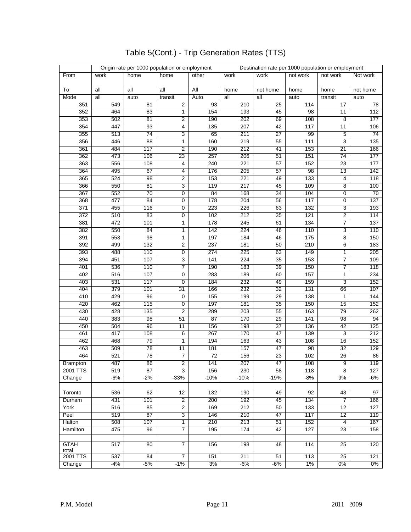|                 |                  | Origin rate per 1000 population or employment |                 |                 | Destination rate per 1000 population or employment |                 |          |                 |          |
|-----------------|------------------|-----------------------------------------------|-----------------|-----------------|----------------------------------------------------|-----------------|----------|-----------------|----------|
| From            | work             | home                                          | home            | other           | work                                               | work            | not work | not work        | Not work |
|                 |                  |                                               |                 |                 |                                                    |                 |          |                 |          |
| To              | all              | all                                           | all             | <b>All</b>      | home                                               | not home        | home     | home            | not home |
| Mode            | all              | auto                                          | transit         | Auto            | all                                                | all             | auto     | transit         | auto     |
| 351             | 549              | 81                                            | 2               | 93              | 210                                                | 25              | 114      | 17              | 78       |
| 352             | 464              | 83                                            | 1               | 154             | 193                                                | 45              | 98       | 11              | 112      |
| 353             | 502              | 81                                            | $\overline{2}$  | 190             | 202                                                | 69              | 108      | $\overline{8}$  | 177      |
| 354             | 447              | 93                                            | 4               | 135             | 207                                                | 42              | 117      | 11              | 106      |
| 355             | 513              | 74                                            | 3               | 65              | 211                                                | $\overline{27}$ | 99       | 5               | 74       |
| 356             | 446              | 88                                            | 1               | 160             | 219                                                | 55              | 111      | 3               | 135      |
| 361             | 484              | 117                                           | 2               | 190             | 212                                                | 41              | 153      | 21              | 166      |
| 362             | 473              | 106                                           | $\overline{23}$ | 257             | 206                                                | 51              | 151      | 74              | 177      |
| 363             | 556              | 108                                           | 4               | 240             | 221                                                | 57              | 152      | 23              | 177      |
| 364             | 495              | 67                                            | 4               | 176             | 205                                                | 57              | 98       | 13              | 142      |
| 365             | 524              | 98                                            | 2               | 153             | 221                                                | 49              | 133      | 4               | 118      |
| 366             | 550              | 81                                            | 3               | 119             | 217                                                | 45              | 109      | 8               | 100      |
| 367             | 552              | 70                                            | 0               | 84              | 168                                                | 34              | 104      | 0               | 70       |
| 368             | 477              | 84                                            | 0               | 178             | 204                                                | 56              | 117      | 0               | 137      |
| 371             | 455              | 116                                           | 0               | 223             | 226                                                | 63              | 132      | 3               | 193      |
| 372             | 510              | 83                                            | 0               | 102             | 212                                                | 35              | 121      | 2               | 114      |
| 381             | 472              | 101                                           | 1               | 178             | 245                                                | 61              | 134      | 7               | 137      |
| 382             | 550              | 84                                            | 1               | 142             | 224                                                | 46              | 110      | 3               | 110      |
| 391             | 553              | 98                                            | 1               | 197             | 184                                                | 46              | 175      | 8               | 150      |
| 392             | 499              | 132                                           | 2               | 237             | 181                                                | 50              | 210      | 6               | 183      |
| 393             | 488              | 110                                           | 0               | 274             | 225                                                | 63              | 149      | 1               | 205      |
| 394             | 451              | 107                                           | 3               | 141             | 224                                                | $\overline{35}$ | 153      | 7               | 109      |
| 401             | 536              | 110                                           | 7               | 190             | 183                                                | 39              | 150      | 7               | 118      |
| 402             | 516              | 107                                           | 0               | 283             | 189                                                | 60              | 157      | 1               | 234      |
| 403             | 531              | 117                                           | 0               | 184             | 232                                                | 49              | 159      | 3               | 152      |
| 404             | 379              | 101                                           | 31              | 166             | 232                                                | 32              | 131      | 66              | 107      |
| 410             | 429              | 96                                            | 0               | 155             | 199                                                | 29              | 138      | $\mathbf{1}$    | 144      |
| 420             | 462              | 115                                           | 0               | 197             | 181                                                | 35              | 150      | 15              | 152      |
| 430             | 428              | 135                                           | 2               | 289             | 203                                                | 55              | 163      | 79              | 262      |
| 440             | 383              | 98                                            | 51              | 87              | 170                                                | 29              | 141      | 98              | 94       |
| 450             | 504              | 96                                            | 11              | 156             | 198                                                | 37              | 136      | 42              | 125      |
| 461             | 417              | 108                                           | 6               | 267             | 170                                                | 47              | 139      | 3               | 212      |
| 462             | 468              | 79                                            | 1               | 194             | 163                                                | 43              | 108      | 16              | 152      |
| 463             | 509              | $\overline{78}$                               | 11              | 181             | 157                                                | 47              | 98       | 32              | 129      |
| 464             | 521              | 78                                            | 7               | $\overline{72}$ | 156                                                | 23              | 102      | 26              | 86       |
| <b>Brampton</b> | 487              | 86                                            | $\overline{2}$  | 141             | 207                                                | 47              | 108      | $\overline{9}$  | 119      |
| 2001 TTS        | 519              | 87                                            | 3               | 156             | 230                                                | 58              | 118      | 8               | 127      |
| Change          | $-6%$            | $-2%$                                         | $-33%$          | $-10%$          | $-10%$                                             | $-19%$          | $-8%$    | 9%              | -6%      |
|                 |                  |                                               |                 |                 |                                                    |                 |          |                 |          |
| Toronto         | 536              | 62                                            | 12              | 132             | 190                                                | 49              | 92       | 43              | 97       |
| Durham          | 431              | 101                                           | $\overline{2}$  | 200             | 192                                                | 45              | 134      | $\overline{7}$  | 166      |
| York            | 516              | 85                                            | $\overline{2}$  | 169             | 212                                                | 50              | 133      | 12              | 127      |
| Peel            | 519              | 87                                            | 3               | 146             | 210                                                | 47              | 117      | 12              | 119      |
| <b>Halton</b>   | 508              | 107                                           | 1               | 210             | 213                                                | 51              | 152      | $\overline{4}$  | 167      |
| Hamilton        | 475              | 96                                            | 7               | 195             | 174                                                | 42              | 127      | $\overline{23}$ | 158      |
|                 |                  |                                               |                 |                 |                                                    |                 |          |                 |          |
| <b>GTAH</b>     | 517              | 80                                            | 7               | 156             | 198                                                | 48              | 114      | 25              | 120      |
| total           |                  |                                               |                 |                 |                                                    |                 |          |                 |          |
| 2001 TTS        | $\overline{537}$ | 84                                            | $\overline{7}$  | 151             | 211                                                | 51              | 113      | 25              | 121      |
| Change          | $-4%$            | $-5%$                                         | $-1%$           | 3%              | $-6%$                                              | $-6%$           | $1\%$    | $0\%$           | $0\%$    |

# Table 5(Cont.) - Trip Generation Rates (TTS)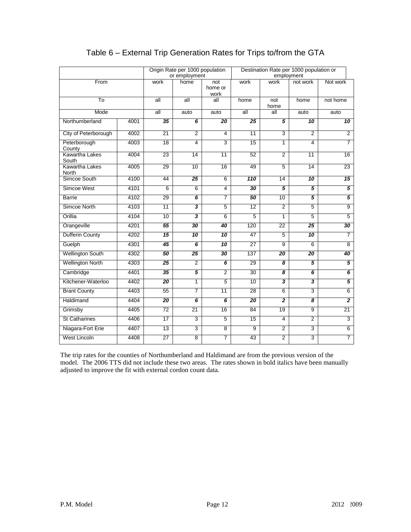|                                |      | Origin Rate per 1000 population<br>or employment |                         |                        | Destination Rate per 1000 population or<br>employment |                         |                         |                 |
|--------------------------------|------|--------------------------------------------------|-------------------------|------------------------|-------------------------------------------------------|-------------------------|-------------------------|-----------------|
| From                           |      | work                                             | home                    | not<br>home or<br>work | work                                                  | work                    | not work                | Not work        |
| To                             |      | all                                              | all                     | all                    | home                                                  | not<br>home             | home                    | not home        |
| Mode                           |      | all                                              | auto                    | auto                   | $\overline{\mathsf{all}}$                             | all                     | auto                    | auto            |
| Northumberland                 | 4001 | 35                                               | $\overline{6}$          | $\overline{20}$        | $\overline{25}$                                       | 5                       | $\overline{10}$         | $\overline{10}$ |
| City of Peterborough           | 4002 | 21                                               | $\overline{2}$          | $\overline{4}$         | 11                                                    | $\overline{3}$          | $\overline{2}$          | $\overline{2}$  |
| Peterborough<br>County         | 4003 | 18                                               | $\overline{4}$          | $\overline{3}$         | 15                                                    | $\overline{1}$          | $\overline{\mathbf{4}}$ | $\overline{7}$  |
| Kawartha Lakes<br>South        | 4004 | 23                                               | $\overline{14}$         | 11                     | 52                                                    | $\overline{2}$          | 11                      | $\overline{16}$ |
| <b>Kawartha Lakes</b><br>North | 4005 | $\overline{29}$                                  | 10                      | $\overline{16}$        | 49                                                    | $\overline{5}$          | $\overline{14}$         | 23              |
| Simcoe South                   | 4100 | 44                                               | $\overline{25}$         | $\overline{6}$         | 110                                                   | 14                      | 10                      | 15              |
| Simcoe West                    | 4101 | 6                                                | 6                       | $\overline{4}$         | $\overline{30}$                                       | $\overline{5}$          | 5                       | 5               |
| <b>Barrie</b>                  | 4102 | $\overline{29}$                                  | $\overline{6}$          | $\overline{7}$         | 50                                                    | 10                      | 5                       | $\overline{5}$  |
| Simcoe North                   | 4103 | 11                                               | $\overline{\mathbf{3}}$ | $\overline{5}$         | 12                                                    | $\overline{2}$          | $\overline{5}$          | $\overline{9}$  |
| Orillia                        | 4104 | 10                                               | $\overline{\mathbf{3}}$ | $\overline{6}$         | $\overline{5}$                                        | $\overline{1}$          | 5                       | $\overline{5}$  |
| Orangeville                    | 4201 | $\overline{55}$                                  | 30                      | 40                     | 120                                                   | $\overline{22}$         | $\overline{25}$         | 30              |
| Dufferin County                | 4202 | $\overline{15}$                                  | $\overline{10}$         | $\overline{10}$        | 47                                                    | 5                       | $\overline{10}$         | 7               |
| Guelph                         | 4301 | 45                                               | $\overline{6}$          | 10                     | $\overline{27}$                                       | $\overline{9}$          | 6                       | 8               |
| <b>Wellington South</b>        | 4302 | 50                                               | 25                      | 30                     | 137                                                   | $\overline{20}$         | 20                      | 40              |
| <b>Wellington North</b>        | 4303 | 25                                               | $\overline{2}$          | 6                      | 29                                                    | 8                       | 5                       | 5               |
| Cambridge                      | 4401 | 35                                               | 5                       | $\overline{2}$         | 30                                                    | 8                       | 6                       | 6               |
| Kitchener-Waterloo             | 4402 | 20                                               | $\mathbf{1}$            | $\overline{5}$         | 10                                                    | $\overline{\mathbf{3}}$ | $\overline{\mathbf{3}}$ | $\overline{5}$  |
| <b>Brant County</b>            | 4403 | 55                                               | $\overline{7}$          | $\overline{11}$        | $\overline{28}$                                       | 6                       | 3                       | 6               |
| Haldimand                      | 4404 | 20                                               | 6                       | 6                      | 20                                                    | $\overline{2}$          | 8                       | $\overline{2}$  |
| Grimsby                        | 4405 | 72                                               | 21                      | 16                     | 84                                                    | 19                      | 9                       | 21              |
| <b>St Catharines</b>           | 4406 | $\overline{17}$                                  | 3                       | $\overline{5}$         | 15                                                    | $\overline{4}$          | $\overline{2}$          | 3               |
| Niagara-Fort Erie              | 4407 | $\overline{13}$                                  | $\overline{3}$          | $\overline{8}$         | $\overline{9}$                                        | $\overline{2}$          | $\overline{3}$          | $6\overline{6}$ |
| <b>West Lincoln</b>            | 4408 | $\overline{27}$                                  | 8                       | 7                      | 43                                                    | $\overline{2}$          | 3                       | 7               |

# Table 6 – External Trip Generation Rates for Trips to/from the GTA

The trip rates for the counties of Northumberland and Haldimand are from the previous version of the model. The 2006 TTS did not include these two areas. The rates shown in bold italics have been manually adjusted to improve the fit with external cordon count data.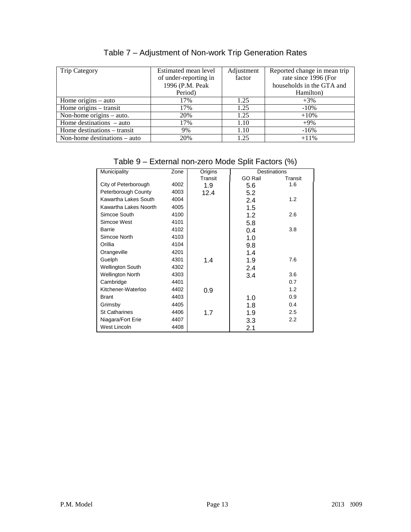| <b>Trip Category</b>           | Estimated mean level  | Adjustment | Reported change in mean trip |
|--------------------------------|-----------------------|------------|------------------------------|
|                                | of under-reporting in | factor     | rate since 1996 (For         |
|                                | 1996 (P.M. Peak       |            | households in the GTA and    |
|                                | Period)               |            | Hamilton)                    |
| Home origins $-$ auto          | 17%                   | 1.25       | $+3\%$                       |
| Home origins $-$ transit       | 17%                   | 1.25       | $-10\%$                      |
| Non-home origins $-$ auto.     | 20%                   | 1.25       | $+10%$                       |
| Home destinations $-$ auto     | 17%                   | 1.10       | $+9\%$                       |
| Home destinations – transit    | 9%                    | 1.10       | $-16\%$                      |
| Non-home destinations $-$ auto | 20%                   | 1.25       | $+11\%$                      |

# Table 7 – Adjustment of Non-work Trip Generation Rates

# Table 9 – External non-zero Mode Split Factors (%)

| Municipality            | Zone | Origins | <b>Destinations</b> |         |
|-------------------------|------|---------|---------------------|---------|
|                         |      | Transit | <b>GO Rail</b>      | Transit |
| City of Peterborough    | 4002 | 1.9     | 5.6                 | 1.6     |
| Peterborough County     | 4003 | 12.4    | 5.2                 |         |
| Kawartha Lakes South    | 4004 |         | 2.4                 | 1.2     |
| Kawartha Lakes Noorth   | 4005 |         | 1.5                 |         |
| Simcoe South            | 4100 |         | 1.2                 | 2.6     |
| Simcoe West             | 4101 |         | 5.8                 |         |
| Barrie                  | 4102 |         | 0.4                 | 3.8     |
| Simcoe North            | 4103 |         | 1.0                 |         |
| Orillia                 | 4104 |         | 9.8                 |         |
| Orangeville             | 4201 |         | 1.4                 |         |
| Guelph                  | 4301 | 1.4     | 1.9                 | 7.6     |
| <b>Wellington South</b> | 4302 |         | 2.4                 |         |
| <b>Wellington North</b> | 4303 |         | 3.4                 | 3.6     |
| Cambridge               | 4401 |         |                     | 0.7     |
| Kitchener-Waterloo      | 4402 | 0.9     |                     | 1.2     |
| <b>Brant</b>            | 4403 |         | 1.0                 | 0.9     |
| Grimsby                 | 4405 |         | 1.8                 | 0.4     |
| <b>St Catharines</b>    | 4406 | 1.7     | 1.9                 | 2.5     |
| Niagara/Fort Erie       | 4407 |         | 3.3                 | 2.2     |
| West Lincoln            | 4408 |         | 2.1                 |         |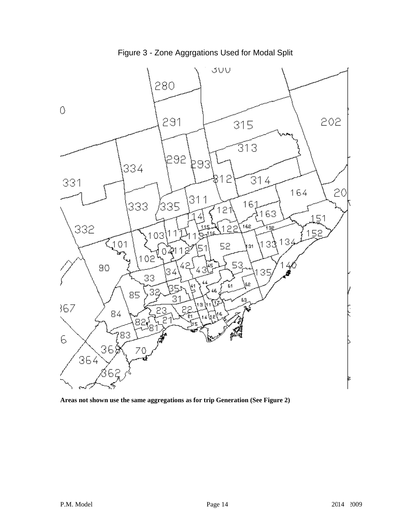

Figure 3 - Zone Aggrgations Used for Modal Split

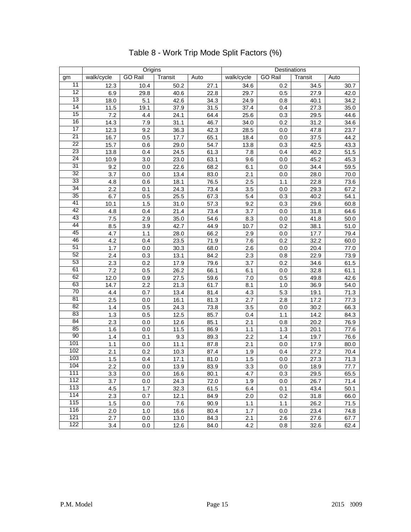|                 | Origins    |                |         | Destinations |            |                |         |      |
|-----------------|------------|----------------|---------|--------------|------------|----------------|---------|------|
| gm              | walk/cycle | <b>GO Rail</b> | Transit | Auto         | walk/cycle | <b>GO Rail</b> | Transit | Auto |
| 11              | 12.3       | 10.4           | 50.2    | 27.1         | 34.6       | 0.2            | 34.5    | 30.7 |
| 12              | 6.9        | 29.8           | 40.6    | 22.8         | 29.7       | 0.5            | 27.9    | 42.0 |
| 13              | 18.0       | 5.1            | 42.6    | 34.3         | 24.9       | 0.8            | 40.1    | 34.2 |
| $\overline{14}$ | 11.5       | 19.1           | 37.9    | 31.5         | 37.4       | 0.4            | 27.3    | 35.0 |
| 15              | 7.2        | 4.4            | 24.1    | 64.4         | 25.6       | 0.3            | 29.5    | 44.6 |
| 16              | 14.3       | 7.9            | 31.1    | 46.7         | 34.0       | 0.2            | 31.2    | 34.6 |
| 17              | 12.3       | 9.2            | 36.3    | 42.3         | 28.5       | 0.0            | 47.8    | 23.7 |
| $\overline{21}$ | 16.7       | 0.5            | 17.7    | 65.1         | 18.4       | 0.0            | 37.5    | 44.2 |
| 22              | 15.7       | 0.6            | 29.0    | 54.7         | 13.8       | 0.3            | 42.5    | 43.3 |
| 23              | 13.8       | 0.4            | 24.5    | 61.3         | 7.8        | 0.4            | 40.2    | 51.5 |
| $\overline{24}$ | 10.9       | 3.0            | 23.0    | 63.1         | 9.6        | 0.0            | 45.2    | 45.3 |
| 31              | 9.2        | 0.0            | 22.6    | 68.2         | 6.1        | 0.0            | 34.4    | 59.5 |
| 32              | 3.7        | 0.0            | 13.4    | 83.0         | 2.1        | 0.0            | 28.0    | 70.0 |
| 33              | 4.8        | 0.6            | 18.1    | 76.5         | 2.5        | 1.1            | 22.8    | 73.6 |
| 34              | 2.2        | 0.1            | 24.3    | 73.4         | 3.5        | 0.0            | 29.3    | 67.2 |
| 35              | 6.7        | 0.5            | 25.5    | 67.3         | 5.4        | 0.3            | 40.2    | 54.1 |
| 41              | 10.1       | 1.5            | 31.0    | 57.3         | 9.2        | 0.3            | 29.6    | 60.8 |
| 42              | 4.8        | 0.4            | 21.4    | 73.4         | 3.7        | 0.0            | 31.8    | 64.6 |
| 43              | $7.5$      | 2.9            | 35.0    | 54.6         | 8.3        | 0.0            | 41.8    | 50.0 |
| 44              | 8.5        | 3.9            | 42.7    | 44.9         | 10.7       | 0.2            | 38.1    | 51.0 |
| 45              | 4.7        | 1.1            | 28.0    | 66.2         | 2.9        | 0.0            | 17.7    | 79.4 |
| 46              | 4.2        | 0.4            | 23.5    | 71.9         | 7.6        | 0.2            | 32.2    | 60.0 |
| 51              | 1.7        | 0.0            | 30.3    | 68.0         | 2.6        | 0.0            | 20.4    | 77.0 |
| 52              | 2.4        | 0.3            | 13.1    | 84.2         | 2.3        | 0.8            | 22.9    | 73.9 |
| 53              | 2.3        | 0.2            | 17.9    | 79.6         | 3.7        | 0.2            | 34.6    | 61.5 |
| 61              | 7.2        | 0.5            | 26.2    | 66.1         | 6.1        | $0.0\,$        | 32.8    | 61.1 |
| 62              | 12.0       | 0.9            | 27.5    | 59.6         | 7.0        | 0.5            | 49.8    | 42.6 |
| 63              | 14.7       | 2.2            | 21.3    | 61.7         | 8.1        | 1.0            | 36.9    | 54.0 |
| 70              | 4.4        | 0.7            | 13.4    | 81.4         | 4.3        | 5.3            | 19.1    | 71.3 |
| 81              | 2.5        | 0.0            | 16.1    | 81.3         | 2.7        | 2.8            | 17.2    | 77.3 |
| 82              | 1.4        | 0.5            | 24.3    | 73.8         | 3.5        | 0.0            | 30.2    | 66.3 |
| 83              | 1.3        | 0.5            | 12.5    | 85.7         | 0.4        | 1.1            | 14.2    | 84.3 |
| 84              | 2.3        | 0.0            | 12.6    | 85.1         | 2.1        | 0.8            | 20.2    | 76.9 |
| 85              | 1.6        | 0.0            | 11.5    | 86.9         | 1.1        | 1.3            | 20.1    | 77.6 |
| 90              | 1.4        | 0.1            | 9.3     | 89.3         | 2.2        | 1.4            | 19.7    | 76.6 |
| 101             | 1.1        | 0.0            | 11.1    | 87.8         | 2.1        | 0.0            | 17.9    | 80.0 |
| 102             | 2.1        | 0.2            | 10.3    | 87.4         | 1.9        | 0.4            | 27.2    | 70.4 |
| 103             | 1.5        | 0.4            | 17.1    | 81.0         | 1.5        | $0.0\,$        | 27.3    | 71.3 |
| 104             | 2.2        | 0.0            | 13.9    | 83.9         | 3.3        | $0.0\,$        | 18.9    | 77.7 |
| 111             | 3.3        | $0.0\,$        | 16.6    | 80.1         | 4.7        | 0.3            | 29.5    | 65.5 |
| 112             | 3.7        | 0.0            | 24.3    | 72.0         | 1.9        | 0.0            | 26.7    | 71.4 |
| 113             | 4.5        | 1.7            | 32.3    | 61.5         | 6.4        | 0.1            | 43.4    | 50.1 |
| 114             | 2.3        | 0.7            | 12.1    | 84.9         | 2.0        | 0.2            | 31.8    | 66.0 |
| 115             | 1.5        | 0.0            | 7.6     | 90.9         | 1.1        | 1.1            | 26.2    | 71.5 |
| 116             | 2.0        | 1.0            | 16.6    | 80.4         | 1.7        | 0.0            | 23.4    | 74.8 |
| 121             | 2.7        | 0.0            | 13.0    | 84.3         | 2.1        | 2.6            | 27.6    | 67.7 |
| 122             | 3.4        | 0.0            | 12.6    | 84.0         | 4.2        | 0.8            | 32.6    | 62.4 |

# Table 8 - Work Trip Mode Split Factors (%)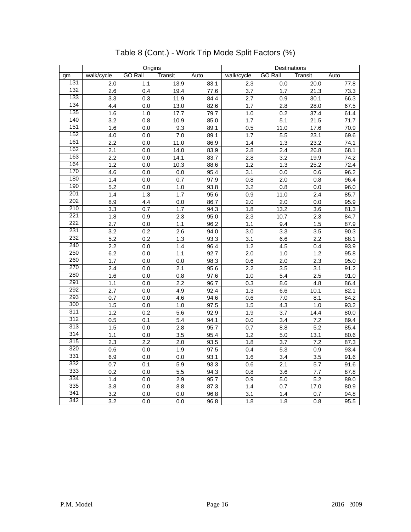|            | Origins          |                |                 |              | Destinations   |                |             |              |
|------------|------------------|----------------|-----------------|--------------|----------------|----------------|-------------|--------------|
| gm         | walk/cycle       | <b>GO Rail</b> | Transit         | Auto         | walk/cycle     | <b>GO Rail</b> | Transit     | Auto         |
| 131        | 2.0              | 1.1            | 13.9            | 83.1         | 2.3            | 0.0            | 20.0        | 77.8         |
| 132        | 2.6              | 0.4            | 19.4            | 77.6         | 3.7            | 1.7            | 21.3        | 73.3         |
| 133        | 3.3              | 0.3            | 11.9            | 84.4         | 2.7            | 0.9            | 30.1        | 66.3         |
| 134        | 4.4              | 0.0            | 13.0            | 82.6         | 1.7            | 2.8            | 28.0        | 67.5         |
| 135        | 1.6              | 1.0            | $\frac{17.7}{}$ | 79.7         | $1.0$          | 0.2            | 37.4        | 61.4         |
| 140        | 3.2              | 0.8            | 10.9            | 85.0         | 1.7            | 5.1            | 21.5        | 71.7         |
| 151        | 1.6              | 0.0            | 9.3             | 89.1         | 0.5            | 11.0           | 17.6        | 70.9         |
| 152        | 4.0              | 0.0            | 7.0             | 89.1         | 1.7            | 5.5            | 23.1        | 69.6         |
| 161        | 2.2              | 0.0            | 11.0            | 86.9         | 1.4            | 1.3            | 23.2        | 74.1         |
| 162        | 2.1              | 0.0            | 14.0            | 83.9         | $2.8\,$        | 2.4            | 26.8        | 68.1         |
| 163        | $\overline{2.2}$ | 0.0            | 14.1            | 83.7         | 2.8            | 3.2            | 19.9        | 74.2         |
| 164        | 1.2              | 0.0            | 10.3            | 88.6         | $1.2$          | 1.3            | 25.2        | 72.4         |
| 170        | 4.6              | 0.0            | 0.0             | 95.4         | 3.1            | 0.0            | 0.6         | 96.2         |
| 180        | 1.4              | 0.0            | 0.7             | 97.9         | 0.8            | 2.0            | 0.8         | 96.4         |
| 190        | 5.2              | 0.0            | $1.0\,$         | 93.8         | 3.2            | 0.8            | $0.0\,$     | 96.0         |
| 201        | 1.4              | 1.3            | 1.7             | 95.6         | 0.9            | 11.0           | 2.4         | 85.7         |
| 202        | 8.9              | 4.4            | $0.0\,$         | 86.7         | 2.0            | 2.0            | 0.0         | 95.9         |
| 210        | 3.3              | 0.7            | 1.7             | 94.3         | 1.8            | 13.2           | 3.6         | 81.3         |
| 221        | 1.8              | 0.9            | 2.3             | 95.0         | 2.3            | 10.7           | 2.3         | 84.7         |
| 222        | 2.7              | 0.0            | 1.1             | 96.2         | 1.1            | 9.4            | 1.5         | 87.9         |
| 231        | 3.2              | 0.2            | 2.6             | 94.0         | 3.0            | 3.3            | 3.5         | 90.3         |
| 232        | 5.2              | 0.2            | 1.3             | 93.3         | 3.1            | 6.6            | 2.2         | 88.1         |
| 240        | 2.2              | 0.0            | 1.4             | 96.4         | 1.2            | 4.5            | 0.4         | 93.9         |
| 250        | 6.2              | 0.0            | 1.1             | 92.7         | 2.0            | 1.0            | 1.2         | 95.8         |
| 260        | $1.7$            | 0.0            | 0.0             | 98.3         | 0.6            | 2.0            | 2.3         | 95.0         |
| 270        | 2.4              | 0.0            | 2.1             | 95.6         | 2.2            | 3.5            | 3.1         | 91.2         |
| 280        | 1.6              | 0.0            | 0.8             | 97.6         | 1.0            | 5.4            | 2.5         | 91.0         |
| 291<br>292 | 1.1              | 0.0            | 2.2             | 96.7         | 0.3            | 8.6            | 4.8         | 86.4         |
| 293        | 2.7              | 0.0            | 4.9             | 92.4         | 1.3            | 6.6            | 10.1        | 82.1         |
| 300        | 0.7              | 0.0            | 4.6             | 94.6         | 0.6            | 7.0            | 8.1         | 84.2         |
| 311        | 1.5              | $0.0\,$        | 1.0             | 97.5         | 1.5            | 4.3            | 1.0         | 93.2         |
| 312        | 1.2              | 0.2            | 5.6             | 92.9         | 1.9            | 3.7            | 14.4        | 80.0         |
| 313        | 0.5              | 0.1<br>0.0     | 5.4<br>2.8      | 94.1<br>95.7 | $0.0\,$<br>0.7 | 3.4<br>8.8     | 7.2<br>5.2  | 89.4<br>85.4 |
| 314        | $1.\overline{5}$ |                |                 |              |                |                |             |              |
| 315        | 1.1              | 0.0            | 3.5             | 95.4         | 1.2            | 5.0            | 13.1        | 80.6         |
| 320        | 2.3<br>0.6       | 2.2<br>0.0     | 2.0<br>1.9      | 93.5<br>97.5 | 1.8<br>0.4     | 3.7<br>5.3     | 7.2<br>0.9  | 87.3<br>93.4 |
| 331        |                  |                |                 |              |                |                |             |              |
| 332        | 6.9<br>0.7       | 0.0            | 0.0             | 93.1<br>93.3 | 1.6<br>0.6     | 3.4<br>2.1     | 3.5<br>5.7  | 91.6<br>91.6 |
| 333        | 0.2              | 0.1<br>0.0     | 5.9<br>5.5      | 94.3         | 0.8            | 3.6            | 7.7         | 87.8         |
| 334        | 1.4              |                |                 |              |                |                |             |              |
| 335        | 3.8              | 0.0<br>0.0     | 2.9<br>8.8      | 95.7<br>87.3 | 0.9<br>1.4     | 5.0<br>0.7     | 5.2<br>17.0 | 89.0<br>80.9 |
| 341        | 3.2              | 0.0            | 0.0             | 96.8         | 3.1            | 1.4            | 0.7         | 94.8         |
| 342        | 3.2              |                |                 |              | 1.8            | 1.8            |             | 95.5         |
|            |                  | 0.0            | 0.0             | 96.8         |                |                | 0.8         |              |

# Table 8 (Cont.) - Work Trip Mode Split Factors (%)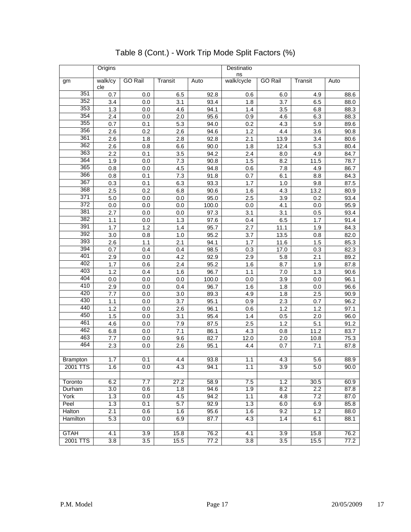|                 | Origins        |                |            |              | Destinatio<br>ns |                |             |              |  |  |  |
|-----------------|----------------|----------------|------------|--------------|------------------|----------------|-------------|--------------|--|--|--|
| gm              | walk/cy<br>cle | <b>GO Rail</b> | Transit    | Auto         | walk/cycle       | <b>GO Rail</b> | Transit     | Auto         |  |  |  |
| 351             | 0.7            | 0.0            | 6.5        | 92.8         | 0.6              | 6.0            | 4.9         | 88.6         |  |  |  |
| 352             | 3.4            | 0.0            | 3.1        | 93.4         | 1.8              | 3.7            | 6.5         | 88.0         |  |  |  |
| 353             | 1.3            | 0.0            | 4.6        | 94.1         | $1.4$            | 3.5            | 6.8         | 88.3         |  |  |  |
| 354             | 2.4            | 0.0            | 2.0        | 95.6         | 0.9              | 4.6            | 6.3         | 88.3         |  |  |  |
| 355             | 0.7            | 0.1            | 5.3        | 94.0         | 0.2              | 4.3            | 5.9         | 89.6         |  |  |  |
| 356             | 2.6            | 0.2            | 2.6        | 94.6         | 1.2              | 4.4            | 3.6         | 90.8         |  |  |  |
| 361             | 2.6            | 1.8            | 2.8        | 92.8         | 2.1              | 13.9           | 3.4         | 80.6         |  |  |  |
| 362             | 2.6            | 0.8            | 6.6        | 90.0         | 1.8              | 12.4           | 5.3         | 80.4         |  |  |  |
| 363             | 2.2            | 0.1            | 3.5        | 94.2         | 2.4              | 8.0            | 4.9         | 84.7         |  |  |  |
| 364             | 1.9            | 0.0            | 7.3        | 90.8         | 1.5              | 8.2            | 11.5        | 78.7         |  |  |  |
| 365             | 0.8            | 0.0            | 4.5        | 94.8         | 0.6              | 7.8            | 4.9         | 86.7         |  |  |  |
| 366             | 0.8            | 0.1            | 7.3        | 91.8         | 0.7              | 6.1            | 8.8         | 84.3         |  |  |  |
| 367             | 0.3            | 0.1            | 6.3        | 93.3         | 1.7              | 1.0            | 9.8         | 87.5         |  |  |  |
| 368             | 2.5            | 0.2            | 6.8        | 90.6         | 1.6              | 4.3            | 13.2        | 80.9         |  |  |  |
| 371             | 5.0            | 0.0            | 0.0        | 95.0         | 2.5              | 3.9            | 0.2         | 93.4         |  |  |  |
| 372             | 0.0            | 0.0            | 0.0        | 100.0        | 0.0              | 4.1            | 0.0         | 95.9         |  |  |  |
| 381             | 2.7            | 0.0            | 0.0        | 97.3         | 3.1              | 3.1            | 0.5         | 93.4         |  |  |  |
| 382             | 1.1            | 0.0            | 1.3        | 97.6         | 0.4              | 6.5            | 1.7         | 91.4         |  |  |  |
| 391             | 1.7            | 1.2            | 1.4        | 95.7         | 2.7              | 11.1           | 1.9         | 84.3         |  |  |  |
| 392             | 3.0            | 0.8            | 1.0        | 95.2         | 3.7              | 13.5           | 0.8         | 82.0         |  |  |  |
| 393             | 2.6            | 1.1            | 2.1        | 94.1         | 1.7              | 11.6           | 1.5         | 85.3         |  |  |  |
| 394             | 0.7            | 0.4            | 0.4        | 98.5         | 0.3              | 17.0           | 0.3         | 82.3         |  |  |  |
| 401             | 2.9            | 0.0            | 4.2        | 92.9         | 2.9              | 5.8            | 2.1         | 89.2         |  |  |  |
| 402             | 1.7            | 0.6            | 2.4        | 95.2         | 1.6              | 8.7            | 1.9         | 87.8         |  |  |  |
| 403             | 1.2            | 0.4            | 1.6        | 96.7         | 1.1              | 7.0            | 1.3         | 90.6         |  |  |  |
| 404             | 0.0            | 0.0            | 0.0        | 100.0        | 0.0              | 3.9            | 0.0         | 96.1         |  |  |  |
| 410             | 2.9            | 0.0            | 0.4        | 96.7         | 1.6              | 1.8            | 0.0         | 96.6         |  |  |  |
| 420<br>430      | 7.7            | 0.0            | 3.0        | 89.3         | 4.9              | 1.8            | 2.5         | 90.9         |  |  |  |
| 440             | 1.1            | 0.0            | 3.7        | 95.1         | 0.9              | 2.3            | 0.7         | 96.2         |  |  |  |
| 450             | 1.2            | 0.0            | 2.6        | 96.1         | 0.6              | 1.2            | 1.2         | 97.1         |  |  |  |
| 461             | 1.5            | 0.0            | 3.1        | 95.4         | 1.4              | 0.5            | 2.0         | 96.0         |  |  |  |
| 462             | 4.6            | $0.0\,$        | 7.9<br>7.1 | 87.5         | 2.5<br>4.3       | 1.2            | 5.1<br>11.2 | 91.2<br>83.7 |  |  |  |
| 463             | 6.8<br>7.7     | 0.0<br>0.0     | 9.6        | 86.1<br>82.7 | 12.0             | 0.8<br>2.0     | 10.8        | 75.3         |  |  |  |
| 464             | 2.3            | 0.0            | 2.6        | 95.1         | 4.4              | 0.7            | 7.1         | 87.8         |  |  |  |
|                 |                |                |            |              |                  |                |             |              |  |  |  |
| <b>Brampton</b> | 1.7            | 0.1            | 4.4        | 93.8         | 1.1              | 4.3            | 5.6         | 88.9         |  |  |  |
| 2001 TTS        | 1.6            | 0.0            | 4.3        | 94.1         | 1.1              | 3.9            | 5.0         | 90.0         |  |  |  |
|                 |                |                |            |              |                  |                |             |              |  |  |  |
| Toronto         | 6.2            | 7.7            | 27.2       | 58.9         | 7.5              | 1.2            | 30.5        | 60.9         |  |  |  |
| Durham          | 3.0            | 0.6            | 1.8        | 94.6         | 1.9              | 8.2            | 2.2         | 87.8         |  |  |  |
| York            | 1.3            | 0.0            | 4.5        | 94.2         | 1.1              | 4.8            | 7.2         | 87.0         |  |  |  |
| Peel            | 1.3            | 0.1            | 5.7        | 92.9         | 1.3              | 6.0            | 6.9         | 85.8         |  |  |  |
| Halton          | 2.1            | 0.6            | 1.6        | 95.6         | 1.6              | 9.2            | 1.2         | 88.0         |  |  |  |
| Hamilton        | 5.3            | 0.0            | 6.9        | 87.7         | 4.3              | 1.4            | 6.1         | 88.1         |  |  |  |
|                 |                |                |            |              |                  |                |             |              |  |  |  |
| <b>GTAH</b>     | 4.1            | 3.9            | 15.8       | 76.2         | 4.1              | 3.9            | 15.8        | 76.2         |  |  |  |
| 2001 TTS        | 3.8            | 3.5            | 15.5       | 77.2         | 3.8              | 3.5            | 15.5        | 77.2         |  |  |  |

# Table 8 (Cont.) - Work Trip Mode Split Factors (%)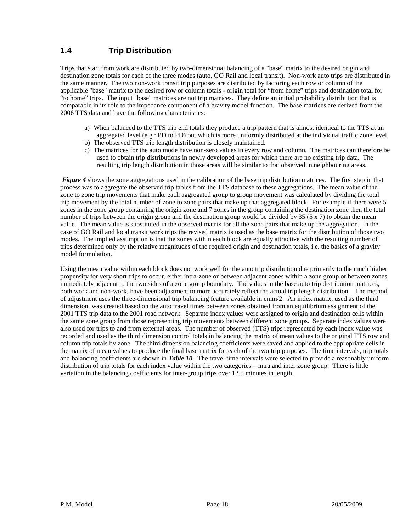### **1.4 Trip Distribution**

Trips that start from work are distributed by two-dimensional balancing of a "base" matrix to the desired origin and destination zone totals for each of the three modes (auto, GO Rail and local transit). Non-work auto trips are distributed in the same manner. The two non-work transit trip purposes are distributed by factoring each row or column of the applicable "base" matrix to the desired row or column totals - origin total for "from home" trips and destination total for "to home" trips. The input "base" matrices are not trip matrices. They define an initial probability distribution that is comparable in its role to the impedance component of a gravity model function. The base matrices are derived from the 2006 TTS data and have the following characteristics:

- a) When balanced to the TTS trip end totals they produce a trip pattern that is almost identical to the TTS at an aggregated level (e.g.: PD to PD) but which is more uniformly distributed at the individual traffic zone level.
- b) The observed TTS trip length distribution is closely maintained.
- c) The matrices for the auto mode have non-zero values in every row and column. The matrices can therefore be used to obtain trip distributions in newly developed areas for which there are no existing trip data. The resulting trip length distribution in those areas will be similar to that observed in neighbouring areas.

*Figure 4* shows the zone aggregations used in the calibration of the base trip distribution matrices. The first step in that process was to aggregate the observed trip tables from the TTS database to these aggregations. The mean value of the zone to zone trip movements that make each aggregated group to group movement was calculated by dividing the total trip movement by the total number of zone to zone pairs that make up that aggregated block. For example if there were 5 zones in the zone group containing the origin zone and 7 zones in the group containing the destination zone then the total number of trips between the origin group and the destination group would be divided by 35 (5 x 7) to obtain the mean value. The mean value is substituted in the observed matrix for all the zone pairs that make up the aggregation. In the case of GO Rail and local transit work trips the revised matrix is used as the base matrix for the distribution of those two modes. The implied assumption is that the zones within each block are equally attractive with the resulting number of trips determined only by the relative magnitudes of the required origin and destination totals, i.e. the basics of a gravity model formulation.

Using the mean value within each block does not work well for the auto trip distribution due primarily to the much higher propensity for very short trips to occur, either intra-zone or between adjacent zones within a zone group or between zones immediately adjacent to the two sides of a zone group boundary. The values in the base auto trip distribution matrices, both work and non-work, have been adjustment to more accurately reflect the actual trip length distribution. The method of adjustment uses the three-dimensional trip balancing feature available in emm/2. An index matrix, used as the third dimension, was created based on the auto travel times between zones obtained from an equilibrium assignment of the 2001 TTS trip data to the 2001 road network. Separate index values were assigned to origin and destination cells within the same zone group from those representing trip movements between different zone groups. Separate index values were also used for trips to and from external areas. The number of observed (TTS) trips represented by each index value was recorded and used as the third dimension control totals in balancing the matrix of mean values to the original TTS row and column trip totals by zone. The third dimension balancing coefficients were saved and applied to the appropriate cells in the matrix of mean values to produce the final base matrix for each of the two trip purposes. The time intervals, trip totals and balancing coefficients are shown in *Table 10*. The travel time intervals were selected to provide a reasonably uniform distribution of trip totals for each index value within the two categories – intra and inter zone group. There is little variation in the balancing coefficients for inter-group trips over 13.5 minutes in length.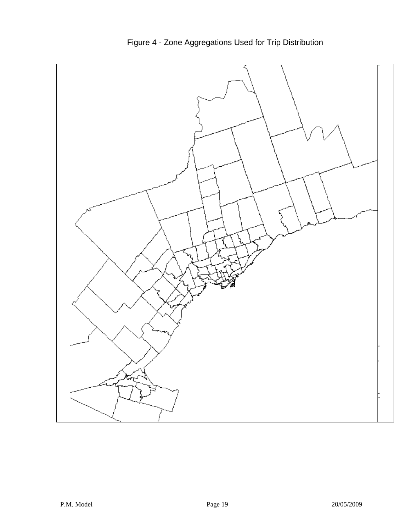

Figure 4 - Zone Aggregations Used for Trip Distribution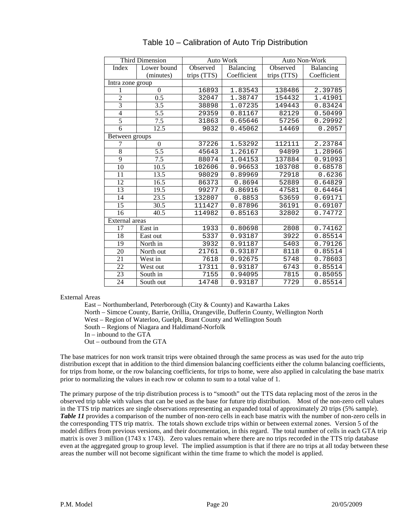|                  | <b>Third Dimension</b> |                  | Auto Work   |             | Auto Non-Work |  |
|------------------|------------------------|------------------|-------------|-------------|---------------|--|
| Index            | Lower bound            | Observed         | Balancing   | Observed    | Balancing     |  |
|                  | (minutes)              | trips (TTS)      | Coefficient | trips (TTS) | Coefficient   |  |
| Intra zone group |                        |                  |             |             |               |  |
| 1                | $\Omega$               | 16893            | 1.83543     | 138486      | 2.39785       |  |
| $\overline{2}$   | 0.5                    | 32047            | 1.38747     | 154432      | 1.41901       |  |
| $\overline{3}$   | 3.5                    | 38898<br>1.07235 |             | 149443      | 0.83424       |  |
| $\overline{4}$   | 5.5                    | 29359            | 0.81167     | 82129       | 0.50499       |  |
| 5                | 7.5                    | 31863            | 0.65646     | 57256       | 0.29992       |  |
| 6                | 12.5                   | 9032             | 0.45062     | 14469       | 0.2057        |  |
| Between groups   |                        |                  |             |             |               |  |
| 7                | $\boldsymbol{0}$       | 37226            | 1.53292     | 112111      | 2.23784       |  |
| $\overline{8}$   | 5.5                    | 45643            | 1.26167     | 94899       | 1.28966       |  |
| $\overline{9}$   | 7.5                    | 88074            | 1.04153     | 137884      | 0.91093       |  |
| 10               | 10.5                   | 102606           | 0.96653     | 103708      | 0.68578       |  |
| 11               | 13.5                   | 98029            | 0.89969     | 72918       | 0.6236        |  |
| 12               | 16.5                   | 86373            | 0.8694      | 52889       | 0.64829       |  |
| 13               | 19.5                   | 99277            | 0.86916     | 47581       | 0.64464       |  |
| 14               | 23.5                   | 132807           | 0.8853      | 53659       | 0.69171       |  |
| 15               | 30.5                   | 111427           | 0.87896     | 36191       | 0.69107       |  |
| 16               | 40.5                   | 114982           | 0.85163     | 32802       | 0.74772       |  |
| External areas   |                        |                  |             |             |               |  |
| 17               | East in                | 1933             | 0.80698     | 2808        | 0.74162       |  |
| 18               | East out               | 5337             | 0.93187     | 3922        | 0.85514       |  |
| 19               | North in               | 3932             | 0.91187     | 5403        | 0.79126       |  |
| 20               | North out              | 21761            | 0.93187     | 8118        | 0.85514       |  |
| 21               | West in                | 7618             | 0.92675     | 5748        | 0.78603       |  |
| 22               | West out               | 17311            | 0.93187     | 6743        | 0.85514       |  |
| 23               | South in               | 7155             | 0.94095     | 7815        | 0.85055       |  |
| 24               | South out              | 14748            | 0.93187     | 7729        | 0.85514       |  |

#### Table 10 – Calibration of Auto Trip Distribution

External Areas

East – Northumberland, Peterborough (City & County) and Kawartha Lakes

North – Simcoe County, Barrie, Orillia, Orangeville, Dufferin County, Wellington North

West – Region of Waterloo, Guelph, Brant County and Wellington South

South – Regions of Niagara and Haldimand-Norfolk

In – inbound to the GTA

Out – outbound from the GTA

The base matrices for non work transit trips were obtained through the same process as was used for the auto trip distribution except that in addition to the third dimension balancing coefficients either the column balancing coefficients, for trips from home, or the row balancing coefficients, for trips to home, were also applied in calculating the base matrix prior to normalizing the values in each row or column to sum to a total value of 1.

The primary purpose of the trip distribution process is to "smooth" out the TTS data replacing most of the zeros in the observed trip table with values that can be used as the base for future trip distribution. Most of the non-zero cell values in the TTS trip matrices are single observations representing an expanded total of approximately 20 trips (5% sample). *Table 11* provides a comparison of the number of non-zero cells in each base matrix with the number of non-zero cells in the corresponding TTS trip matrix. The totals shown exclude trips within or between external zones. Version 5 of the model differs from previous versions, and their documentation, in this regard. The total number of cells in each GTA trip matrix is over 3 million (1743 x 1743). Zero values remain where there are no trips recorded in the TTS trip database even at the aggregated group to group level. The implied assumption is that if there are no trips at all today between these areas the number will not become significant within the time frame to which the model is applied.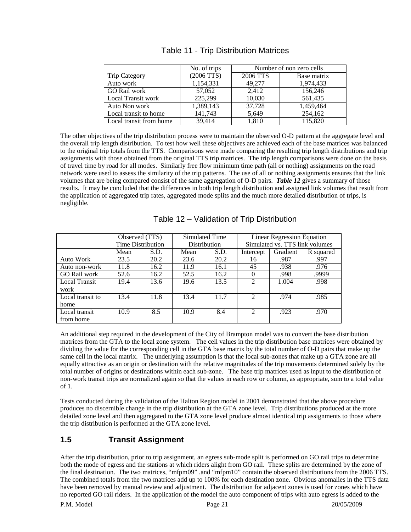|                         | No. of trips | Number of non zero cells |             |  |  |  |  |  |
|-------------------------|--------------|--------------------------|-------------|--|--|--|--|--|
| <b>Trip Category</b>    | $(2006$ TTS) | 2006 TTS                 | Base matrix |  |  |  |  |  |
| Auto work               | 1,154,331    | 49,277                   | 1,974,433   |  |  |  |  |  |
| <b>GO Rail work</b>     | 57,052       | 2.412                    | 156,246     |  |  |  |  |  |
| Local Transit work      | 225,299      | 10,030                   | 561,435     |  |  |  |  |  |
| Auto Non work           | 1,389,143    | 37,728                   | 1,459,464   |  |  |  |  |  |
| Local transit to home   | 141.743      | 5.649                    | 254,162     |  |  |  |  |  |
| Local transit from home | 39.414       | 1,810                    | 115,820     |  |  |  |  |  |

The other objectives of the trip distribution process were to maintain the observed O-D pattern at the aggregate level and the overall trip length distribution. To test how well these objectives are achieved each of the base matrices was balanced to the original trip totals from the TTS. Comparisons were made comparing the resulting trip length distributions and trip assignments with those obtained from the original TTS trip matrices. The trip length comparisons were done on the basis of travel time by road for all modes. Similarly free flow minimum time path (all or nothing) assignments on the road network were used to assess the similarity of the trip patterns. The use of all or nothing assignments ensures that the link volumes that are being compared consist of the same aggregation of O-D pairs. *Table 12* gives a summary of those results. It may be concluded that the differences in both trip length distribution and assigned link volumes that result from the application of aggregated trip rates, aggregated mode splits and the much more detailed distribution of trips, is negligible.

|                  |              | Observed (TTS)    |      | Simulated Time | <b>Linear Regression Equation</b> |          |           |  |  |  |  |
|------------------|--------------|-------------------|------|----------------|-----------------------------------|----------|-----------|--|--|--|--|
|                  |              | Time Distribution |      | Distribution   | Simulated vs. TTS link volumes    |          |           |  |  |  |  |
|                  | Mean<br>S.D. |                   | Mean | S.D.           |                                   | Gradient | R squared |  |  |  |  |
| Auto Work        | 23.5         | 20.2              | 23.6 | 20.2           | 16                                | .987     | .997      |  |  |  |  |
| Auto non-work    | 11.8         | 16.2              | 11.9 | 16.1           | 45                                | .938     | .976      |  |  |  |  |
| GO Rail work     | 52.6<br>16.2 |                   | 52.5 | 16.2           |                                   | .998     | .9999     |  |  |  |  |
| Local Transit    | 19.4<br>13.6 |                   | 19.6 | 13.5           | $\mathfrak{D}$                    | 1.004    | .998      |  |  |  |  |
| work             |              |                   |      |                |                                   |          |           |  |  |  |  |
| Local transit to | 13.4         | 11.8              | 13.4 | 11.7           | $\mathfrak{D}$                    | .974     | .985      |  |  |  |  |
| home             |              |                   |      |                |                                   |          |           |  |  |  |  |
| Local transit    | 8.5<br>10.9  |                   | 10.9 | 8.4            |                                   | .923     | .970      |  |  |  |  |
| from home        |              |                   |      |                |                                   |          |           |  |  |  |  |

### Table 12 – Validation of Trip Distribution

An additional step required in the development of the City of Brampton model was to convert the base distribution matrices from the GTA to the local zone system. The cell values in the trip distribution base matrices were obtained by dividing the value for the corresponding cell in the GTA base matrix by the total number of O-D pairs that make up the same cell in the local matrix. The underlying assumption is that the local sub-zones that make up a GTA zone are all equally attractive as an origin or destination with the relative magnitudes of the trip movements determined solely by the total number of origins or destinations within each sub-zone. The base trip matrices used as input to the distribution of non-work transit trips are normalized again so that the values in each row or column, as appropriate, sum to a total value of 1.

Tests conducted during the validation of the Halton Region model in 2001 demonstrated that the above procedure produces no discernible change in the trip distribution at the GTA zone level. Trip distributions produced at the more detailed zone level and then aggregated to the GTA zone level produce almost identical trip assignments to those where the trip distribution is performed at the GTA zone level.

# **1.5 Transit Assignment**

After the trip distribution, prior to trip assignment, an egress sub-mode split is performed on GO rail trips to determine both the mode of egress and the stations at which riders alight from GO rail. These splits are determined by the zone of the final destination. The two matrices, "mfpm09" .and "mfpm10" contain the observed distributions from the 2006 TTS. The combined totals from the two matrices add up to 100% for each destination zone. Obvious anomalies in the TTS data have been removed by manual review and adjustment. The distribution for adjacent zones is used for zones which have no reported GO rail riders. In the application of the model the auto component of trips with auto egress is added to the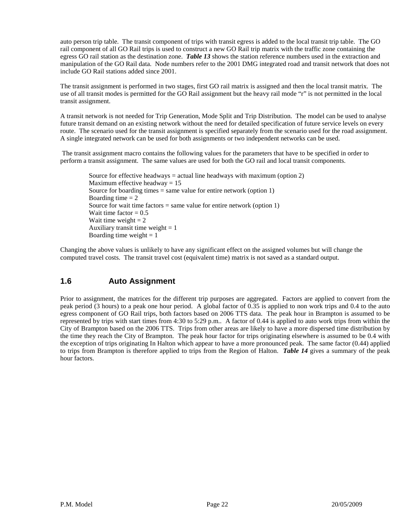auto person trip table. The transit component of trips with transit egress is added to the local transit trip table. The GO rail component of all GO Rail trips is used to construct a new GO Rail trip matrix with the traffic zone containing the egress GO rail station as the destination zone. *Table 13* shows the station reference numbers used in the extraction and manipulation of the GO Rail data. Node numbers refer to the 2001 DMG integrated road and transit network that does not include GO Rail stations added since 2001.

The transit assignment is performed in two stages, first GO rail matrix is assigned and then the local transit matrix. The use of all transit modes is permitted for the GO Rail assignment but the heavy rail mode "r" is not permitted in the local transit assignment.

A transit network is not needed for Trip Generation, Mode Split and Trip Distribution. The model can be used to analyse future transit demand on an existing network without the need for detailed specification of future service levels on every route. The scenario used for the transit assignment is specified separately from the scenario used for the road assignment. A single integrated network can be used for both assignments or two independent networks can be used.

The transit assignment macro contains the following values for the parameters that have to be specified in order to perform a transit assignment. The same values are used for both the GO rail and local transit components.

Source for effective headways = actual line headways with maximum (option 2) Maximum effective headway  $= 15$ Source for boarding times  $=$  same value for entire network (option 1) Boarding time  $= 2$ Source for wait time factors  $=$  same value for entire network (option 1) Wait time factor  $= 0.5$ Wait time weight  $= 2$ Auxiliary transit time weight  $= 1$ Boarding time weight  $= 1$ 

Changing the above values is unlikely to have any significant effect on the assigned volumes but will change the computed travel costs. The transit travel cost (equivalent time) matrix is not saved as a standard output.

### **1.6 Auto Assignment**

Prior to assignment, the matrices for the different trip purposes are aggregated. Factors are applied to convert from the peak period (3 hours) to a peak one hour period. A global factor of 0.35 is applied to non work trips and 0.4 to the auto egress component of GO Rail trips, both factors based on 2006 TTS data. The peak hour in Brampton is assumed to be represented by trips with start times from 4:30 to 5:29 p.m.. A factor of 0.44 is applied to auto work trips from within the City of Brampton based on the 2006 TTS. Trips from other areas are likely to have a more dispersed time distribution by the time they reach the City of Brampton. The peak hour factor for trips originating elsewhere is assumed to be 0.4 with the exception of trips originating In Halton which appear to have a more pronounced peak. The same factor (0.44) applied to trips from Brampton is therefore applied to trips from the Region of Halton. *Table 14* gives a summary of the peak hour factors.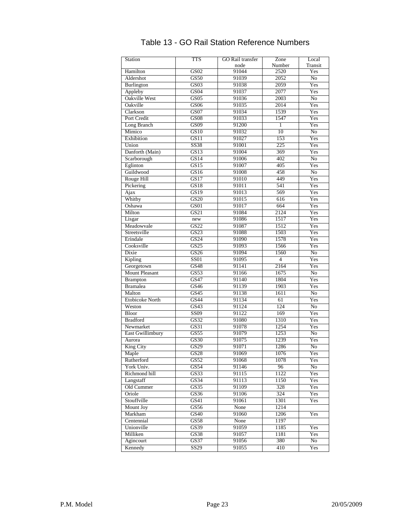| <b>Station</b>          | <b>TTS</b>  | <b>GO</b> Rail transfer | Zone           | Local           |
|-------------------------|-------------|-------------------------|----------------|-----------------|
|                         |             | node                    | Number         | Transit         |
| Hamilton                | GS02        | 91044                   | 2520           | Yes             |
| Aldershot               | GS50        | 91039                   | 2052           | $\overline{No}$ |
| Burlington              | GS03        | 91038                   | 2059           | Yes             |
| Appleby                 | GS04        | 91037                   | 2077           | Yes             |
| Oakville West           | GS05        | 91036                   | 2003           | $\overline{No}$ |
| Oakville                | GSO6        | 91035                   | 2014           | Yes             |
| Clarkson                | GS07        | 91034                   | 1539           | Yes             |
| Port Credit             | GS08        | 91033                   | 1547           | Yes             |
| Long Branch             | GS09        | 91200                   | $\mathbf{1}$   | Yes             |
| Mimico                  | GS10        | 91032                   | 10             | No              |
| Exhibition              | GS11        |                         | 153            | Yes             |
|                         |             | 91027                   |                |                 |
| Union                   | SS38        | 91001                   | 225            | Yes             |
| Danforth (Main)         | GS13        | 91004                   | 369            | Yes             |
| Scarborough             | GS14        | 91006                   | 402            | $\overline{No}$ |
| Eglinton                | GS15        | 91007                   | 405            | Yes             |
| Guildwood               | GS16        | 91008                   | 458            | No              |
| Rouge Hill              | GS17        | 91010                   | 449            | Yes             |
| Pickering               | GS18        | 91011                   | 541            | Yes             |
| Ajax                    | GS19        | 91013                   | 569            | Yes             |
| Whitby                  | <b>GS20</b> | 91015                   | 616            | Yes             |
| Oshawa                  | GS01        | 91017                   | 664            | Yes             |
| Milton                  | GS21        | 91084                   | 2124           | Yes             |
| Lisgar                  | new         | 91086                   | 1517           | Yes             |
| Meadowvale              | GS22        | 91087                   | 1512           | Yes             |
| Streetsville            | GS23        | 91088                   | 1503           | Yes             |
| Erindale                | GS24        | 91090                   | 1578           | Yes             |
| Cooksville              | GS25        | 91093                   | 1566           | Yes             |
| Dixie                   | GS26        | 91094                   | 1560           | No              |
| Kipling                 | <b>SS01</b> | 91095                   | $\overline{4}$ | Yes             |
|                         |             |                         | 2164           |                 |
| Georgetown              | GS48        | 91141                   |                | Yes             |
| <b>Mount Pleasant</b>   | GS53        | 91166                   | 1675           | $\overline{No}$ |
| <b>Brampton</b>         | <b>GS47</b> | 91140                   | 1804           | Yes             |
| <b>Bramalea</b>         | GS46        | 91139                   | 1903           | Yes             |
| Malton                  | GS45        | 91138                   | 1611           | No              |
| <b>Etobicoke North</b>  | GS44        | 91134                   | 61             | Yes             |
| Weston                  | GS43        | 91124                   | 124            | $\overline{No}$ |
| <b>Bloor</b>            | SS09        | 91122                   | 169            | Yes             |
| <b>Bradford</b>         | GS32        | 91080                   | 1310           | Yes             |
| Newmarket               | GS31        | 91078                   | 1254           | Yes             |
| <b>East Gwillimbury</b> | GS55        | 91079                   | 1253           | No              |
| Aurora                  | GS30        | 91075                   | 1239           | Yes             |
| King City               | GS29        | 91071                   | 1286           | $\overline{No}$ |
| Maple                   | GS28        | 91069                   | 1076           | Yes             |
| Rutherford              | GS52        | 91068                   | 1078           | Yes             |
| York Univ.              | GS54        | 91146                   | 96             | No              |
| Richmond hill           | GS33        | 91115                   | 1122           | Yes             |
| Langstaff               | GS34        | 91113                   | 1150           | Yes             |
| Old Cummer              | GS35        | 91109                   | 328            | Yes             |
| Oriole                  | GS36        | 91106                   | 324            | Yes             |
| Stouffville             | GS41        | 91061                   | 1301           | Yes             |
|                         |             |                         |                |                 |
| Mount Joy               | GS56        | None                    | 1214           |                 |
| Markham                 | GS40        | 91060                   | 1206           | Yes             |
| Centennial              | GS58        | None                    | 1197           |                 |
| Unionville              | GS39        | 91059                   | 1185           | Yes             |
| Milliken                | GS38        | 91057                   | 1181           | Yes             |
| Agincourt               | GS37        | 91056                   | 380            | No              |
| Kennedy                 | SS29        | 91055                   | 410            | Yes             |

# Table 13 - GO Rail Station Reference Numbers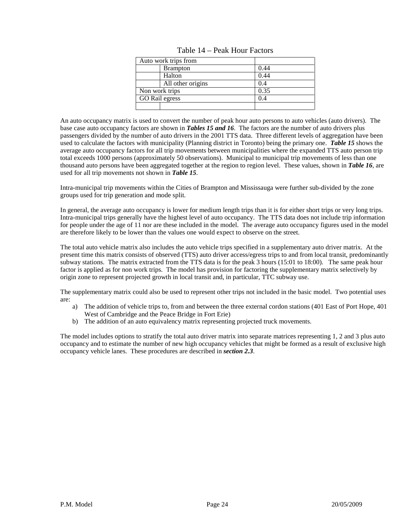| Auto work trips from |      |
|----------------------|------|
| <b>Brampton</b>      | 0.44 |
| Halton               | 0.44 |
| All other origins    | 0.4  |
| Non work trips       | 0.35 |
| GO Rail egress       | 0.4  |
|                      |      |

Table 14 – Peak Hour Factors

An auto occupancy matrix is used to convert the number of peak hour auto persons to auto vehicles (auto drivers). The base case auto occupancy factors are shown in *Tables 15 and 16*. The factors are the number of auto drivers plus passengers divided by the number of auto drivers in the 2001 TTS data. Three different levels of aggregation have been used to calculate the factors with municipality (Planning district in Toronto) being the primary one. *Table 15* shows the average auto occupancy factors for all trip movements between municipalities where the expanded TTS auto person trip total exceeds 1000 persons (approximately 50 observations). Municipal to municipal trip movements of less than one thousand auto persons have been aggregated together at the region to region level. These values, shown in *Table 16*, are used for all trip movements not shown in *Table 15*.

Intra-municipal trip movements within the Cities of Brampton and Mississauga were further sub-divided by the zone groups used for trip generation and mode split.

In general, the average auto occupancy is lower for medium length trips than it is for either short trips or very long trips. Intra-municipal trips generally have the highest level of auto occupancy. The TTS data does not include trip information for people under the age of 11 nor are these included in the model. The average auto occupancy figures used in the model are therefore likely to be lower than the values one would expect to observe on the street.

The total auto vehicle matrix also includes the auto vehicle trips specified in a supplementary auto driver matrix. At the present time this matrix consists of observed (TTS) auto driver access/egress trips to and from local transit, predominantly subway stations. The matrix extracted from the TTS data is for the peak 3 hours (15:01 to 18:00). The same peak hour factor is applied as for non work trips. The model has provision for factoring the supplementary matrix selectively by origin zone to represent projected growth in local transit and, in particular, TTC subway use.

The supplementary matrix could also be used to represent other trips not included in the basic model. Two potential uses are:

- a) The addition of vehicle trips to, from and between the three external cordon stations (401 East of Port Hope, 401 West of Cambridge and the Peace Bridge in Fort Erie)
- b) The addition of an auto equivalency matrix representing projected truck movements.

The model includes options to stratify the total auto driver matrix into separate matrices representing 1, 2 and 3 plus auto occupancy and to estimate the number of new high occupancy vehicles that might be formed as a result of exclusive high occupancy vehicle lanes. These procedures are described in *section 2.3*.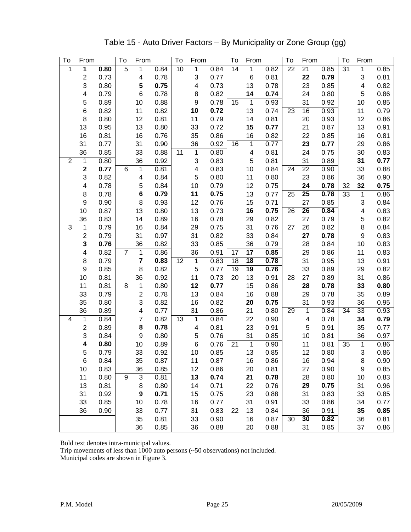| To             | From                    |              | To              | From             |              | To              | From               |              | To              | From                    |              | To              | From            |              | To | From                      |              |
|----------------|-------------------------|--------------|-----------------|------------------|--------------|-----------------|--------------------|--------------|-----------------|-------------------------|--------------|-----------------|-----------------|--------------|----|---------------------------|--------------|
| 1              | 1                       | 0.80         | 5               | 1                | 0.84         | $\overline{10}$ | $\mathbf{1}$       | 0.84         | $\overline{14}$ | 1                       | 0.82         | $\overline{22}$ | $\overline{21}$ | 0.85         | 31 | 1                         | 0.85         |
|                | 2                       | 0.73         |                 | 4                | 0.78         |                 | 3                  | 0.77         |                 | $\,6$                   | 0.81         |                 | 22              | 0.79         |    | $\ensuremath{\mathsf{3}}$ | 0.81         |
|                | 3                       | 0.80         |                 | 5                | 0.75         |                 | 4                  | 0.73         |                 | 13                      | 0.78         |                 | 23              | 0.85         |    | 4                         | 0.82         |
|                | 4                       | 0.79         |                 | $\,6$            | 0.78         |                 | 8                  | 0.82         |                 | 14                      | 0.74         |                 | 24              | 0.80         |    | 5                         | 0.86         |
|                | 5                       | 0.89         |                 | 10               | 0.88         |                 | 9                  | 0.78         | 15              | $\mathbf{1}$            | 0.93         |                 | 31              | 0.92         |    | 10                        | 0.85         |
|                | $\,6$                   | 0.82         |                 | 11               | 0.82         |                 | 10                 | 0.72         |                 | 13                      | 0.74         | 23              | 16              | 0.93         |    | 11                        | 0.79         |
|                | 8                       | 0.80         |                 | 12               | 0.81         |                 | 11                 | 0.79         |                 | 14                      | 0.81         |                 | 20              | 0.93         |    | 12                        | 0.86         |
|                | 13                      | 0.95         |                 | 13               | 0.80         |                 | 33                 | 0.72         |                 | 15                      | 0.77         |                 | 21              | 0.87         |    | 13                        | 0.91         |
|                | 16                      | 0.81         |                 | 16               | 0.76         |                 | 35                 | 0.86         |                 | 16                      | 0.82         |                 | 22              | 0.85         |    | 16                        | 0.81         |
|                | 31                      | 0.77         |                 | 31               | 0.90         |                 | 36                 | 0.92         | 16              | 1                       | 0.77         |                 | 23              | 0.77         |    | 29                        | 0.86         |
|                | 36                      | 0.85         |                 | 33               | 0.88         | 11              | $\overline{1}$     | 0.80         |                 | $\overline{\mathbf{4}}$ | 0.81         |                 | 24              | 0.75         |    | 30                        | 0.83         |
| $\overline{2}$ | 1                       | 0.80         |                 | 36               | 0.92         |                 | 3                  | 0.83         |                 | 5                       | 0.81         |                 | 31              | 0.89         |    | 31                        | 0.77         |
|                | 2                       | 0.77         | $6\phantom{1}6$ | $\mathbf 1$      | 0.81         |                 | 4                  | 0.83         |                 | 10                      | 0.84         | 24              | $\overline{22}$ | 0.90         |    | 33                        | 0.88         |
|                | 3                       | 0.82         |                 | 4                | 0.84         |                 | 5                  | 0.80         |                 | 11                      | 0.80         |                 | 23              | 0.86         |    | 36                        | 0.90         |
|                | 4                       | 0.78         |                 | 5                | 0.84         |                 | 10                 | 0.79         |                 | 12                      | 0.75         |                 | 24              | 0.78         | 32 | 32                        | 0.75         |
|                | 8                       | 0.78         |                 | 6                | 0.79         |                 | 11                 | 0.75         |                 | 13                      | 0.77         | 25              | $\overline{25}$ | 0.78         | 33 | $\mathbf 1$               | 0.86         |
|                | $\boldsymbol{9}$        | 0.90         |                 | 8                | 0.93         |                 | 12                 | 0.76         |                 | 15                      | 0.71         |                 | 27              | 0.85         |    | $\ensuremath{\mathsf{3}}$ | 0.84         |
|                | 10                      | 0.87         |                 | 13               | 0.80         |                 | 13                 | 0.73         |                 | 16                      | 0.75         | 26              | $\overline{26}$ | 0.84         |    | 4                         | 0.83         |
|                | 36                      | 0.83         |                 | 14               | 0.89         |                 | 16                 | 0.78         |                 | 29                      | 0.82         |                 | 27              | 0.79         |    | $\mathbf 5$               | 0.82         |
| $\overline{3}$ | 1                       | 0.79         |                 | 16               | 0.84         |                 | 29                 | 0.75         |                 | 31                      | 0.76         | 27              | 26              | 0.82         |    | $\bf8$                    | 0.84         |
|                | $\overline{\mathbf{c}}$ | 0.79         |                 | 31               | 0.97         |                 | 31                 | 0.82         |                 | 33                      | 0.84         |                 | 27              | 0.78         |    | $\boldsymbol{9}$          | 0.83         |
|                | 3                       | 0.76         |                 | 36               | 0.82         |                 | 33                 | 0.85         |                 | 36                      | 0.79         |                 | 28              | 0.84         |    | 10                        | 0.83         |
|                | 4                       | 0.82         | $\overline{7}$  | 1                | 0.86         |                 | 36                 | 0.91         | 17              | $\overline{17}$         | 0.85         |                 | 29              | 0.86         |    | 11                        | 0.83         |
|                | 8                       | 0.79         |                 | 7                | 0.83         | 12              | $\mathbf 1$        | 0.83         | 18              | $\overline{18}$         | 0.78         |                 | 31              | 0.95         |    | 13                        | 0.91         |
|                | 9                       | 0.85         |                 | 8                | 0.82         |                 | 5                  | 0.77         | 19              | 19                      | 0.76         |                 | 33              | 0.89         |    | 29                        | 0.82         |
|                | 10                      | 0.81         |                 | 36               | 0.92         |                 | 11                 | 0.73         | 20              | 13                      | 0.91         | 28              | 27              | 0.89         |    | 31                        | 0.86         |
|                | 11                      | 0.81         | 8               | 1                | 0.80         |                 | 12                 | 0.77         |                 | 15                      | 0.86         |                 | 28              | 0.78         |    | 33                        | 0.80         |
|                | 33                      | 0.79         |                 | $\mathbf 2$      | 0.78         |                 | 13                 | 0.84         |                 | 16                      | 0.88         |                 | 29              | 0.78         |    | 35                        | 0.89         |
|                | 35                      | 0.80         |                 | 3                | 0.82         |                 | 16                 | 0.82         |                 | 20                      | 0.75         |                 | 31              | 0.93         |    | 36                        | 0.95         |
| 4              | 36<br>1                 | 0.89<br>0.84 |                 | 4<br>7           | 0.77<br>0.82 | 13              | 31<br>$\mathbf{1}$ | 0.86<br>0.84 |                 | 21<br>22                | 0.80<br>0.90 | 29              | 1<br>4          | 0.84<br>0.78 | 34 | 33<br>34                  | 0.93<br>0.79 |
|                | 2                       | 0.89         |                 | 8                | 0.78         |                 | 4                  | 0.81         |                 | 23                      | 0.91         |                 | 5               | 0.91         |    | 35                        | 0.77         |
|                | 3                       | 0.84         |                 | $\boldsymbol{9}$ | 0.80         |                 | 5                  | 0.76         |                 | 31                      | 0.85         |                 | 10              | 0.81         |    | 36                        | 0.97         |
|                | 4                       | 0.80         |                 | 10               | 0.89         |                 | 6                  | 0.76         | 21              | $\mathbf 1$             | 0.90         |                 | 11              | 0.81         | 35 | $\mathbf 1$               | 0.86         |
|                | 5                       | 0.79         |                 | 33               | 0.92         |                 | 10                 | 0.85         |                 | 13                      | 0.85         |                 | 12              | 0.80         |    | 3                         | 0.86         |
|                | 6                       | 0.84         |                 | 35               | 0.87         |                 | 11                 | 0.87         |                 | 16                      | 0.86         |                 | 16              | 0.94         |    | 8                         | 0.90         |
|                | 10                      | 0.83         |                 | 36               | 0.85         |                 | 12                 | 0.86         |                 | 20                      | 0.81         |                 | 27              | 0.90         |    | 9                         | 0.85         |
|                | 11                      | 0.80         | 9               | $\overline{3}$   | 0.81         |                 | 13                 | 0.74         |                 | 21                      | 0.78         |                 | 28              | 0.80         |    | 10                        | 0.83         |
|                | 13                      | 0.81         |                 | 8                | 0.80         |                 | 14                 | 0.71         |                 | 22                      | 0.76         |                 | 29              | 0.75         |    | 31                        | 0.96         |
|                | 31                      | 0.92         |                 | 9                | 0.71         |                 | 15                 | 0.75         |                 | 23                      | 0.88         |                 | 31              | 0.83         |    | 33                        | 0.85         |
|                | 33                      | 0.85         |                 | 10               | 0.78         |                 | 16                 | 0.77         |                 | 31                      | 0.91         |                 | 33              | 0.86         |    | 34                        | 0.77         |
|                | 36                      | 0.90         |                 | 33               | 0.77         |                 | 31                 | 0.83         | 22              | 13                      | 0.84         |                 | 36              | 0.91         |    | 35                        | 0.85         |
|                |                         |              |                 | 35               | 0.81         |                 | 33                 | 0.90         |                 | 16                      | 0.87         | 30              | 30              | 0.82         |    | 36                        | 0.81         |
|                |                         |              |                 | 36               | 0.85         |                 | 36                 | 0.88         |                 | 20                      | 0.88         |                 | 31              | 0.85         |    | 37                        | 0.86         |

Table 15 - Auto Driver Factors – By Municipality or Zone Group (gg)

Bold text denotes intra-municipal values.

Trip movements of less than 1000 auto persons (~50 observations) not included.

Municipal codes are shown in Figure 3.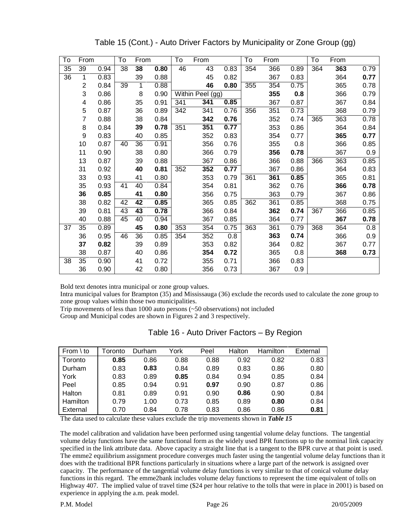| To | From           |      | To | From |      | To  | From             |      | To  | From |      | To  | From |      |
|----|----------------|------|----|------|------|-----|------------------|------|-----|------|------|-----|------|------|
| 35 | 39             | 0.94 | 38 | 38   | 0.80 | 46  | 43               | 0.83 | 354 | 366  | 0.89 | 364 | 363  | 0.79 |
| 36 | 1              | 0.83 |    | 39   | 0.88 |     | 45               | 0.82 |     | 367  | 0.83 |     | 364  | 0.77 |
|    | $\overline{c}$ | 0.84 | 39 | 1    | 0.88 |     | 46               | 0.80 | 355 | 354  | 0.75 |     | 365  | 0.78 |
|    | 3              | 0.86 |    | 8    | 0.90 |     | Within Peel (gg) |      |     | 355  | 0.8  |     | 366  | 0.79 |
|    | 4              | 0.86 |    | 35   | 0.91 | 341 | 341              | 0.85 |     | 367  | 0.87 |     | 367  | 0.84 |
|    | 5              | 0.87 |    | 36   | 0.89 | 342 | 341              | 0.76 | 356 | 351  | 0.73 |     | 368  | 0.79 |
|    | $\overline{7}$ | 0.88 |    | 38   | 0.84 |     | 342              | 0.76 |     | 352  | 0.74 | 365 | 363  | 0.78 |
|    | 8              | 0.84 |    | 39   | 0.78 | 351 | 351              | 0.77 |     | 353  | 0.86 |     | 364  | 0.84 |
|    | 9              | 0.83 |    | 40   | 0.85 |     | 352              | 0.83 |     | 354  | 0.77 |     | 365  | 0.77 |
|    | 10             | 0.87 | 40 | 36   | 0.91 |     | 356              | 0.76 |     | 355  | 0.8  |     | 366  | 0.85 |
|    | 11             | 0.90 |    | 38   | 0.80 |     | 366              | 0.79 |     | 356  | 0.78 |     | 367  | 0.9  |
|    | 13             | 0.87 |    | 39   | 0.88 |     | 367              | 0.86 |     | 366  | 0.88 | 366 | 363  | 0.85 |
|    | 31             | 0.92 |    | 40   | 0.81 | 352 | 352              | 0.77 |     | 367  | 0.86 |     | 364  | 0.83 |
|    | 33             | 0.93 |    | 41   | 0.80 |     | 353              | 0.79 | 361 | 361  | 0.85 |     | 365  | 0.81 |
|    | 35             | 0.93 | 41 | 40   | 0.84 |     | 354              | 0.81 |     | 362  | 0.76 |     | 366  | 0.78 |
|    | 36             | 0.85 |    | 41   | 0.80 |     | 356              | 0.75 |     | 363  | 0.79 |     | 367  | 0.86 |
|    | 38             | 0.82 | 42 | 42   | 0.85 |     | 365              | 0.85 | 362 | 361  | 0.85 |     | 368  | 0.75 |
|    | 39             | 0.81 | 43 | 43   | 0.78 |     | 366              | 0.84 |     | 362  | 0.74 | 367 | 366  | 0.85 |
|    | 40             | 0.88 | 45 | 40   | 0.94 |     | 367              | 0.85 |     | 364  | 0.77 |     | 367  | 0.78 |
| 37 | 35             | 0.89 |    | 45   | 0.80 | 353 | 354              | 0.75 | 363 | 361  | 0.79 | 368 | 364  | 0.8  |
|    | 36             | 0.95 | 46 | 36   | 0.85 | 354 | 352              | 0.8  |     | 363  | 0.74 |     | 366  | 0.9  |
|    | 37             | 0.82 |    | 39   | 0.89 |     | 353              | 0.82 |     | 364  | 0.82 |     | 367  | 0.77 |
|    | 38             | 0.87 |    | 40   | 0.86 |     | 354              | 0.72 |     | 365  | 0.8  |     | 368  | 0.73 |
| 38 | 35             | 0.90 |    | 41   | 0.72 |     | 355              | 0.71 |     | 366  | 0.83 |     |      |      |
|    | 36             | 0.90 |    | 42   | 0.80 |     | 356              | 0.73 |     | 367  | 0.9  |     |      |      |

Table 15 (Cont.) - Auto Driver Factors by Municipality or Zone Group (gg)

Bold text denotes intra municipal or zone group values.

Intra municipal values for Brampton (35) and Mississauga (36) exclude the records used to calculate the zone group to zone group values within those two municipalities.

Trip movements of less than 1000 auto persons (~50 observations) not included

Group and Municipal codes are shown in Figures 2 and 3 respectively.

| From $\setminus$ to | -oronto | Durham | York | Peel | Halton | Hamilton | External |
|---------------------|---------|--------|------|------|--------|----------|----------|
| Toronto             | 0.85    | 0.86   | 0.88 | 0.88 | 0.92   | 0.82     | 0.83     |
| Durham              | 0.83    | 0.83   | 0.84 | 0.89 | 0.83   | 0.86     | 0.80     |
| York                | 0.83    | 0.89   | 0.85 | 0.84 | 0.94   | 0.85     | 0.84     |
| Peel                | 0.85    | 0.94   | 0.91 | 0.97 | 0.90   | 0.87     | 0.86     |
| Halton              | 0.81    | 0.89   | 0.91 | 0.90 | 0.86   | 0.90     | 0.84     |
| Hamilton            | 0.79    | 1.00   | 0.73 | 0.85 | 0.89   | 0.80     | 0.84     |
| External            | 0.70    | 0.84   | 0.78 | 0.83 | 0.86   | 0.86     | 0.81     |

| Table 16 - Auto Driver Factors – By Region |  |
|--------------------------------------------|--|
|--------------------------------------------|--|

The data used to calculate these values exclude the trip movements shown in *Table 15*

The model calibration and validation have been performed using tangential volume delay functions. The tangential volume delay functions have the same functional form as the widely used BPR functions up to the nominal link capacity specified in the link attribute data. Above capacity a straight line that is a tangent to the BPR curve at that point is used. The emme2 equilibrium assignment procedure converges much faster using the tangential volume delay functions than it does with the traditional BPR functions particularly in situations where a large part of the network is assigned over capacity. The performance of the tangential volume delay functions is very similar to that of conical volume delay functions in this regard. The emme2bank includes volume delay functions to represent the time equivalent of tolls on Highway 407. The implied value of travel time (\$24 per hour relative to the tolls that were in place in 2001) is based on experience in applying the a.m. peak model.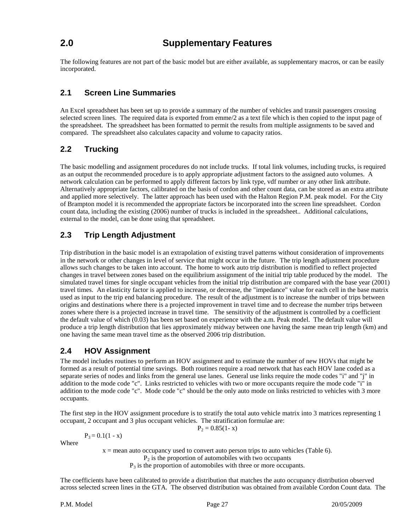# **2.0 Supplementary Features**

The following features are not part of the basic model but are either available, as supplementary macros, or can be easily incorporated.

# **2.1 Screen Line Summaries**

An Excel spreadsheet has been set up to provide a summary of the number of vehicles and transit passengers crossing selected screen lines. The required data is exported from emme/2 as a text file which is then copied to the input page of the spreadsheet. The spreadsheet has been formatted to permit the results from multiple assignments to be saved and compared. The spreadsheet also calculates capacity and volume to capacity ratios.

# **2.2 Trucking**

The basic modelling and assignment procedures do not include trucks. If total link volumes, including trucks, is required as an output the recommended procedure is to apply appropriate adjustment factors to the assigned auto volumes. A network calculation can be performed to apply different factors by link type, vdf number or any other link attribute. Alternatively appropriate factors, calibrated on the basis of cordon and other count data, can be stored as an extra attribute and applied more selectively. The latter approach has been used with the Halton Region P.M. peak model. For the City of Brampton model it is recommended the appropriate factors be incorporated into the screen line spreadsheet. Cordon count data, including the existing (2006) number of trucks is included in the spreadsheet.. Additional calculations, external to the model, can be done using that spreadsheet.

# **2.3 Trip Length Adjustment**

Trip distribution in the basic model is an extrapolation of existing travel patterns without consideration of improvements in the network or other changes in level of service that might occur in the future. The trip length adjustment procedure allows such changes to be taken into account. The home to work auto trip distribution is modified to reflect projected changes in travel between zones based on the equilibrium assignment of the initial trip table produced by the model. The simulated travel times for single occupant vehicles from the initial trip distribution are compared with the base year (2001) travel times. An elasticity factor is applied to increase, or decrease, the "impedance" value for each cell in the base matrix used as input to the trip end balancing procedure. The result of the adjustment is to increase the number of trips between origins and destinations where there is a projected improvement in travel time and to decrease the number trips between zones where there is a projected increase in travel time. The sensitivity of the adjustment is controlled by a coefficient the default value of which (0.03) has been set based on experience with the a.m. Peak model. The default value will produce a trip length distribution that lies approximately midway between one having the same mean trip length (km) and one having the same mean travel time as the observed 2006 trip distribution.

### **2.4 HOV Assignment**

 $P_3 = 0.1(1 - x)$ 

The model includes routines to perform an HOV assignment and to estimate the number of new HOVs that might be formed as a result of potential time savings. Both routines require a road network that has each HOV lane coded as a separate series of nodes and links from the general use lanes. General use links require the mode codes "i" and "j" in addition to the mode code "c". Links restricted to vehicles with two or more occupants require the mode code "i" in addition to the mode code "c". Mode code "c" should be the only auto mode on links restricted to vehicles with 3 more occupants.

The first step in the HOV assignment procedure is to stratify the total auto vehicle matrix into 3 matrices representing 1 occupant, 2 occupant and 3 plus occupant vehicles. The stratification formulae are:

 $\mathbf{X}$ 

$$
P_2 = 0.85(1 -
$$

Where

 $x =$  mean auto occupancy used to convert auto person trips to auto vehicles (Table 6).

 $P<sub>2</sub>$  is the proportion of automobiles with two occupants

 $P_3$  is the proportion of automobiles with three or more occupants.

The coefficients have been calibrated to provide a distribution that matches the auto occupancy distribution observed across selected screen lines in the GTA. The observed distribution was obtained from available Cordon Count data. The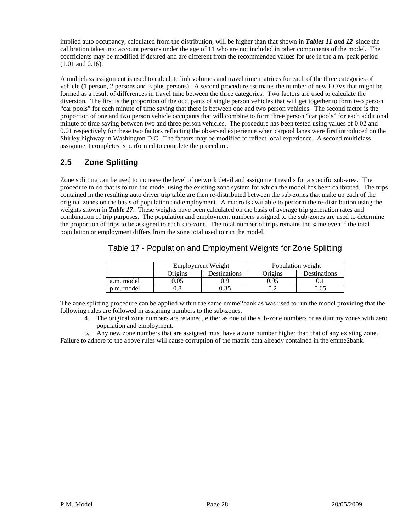implied auto occupancy, calculated from the distribution, will be higher than that shown in *Tables 11 and 12* since the calibration takes into account persons under the age of 11 who are not included in other components of the model. The coefficients may be modified if desired and are different from the recommended values for use in the a.m. peak period (1.01 and 0.16).

A multiclass assignment is used to calculate link volumes and travel time matrices for each of the three categories of vehicle (1 person, 2 persons and 3 plus persons). A second procedure estimates the number of new HOVs that might be formed as a result of differences in travel time between the three categories. Two factors are used to calculate the diversion. The first is the proportion of the occupants of single person vehicles that will get together to form two person "car pools" for each minute of time saving that there is between one and two person vehicles. The second factor is the proportion of one and two person vehicle occupants that will combine to form three person "car pools" for each additional minute of time saving between two and three person vehicles. The procedure has been tested using values of 0.02 and 0.01 respectively for these two factors reflecting the observed experience when carpool lanes were first introduced on the Shirley highway in Washington D.C. The factors may be modified to reflect local experience. A second multiclass assignment completes is performed to complete the procedure.

# **2.5 Zone Splitting**

Zone splitting can be used to increase the level of network detail and assignment results for a specific sub-area. The procedure to do that is to run the model using the existing zone system for which the model has been calibrated. The trips contained in the resulting auto driver trip table are then re-distributed between the sub-zones that make up each of the original zones on the basis of population and employment. A macro is available to perform the re-distribution using the weights shown in *Table 17*. These weights have been calculated on the basis of average trip generation rates and combination of trip purposes. The population and employment numbers assigned to the sub-zones are used to determine the proportion of trips to be assigned to each sub-zone. The total number of trips remains the same even if the total population or employment differs from the zone total used to run the model.

| Table 17 - Population and Employment Weights for Zone Splitting |  |  |  |  |  |  |
|-----------------------------------------------------------------|--|--|--|--|--|--|
|                                                                 |  |  |  |  |  |  |
|                                                                 |  |  |  |  |  |  |

|            |         | Employment Weight | Population weight |              |  |  |
|------------|---------|-------------------|-------------------|--------------|--|--|
|            | Origins | Destinations      | Origins           | Destinations |  |  |
| a.m. model | 0.05    |                   | 0.95              |              |  |  |
| p.m. model |         |                   |                   | 0.65         |  |  |

The zone splitting procedure can be applied within the same emme2bank as was used to run the model providing that the following rules are followed in assigning numbers to the sub-zones.

4. The original zone numbers are retained, either as one of the sub-zone numbers or as dummy zones with zero population and employment.

5. Any new zone numbers that are assigned must have a zone number higher than that of any existing zone. Failure to adhere to the above rules will cause corruption of the matrix data already contained in the emme2bank.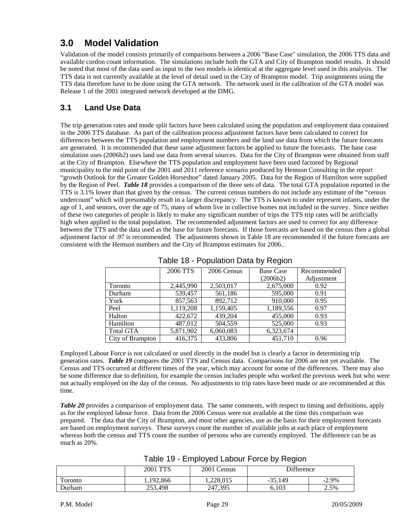# **3.0 Model Validation**

Validation of the model consists primarily of comparisons between a 2006 "Base Case" simulation, the 2006 TTS data and available cordon count information. The simulations include both the GTA and City of Brampton model results. It should be noted that most of the data used as input to the two models is identical at the aggregate level used in this analysis. The TTS data is not currently available at the level of detail used in the City of Brampton model. Trip assignments using the TTS data therefore have to be done using the GTA network. The network used in the calibration of the GTA model was Release 1 of the 2001 integrated network developed at the DMG.

# **3.1 Land Use Data**

The trip generation rates and mode split factors have been calculated using the population and employment data contained in the 2006 TTS database. As part of the calibration process adjustment factors have been calculated to correct for differences between the TTS population and employment numbers and the land use data from which the future forecasts are generated. It is recommended that these same adjustment factors be applied to future the forecasts. The base case simulation uses (2006b2) uses land use data from several sources. Data for the City of Brampton were obtained from staff at the City of Brampton. Elsewhere the TTS population and employment have been used factored by Regional municipality to the mid point of the 2001 and 2011 reference scenario produced by Hemson Consulting in the report "growth Outlook for the Greater Golden Horseshoe" dated January 2005. Data for the Region of Hamilton were supplied by the Region of Peel. *Table 18* provides a comparison of the three sets of data. The total GTA population reported in the TTS is 3.1% lower than that given by the census. The current census numbers do not include any estimate of the "census undercount" which will presumably result in a larger discrepancy. The TTS is known to under represent infants, under the age of 1, and seniors, over the age of 75, many of whom live in collective homes not included in the survey. Since neither of these two categories of people is likely to make any significant number of trips the TTS trip rates will be artificially high when applied to the total population. The recommended adjustment factors are used to correct for any difference between the TTS and the data used as the base for future forecasts. If those forecasts are based on the census then a global adjustment factor of .97 is recommended. The adjustments shown in Table 18 are recommended if the future forecasts are consistent with the Hemson numbers and the City of Brampton estimates for 2006..

|                  | 2006 TTS  | 2006 Census | <b>Base Case</b> | Recommended |  |
|------------------|-----------|-------------|------------------|-------------|--|
|                  |           |             | (2006b2)         | Adjustment  |  |
| Toronto          | 2,445,990 | 2,503,017   | 2,675,000        | 0.92        |  |
| Durham           | 539,457   | 561,186     | 595,000          | 0.91        |  |
| York             | 857,563   | 892,712     | 910,000          | 0.95        |  |
| Peel             | 1,119,208 | 1,159,405   | 1,189,556        | 0.97        |  |
| Halton           | 422,672   | 439,204     | 455,000          | 0.93        |  |
| Hamilton         | 487,012   | 504,559     | 525,000          | 0.93        |  |
| <b>Total GTA</b> | 5,871,902 | 6,060,083   | 6,323,674        |             |  |
| City of Brampton | 416,375   | 433,806     | 451,710          | 0.96        |  |

### Table 18 - Population Data by Region

Employed Labour Force is not calculated or used directly in the model but is clearly a factor in determining trip generation rates. *Table 19* compares the 2001 TTS and Census data. Comparisons for 2006 are not yet available. The Census and TTS occurred at different times of the year, which may account for some of the differences. There may also be some difference due to definition, for example the census includes people who worked the previous week but who were not actually employed on the day of the census. No adjustments to trip rates have been made or are recommended at this time.

*Table 20* provides a comparison of employment data. The same comments, with respect to timing and definitions, apply as for the employed labour force. Data from the 2006 Census were not available at the time this comparison was prepared. The data that the City of Brampton, and most other agencies, use as the basis for their employment forecasts are based on employment surveys. These surveys count the number of available jobs at each place of employment whereas both the census and TTS count the number of persons who are currently employed. The difference can be as much as 20%.

| Table 19 - Employed Labour Force by Region |  |  |  |  |  |
|--------------------------------------------|--|--|--|--|--|
|--------------------------------------------|--|--|--|--|--|

|         | 2001 TTS    | 2001 Census | Difference |          |
|---------|-------------|-------------|------------|----------|
| Toronto | ., 192, 866 | 1.228.015   | $-35,149$  | $-2.9\%$ |
| Durham  | 253,498     | 247,395     | 6.103      | 2.5%     |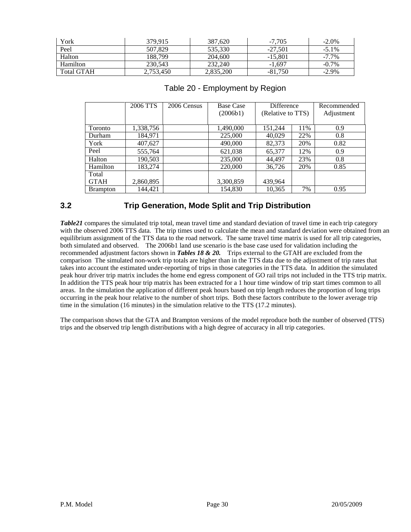| York              | 379.915   | 387,620   | $-7.705$  | $-2.0\%$ |
|-------------------|-----------|-----------|-----------|----------|
| Peel              | 507.829   | 535,330   | $-27.501$ | $-5.1\%$ |
| Halton            | 188.799   | 204,600   | $-15.801$ | $-7.7\%$ |
| Hamilton          | 230,543   | 232,240   | $-1.697$  | $-0.7\%$ |
| <b>Total GTAH</b> | 2,753,450 | 2,835,200 | $-81,750$ | $-2.9\%$ |

|                 | 2006 TTS  | 2006 Census | <b>Base Case</b> | <b>Difference</b> |     | Recommended |  |
|-----------------|-----------|-------------|------------------|-------------------|-----|-------------|--|
|                 |           |             | (2006b1)         | (Relative to TTS) |     | Adjustment  |  |
|                 |           |             |                  |                   |     |             |  |
| Toronto         | 1,338,756 |             | 1,490,000        | 151,244           | 11% | 0.9         |  |
| Durham          | 184,971   |             | 225,000          | 40,029            | 22% | 0.8         |  |
| York            | 407,627   |             | 490,000          | 82,373            | 20% | 0.82        |  |
| Peel            | 555,764   |             | 621,038          | 65,377            | 12% | 0.9         |  |
| Halton          | 190,503   |             | 235,000          | 44.497            | 23% | 0.8         |  |
| Hamilton        | 183,274   |             | 220,000          | 36,726            | 20% | 0.85        |  |
| Total           |           |             |                  |                   |     |             |  |
| <b>GTAH</b>     | 2,860,895 |             | 3,300,859        | 439,964           |     |             |  |
| <b>Brampton</b> | 144.421   |             | 154,830          | 10,365            | 7%  | 0.95        |  |

#### Table 20 - Employment by Region

### **3.2 Trip Generation, Mode Split and Trip Distribution**

*Table21* compares the simulated trip total, mean travel time and standard deviation of travel time in each trip category with the observed 2006 TTS data. The trip times used to calculate the mean and standard deviation were obtained from an equilibrium assignment of the TTS data to the road network. The same travel time matrix is used for all trip categories, both simulated and observed. The 2006b1 land use scenario is the base case used for validation including the recommended adjustment factors shown in *Tables 18 & 20.* Trips external to the GTAH are excluded from the comparison The simulated non-work trip totals are higher than in the TTS data due to the adjustment of trip rates that takes into account the estimated under-reporting of trips in those categories in the TTS data. In addition the simulated peak hour driver trip matrix includes the home end egress component of GO rail trips not included in the TTS trip matrix. In addition the TTS peak hour trip matrix has been extracted for a 1 hour time window of trip start times common to all areas. In the simulation the application of different peak hours based on trip length reduces the proportion of long trips occurring in the peak hour relative to the number of short trips. Both these factors contribute to the lower average trip time in the simulation (16 minutes) in the simulation relative to the TTS (17.2 minutes).

The comparison shows that the GTA and Brampton versions of the model reproduce both the number of observed (TTS) trips and the observed trip length distributions with a high degree of accuracy in all trip categories.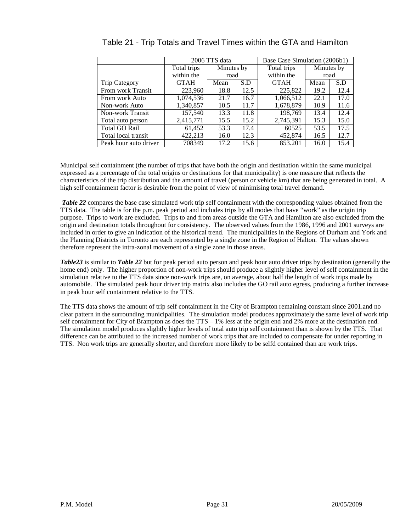|                       |             | 2006 TTS data |      | Base Case Simulation (2006b1) |            |      |  |
|-----------------------|-------------|---------------|------|-------------------------------|------------|------|--|
|                       | Total trips | Minutes by    |      | Total trips                   | Minutes by |      |  |
|                       | within the  | road          |      | within the                    | road       |      |  |
| <b>Trip Category</b>  | <b>GTAH</b> | S.D<br>Mean   |      | <b>GTAH</b>                   | Mean       | S.D  |  |
| From work Transit     | 223,960     | 18.8          | 12.5 | 225,822                       | 19.2       | 12.4 |  |
| From work Auto        | 1,074,536   | 21.7          | 16.7 | 1,066,512                     | 22.1       | 17.0 |  |
| Non-work Auto         | 1,340,857   | 10.5          | 11.7 | 1,678,879                     | 10.9       | 11.6 |  |
| Non-work Transit      | 157,540     | 13.3          | 11.8 | 198.769                       | 13.4       | 12.4 |  |
| Total auto person     | 2,415,771   | 15.5          | 15.2 | 2,745,391                     | 15.3       | 15.0 |  |
| <b>Total GO Rail</b>  | 61,452      | 53.3          | 17.4 | 60525                         | 53.5       | 17.5 |  |
| Total local transit   | 422,213     | 16.0          | 12.3 | 452,874                       | 16.5       | 12.7 |  |
| Peak hour auto driver | 708349      | 17.2          | 15.6 | 853.201                       | 16.0       | 15.4 |  |

# Table 21 - Trip Totals and Travel Times within the GTA and Hamilton

Municipal self containment (the number of trips that have both the origin and destination within the same municipal expressed as a percentage of the total origins or destinations for that municipality) is one measure that reflects the characteristics of the trip distribution and the amount of travel (person or vehicle km) that are being generated in total. A high self containment factor is desirable from the point of view of minimising total travel demand.

*Table 22* compares the base case simulated work trip self containment with the corresponding values obtained from the TTS data. The table is for the p.m. peak period and includes trips by all modes that have "work" as the origin trip purpose. Trips to work are excluded. Trips to and from areas outside the GTA and Hamilton are also excluded from the origin and destination totals throughout for consistency. The observed values from the 1986, 1996 and 2001 surveys are included in order to give an indication of the historical trend. The municipalities in the Regions of Durham and York and the Planning Districts in Toronto are each represented by a single zone in the Region of Halton. The values shown therefore represent the intra-zonal movement of a single zone in those areas.

*Table23* is similar to *Table 22* but for peak period auto person and peak hour auto driver trips by destination (generally the home end) only. The higher proportion of non-work trips should produce a slightly higher level of self containment in the simulation relative to the TTS data since non-work trips are, on average, about half the length of work trips made by automobile. The simulated peak hour driver trip matrix also includes the GO rail auto egress, producing a further increase in peak hour self containment relative to the TTS.

The TTS data shows the amount of trip self containment in the City of Brampton remaining constant since 2001.and no clear pattern in the surrounding municipalities. The simulation model produces approximately the same level of work trip self containment for City of Brampton as does the TTS – 1% less at the origin end and 2% more at the destination end. The simulation model produces slightly higher levels of total auto trip self containment than is shown by the TTS. That difference can be attributed to the increased number of work trips that are included to compensate for under reporting in TTS. Non work trips are generally shorter, and therefore more likely to be selfd contained than are work trips.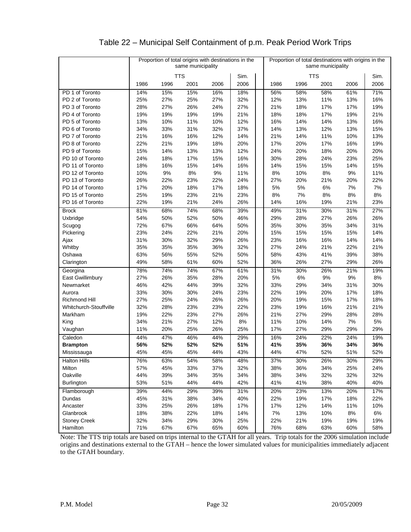# Table 22 – Municipal Self Containment of p.m. Peak Period Work Trips

|                        |      | Proportion of total origins with destinations in the<br>same municipality |            |      |      | Proportion of total destinations with origins in the<br>same municipality |       |            |      |      |      |
|------------------------|------|---------------------------------------------------------------------------|------------|------|------|---------------------------------------------------------------------------|-------|------------|------|------|------|
|                        |      |                                                                           | <b>TTS</b> |      | Sim. |                                                                           |       | <b>TTS</b> |      |      | Sim. |
|                        | 1986 | 1996                                                                      | 2001       | 2006 | 2006 |                                                                           | 1986  | 1996       | 2001 | 2006 | 2006 |
| PD 1 of Toronto        | 14%  | 15%                                                                       | 15%        | 16%  | 18%  |                                                                           | 56%   | 58%        | 58%  | 61%  | 71%  |
| PD 2 of Toronto        | 25%  | 27%                                                                       | 25%        | 27%  | 32%  |                                                                           | 12%   | 13%        | 11%  | 13%  | 16%  |
| PD 3 of Toronto        | 28%  | 27%                                                                       | 26%        | 24%  | 27%  |                                                                           | 21%   | 18%        | 17%  | 17%  | 19%  |
| PD 4 of Toronto        | 19%  | 19%                                                                       | 19%        | 19%  | 21%  |                                                                           | 18%   | 18%        | 17%  | 19%  | 21%  |
| PD 5 of Toronto        | 13%  | 10%                                                                       | 11%        | 10%  | 12%  |                                                                           | 16%   | 14%        | 14%  | 13%  | 16%  |
| PD 6 of Toronto        | 34%  | 33%                                                                       | 31%        | 32%  | 37%  |                                                                           | 14%   | 13%        | 12%  | 13%  | 15%  |
| PD 7 of Toronto        | 21%  | 16%                                                                       | 16%        | 12%  | 14%  |                                                                           | 21%   | 14%        | 11%  | 10%  | 13%  |
| PD 8 of Toronto        | 22%  | 21%                                                                       | 19%        | 18%  | 20%  |                                                                           | 17%   | 20%        | 17%  | 16%  | 19%  |
| PD 9 of Toronto        | 15%  | 14%                                                                       | 13%        | 13%  | 12%  |                                                                           | 24%   | 20%        | 18%  | 20%  | 20%  |
| PD 10 of Toronto       | 24%  | 18%                                                                       | 17%        | 15%  | 16%  |                                                                           | 30%   | 28%        | 24%  | 23%  | 25%  |
| PD 11 of Toronto       | 18%  | 16%                                                                       | 15%        | 14%  | 16%  |                                                                           | 14%   | 15%        | 15%  | 14%  | 15%  |
| PD 12 of Toronto       | 10%  | 9%                                                                        | 8%         | 9%   | 11%  |                                                                           | 8%    | 10%        | 8%   | 9%   | 11%  |
| PD 13 of Toronto       | 26%  | 22%                                                                       | 23%        | 22%  | 24%  |                                                                           | 27%   | 20%        | 21%  | 20%  | 22%  |
| PD 14 of Toronto       | 17%  | 20%                                                                       | 18%        | 17%  | 18%  |                                                                           | 5%    | 5%         | 6%   | 7%   | 7%   |
| PD 15 of Toronto       | 25%  | 19%                                                                       | 23%        | 21%  | 23%  |                                                                           | 8%    | 7%         | 8%   | 8%   | 8%   |
| PD 16 of Toronto       | 22%  | 19%                                                                       | 21%        | 24%  | 26%  |                                                                           | 14%   | 16%        | 19%  | 21%  | 23%  |
| <b>Brock</b>           | 81%  | 68%                                                                       | 74%        | 68%  | 39%  |                                                                           | 49%   | 31%        | 30%  | 31%  | 27%  |
| Uxbridge               | 54%  | 50%                                                                       | 52%        | 50%  | 46%  |                                                                           | 29%   | 28%        | 27%  | 26%  | 26%  |
| Scugog                 | 72%  | 67%                                                                       | 66%        | 64%  | 50%  |                                                                           | 35%   | 30%        | 35%  | 34%  | 31%  |
| Pickering              | 23%  | 24%                                                                       | 22%        | 21%  | 20%  |                                                                           | 15%   | 15%        | 15%  | 15%  | 14%  |
| Ajax                   | 31%  | 30%                                                                       | 32%        | 29%  | 26%  |                                                                           | 23%   | 16%        | 16%  | 14%  | 14%  |
| Whitby                 | 35%  | 35%                                                                       | 35%        | 36%  | 32%  |                                                                           | 27%   | 24%        | 21%  | 22%  | 21%  |
| Oshawa                 | 63%  | 56%                                                                       | 55%        | 52%  | 50%  |                                                                           | 58%   | 43%        | 41%  | 39%  | 38%  |
| Clarington             | 49%  | 58%                                                                       | 61%        | 60%  | 52%  |                                                                           | 36%   | 26%        | 27%  | 29%  | 26%  |
| Georgina               | 78%  | 74%                                                                       | 74%        | 67%  | 61%  |                                                                           | 31%   | 30%        | 26%  | 21%  | 19%  |
| East Gwillimbury       | 27%  | 26%                                                                       | 35%        | 28%  | 20%  |                                                                           | 5%    | 6%         | 9%   | 9%   | 8%   |
| Newmarket              | 46%  | 42%                                                                       | 44%        | 39%  | 32%  |                                                                           | 33%   | 29%        | 34%  | 31%  | 30%  |
| Aurora                 | 33%  | 30%                                                                       | 30%        | 24%  | 23%  |                                                                           | 22%   | 19%        | 20%  | 17%  | 18%  |
| <b>Richmond Hill</b>   | 27%  | 25%                                                                       | 24%        | 26%  | 26%  |                                                                           | 20%   | 19%        | 15%  | 17%  | 18%  |
| Whitchurch-Stouffville | 32%  | 28%                                                                       | 23%        | 23%  | 22%  |                                                                           | 23%   | 19%        | 16%  | 21%  | 21%  |
| Markham                | 19%  | 22%                                                                       | 23%        | 27%  | 26%  |                                                                           | 21%   | 27%        | 29%  | 28%  | 28%  |
| King                   | 34%  | 21%                                                                       | 27%        | 12%  | 8%   |                                                                           | 11%   | 10%        | 14%  | 7%   | 5%   |
| Vaughan                | 11%  | 20%                                                                       | 25%        | 26%  | 25%  |                                                                           | 17%   | 27%        | 29%  | 29%  | 29%  |
| Caledon                | 44%  | 47%                                                                       | 46%        | 44%  | 29%  |                                                                           | 16%   | 24%        | 22%  | 24%  | 19%  |
| <b>Brampton</b>        | 56%  | 52%                                                                       | 52%        | 52%  | 51%  |                                                                           | 41%   | 35%        | 36%  | 34%  | 36%  |
| Mississauga            | 45%  | 45%                                                                       | 45%        | 44%  | 43%  |                                                                           | 44%   | 47%        | 52%  | 51%  | 52%  |
| <b>Halton Hills</b>    | 76%  | 63%                                                                       | 54%        | 58%  | 48%  |                                                                           | 37%   | 30%        | 26%  | 30%  | 29%  |
| Milton                 | 57%  | 45%                                                                       | 33%        | 37%  | 32%  |                                                                           | 38%   | 36%        | 34%  | 25%  | 24%  |
| Oakville               | 44%  | 39%                                                                       | 34%        | 35%  | 34%  |                                                                           | 38%   | 34%        | 32%  | 32%  | 32%  |
| Burlington             | 53%  | 51%                                                                       | 44%        | 44%  | 42%  |                                                                           | 41%   | 41%        | 38%  | 40%  | 40%  |
| Flamborough            | 39%  | 44%                                                                       | 29%        | 39%  | 31%  |                                                                           | 20%   | 23%        | 13%  | 20%  | 17%  |
| Dundas                 | 45%  | 31%                                                                       | 38%        | 34%  | 40%  |                                                                           | 22%   | 19%        | 17%  | 18%  | 22%  |
| Ancaster               | 33%  | 25%                                                                       | 26%        | 18%  | 17%  |                                                                           | 17%   | 12%        | 14%  | 11%  | 10%  |
| Glanbrook              | 18%  | 38%                                                                       | 22%        | 18%  | 14%  |                                                                           | $7\%$ | 13%        | 10%  | 8%   | 6%   |
| <b>Stoney Creek</b>    | 32%  | 34%                                                                       | 29%        | 30%  | 25%  |                                                                           | 22%   | 21%        | 19%  | 19%  | 19%  |
| Hamilton               | 71%  | 67%                                                                       | 67%        | 65%  | 60%  |                                                                           | 76%   | 68%        | 63%  | 60%  | 58%  |

Note: The TTS trip totals are based on trips internal to the GTAH for all years. Trip totals for the 2006 simulation include origins and destinations external to the GTAH – hence the lower simulated values for municipalities immediately adjacent to the GTAH boundary.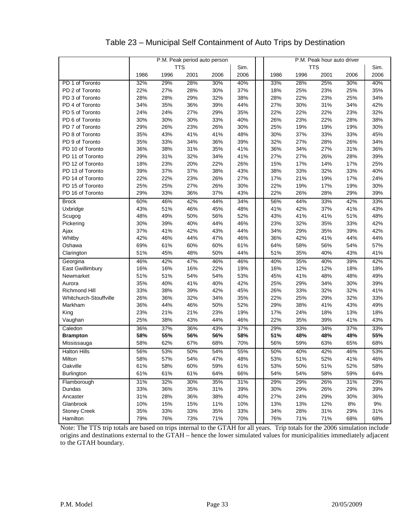# Table 23 – Municipal Self Containment of Auto Trips by Destination

| <b>TTS</b><br>TTS<br>Sim.<br>Sim.<br>1996<br>2006<br>1986<br>2001<br>2006<br>2006<br>1986<br>1996<br>2001<br>2006<br>PD 1 of Toronto<br>32%<br>29%<br>28%<br>30%<br>40%<br>28%<br>25%<br>30%<br>40%<br>33%<br>22%<br>28%<br>30%<br>37%<br>18%<br>35%<br>PD 2 of Toronto<br>27%<br>25%<br>23%<br>25%<br>28%<br>32%<br>38%<br>22%<br>23%<br>34%<br>PD 3 of Toronto<br>28%<br>29%<br>28%<br>25%<br>34%<br>35%<br>36%<br>44%<br>27%<br>30%<br>31%<br>42%<br>PD 4 of Toronto<br>39%<br>34%<br>24%<br>27%<br>29%<br>35%<br>22%<br>22%<br>22%<br>23%<br>32%<br>PD 5 of Toronto<br>24%<br>30%<br>40%<br>26%<br>38%<br>PD 6 of Toronto<br>30%<br>30%<br>33%<br>23%<br>22%<br>28%<br>25%<br>30%<br>PD 7 of Toronto<br>29%<br>26%<br>23%<br>26%<br>30%<br>19%<br>19%<br>19%<br>35%<br>41%<br>48%<br>30%<br>37%<br>33%<br>33%<br>45%<br>PD 8 of Toronto<br>43%<br>41%<br>35%<br>33%<br>34%<br>39%<br>32%<br>27%<br>28%<br>34%<br>PD 9 of Toronto<br>36%<br>26%<br>36%<br>31%<br>36%<br>27%<br>36%<br>PD 10 of Toronto<br>38%<br>35%<br>41%<br>34%<br>31%<br>27%<br>39%<br>PD 11 of Toronto<br>29%<br>31%<br>32%<br>34%<br>41%<br>27%<br>26%<br>28%<br>PD 12 of Toronto<br>18%<br>23%<br>20%<br>22%<br>26%<br>15%<br>17%<br>14%<br>17%<br>25%<br>PD 13 of Toronto<br>39%<br>37%<br>37%<br>38%<br>32%<br>40%<br>38%<br>43%<br>33%<br>33%<br>PD 14 of Toronto<br>27%<br>17%<br>24%<br>22%<br>22%<br>23%<br>26%<br>21%<br>19%<br>17%<br>PD 15 of Toronto<br>25%<br>25%<br>27%<br>30%<br>22%<br>19%<br>17%<br>30%<br>26%<br>19%<br>PD 16 of Toronto<br>29%<br>33%<br>36%<br>37%<br>43%<br>22%<br>26%<br>28%<br>29%<br>39%<br>60%<br>46%<br>42%<br>44%<br>34%<br>56%<br>44%<br>33%<br>42%<br>33%<br><b>Brock</b><br>43%<br>51%<br>46%<br>45%<br>48%<br>41%<br>42%<br>37%<br>41%<br>43%<br>Uxbridge<br>48%<br>49%<br>56%<br>52%<br>43%<br>41%<br>41%<br>48%<br>50%<br>51%<br>Scugog<br>30%<br>46%<br>23%<br>42%<br>Pickering<br>39%<br>40%<br>44%<br>32%<br>35%<br>33%<br>37%<br>44%<br>34%<br>29%<br>42%<br>Ajax<br>41%<br>42%<br>43%<br>35%<br>39%<br>Whitby<br>42%<br>44%<br>46%<br>36%<br>42%<br>41%<br>44%<br>46%<br>47%<br>44%<br>69%<br>61%<br>60%<br>60%<br>61%<br>64%<br>58%<br>56%<br>54%<br>57%<br>Oshawa<br>51%<br>51%<br>41%<br>45%<br>48%<br>50%<br>44%<br>35%<br>40%<br>43%<br>Clarington<br>35%<br>42%<br>46%<br>42%<br>47%<br>46%<br>46%<br>40%<br>40%<br>39%<br>Georgina<br>East Gwillimbury<br>16%<br>16%<br>16%<br>22%<br>19%<br>16%<br>12%<br>12%<br>18%<br>18%<br>51%<br>53%<br>45%<br>49%<br>Newmarket<br>51%<br>54%<br>54%<br>41%<br>48%<br>48%<br>35%<br>42%<br>25%<br>29%<br>39%<br>40%<br>41%<br>40%<br>34%<br>30%<br>Aurora<br><b>Richmond Hill</b><br>33%<br>39%<br>45%<br>26%<br>33%<br>32%<br>41%<br>38%<br>42%<br>32%<br>26%<br>32%<br>34%<br>35%<br>22%<br>25%<br>29%<br>32%<br>33%<br>Whitchurch-Stouffville<br>36%<br>36%<br>52%<br>29%<br>49%<br>Markham<br>44%<br>46%<br>50%<br>38%<br>41%<br>43%<br>17%<br>King<br>23%<br>21%<br>21%<br>23%<br>19%<br>24%<br>18%<br>13%<br>18%<br>25%<br>44%<br>22%<br>43%<br>38%<br>43%<br>46%<br>35%<br>39%<br>41%<br>Vaughan<br>37%<br>36%<br>37%<br>Caledon<br>36%<br>43%<br>29%<br>33%<br>34%<br>37%<br>33%<br>58%<br>55%<br>58%<br>51%<br>55%<br><b>Brampton</b><br>56%<br>56%<br>48%<br>48%<br>48%<br>56%<br>58%<br>62%<br>67%<br>68%<br>70%<br>59%<br>63%<br>65%<br>68%<br>Mississauga<br>53%<br>55%<br>50%<br>42%<br><b>Halton Hills</b><br>56%<br>50%<br>54%<br>40%<br>46%<br>53%<br>Milton<br>58%<br>57%<br>54%<br>47%<br>48%<br>53%<br>51%<br>52%<br>41%<br>46%<br>61%<br>58%<br>60%<br>53%<br>50%<br>51%<br>Oakville<br>59%<br>61%<br>52%<br>58%<br>61%<br>61%<br>61%<br>66%<br>54%<br>58%<br>64%<br><b>Burlington</b><br>64%<br>54%<br>59%<br>32%<br>Flamborough<br>31%<br>30%<br>31%<br>29%<br>29%<br>26%<br>31%<br>29%<br>35%<br>33%<br>35%<br>39%<br>30%<br>29%<br>39%<br>Dundas<br>36%<br>31%<br>26%<br>29%<br>31%<br>28%<br>40%<br>27%<br>Ancaster<br>36%<br>38%<br>24%<br>29%<br>30%<br>36%<br>Glanbrook<br>10%<br>15%<br>15%<br>10%<br>13%<br>13%<br>12%<br>8%<br>9%<br>11%<br>34%<br><b>Stoney Creek</b><br>35%<br>33%<br>33%<br>35%<br>33%<br>28%<br>31%<br>29%<br>31% |          |     |     | P.M. Peak period auto person |     |     |     |     | P.M. Peak hour auto driver |     |     |
|--------------------------------------------------------------------------------------------------------------------------------------------------------------------------------------------------------------------------------------------------------------------------------------------------------------------------------------------------------------------------------------------------------------------------------------------------------------------------------------------------------------------------------------------------------------------------------------------------------------------------------------------------------------------------------------------------------------------------------------------------------------------------------------------------------------------------------------------------------------------------------------------------------------------------------------------------------------------------------------------------------------------------------------------------------------------------------------------------------------------------------------------------------------------------------------------------------------------------------------------------------------------------------------------------------------------------------------------------------------------------------------------------------------------------------------------------------------------------------------------------------------------------------------------------------------------------------------------------------------------------------------------------------------------------------------------------------------------------------------------------------------------------------------------------------------------------------------------------------------------------------------------------------------------------------------------------------------------------------------------------------------------------------------------------------------------------------------------------------------------------------------------------------------------------------------------------------------------------------------------------------------------------------------------------------------------------------------------------------------------------------------------------------------------------------------------------------------------------------------------------------------------------------------------------------------------------------------------------------------------------------------------------------------------------------------------------------------------------------------------------------------------------------------------------------------------------------------------------------------------------------------------------------------------------------------------------------------------------------------------------------------------------------------------------------------------------------------------------------------------------------------------------------------------------------------------------------------------------------------------------------------------------------------------------------------------------------------------------------------------------------------------------------------------------------------------------------------------------------------------------------------------------------------------------------------------------------------------------------------------------------------------------------------------------------------------------------------------------------------------------------------------------------------------------------------------------------------------------------------------------------------------------------------------------------------------------------------------------------------------------------------------------------------------------------------------------------------------------------------------------------------------------|----------|-----|-----|------------------------------|-----|-----|-----|-----|----------------------------|-----|-----|
|                                                                                                                                                                                                                                                                                                                                                                                                                                                                                                                                                                                                                                                                                                                                                                                                                                                                                                                                                                                                                                                                                                                                                                                                                                                                                                                                                                                                                                                                                                                                                                                                                                                                                                                                                                                                                                                                                                                                                                                                                                                                                                                                                                                                                                                                                                                                                                                                                                                                                                                                                                                                                                                                                                                                                                                                                                                                                                                                                                                                                                                                                                                                                                                                                                                                                                                                                                                                                                                                                                                                                                                                                                                                                                                                                                                                                                                                                                                                                                                                                                                                                                                                                  |          |     |     |                              |     |     |     |     |                            |     |     |
|                                                                                                                                                                                                                                                                                                                                                                                                                                                                                                                                                                                                                                                                                                                                                                                                                                                                                                                                                                                                                                                                                                                                                                                                                                                                                                                                                                                                                                                                                                                                                                                                                                                                                                                                                                                                                                                                                                                                                                                                                                                                                                                                                                                                                                                                                                                                                                                                                                                                                                                                                                                                                                                                                                                                                                                                                                                                                                                                                                                                                                                                                                                                                                                                                                                                                                                                                                                                                                                                                                                                                                                                                                                                                                                                                                                                                                                                                                                                                                                                                                                                                                                                                  |          |     |     |                              |     |     |     |     |                            |     |     |
|                                                                                                                                                                                                                                                                                                                                                                                                                                                                                                                                                                                                                                                                                                                                                                                                                                                                                                                                                                                                                                                                                                                                                                                                                                                                                                                                                                                                                                                                                                                                                                                                                                                                                                                                                                                                                                                                                                                                                                                                                                                                                                                                                                                                                                                                                                                                                                                                                                                                                                                                                                                                                                                                                                                                                                                                                                                                                                                                                                                                                                                                                                                                                                                                                                                                                                                                                                                                                                                                                                                                                                                                                                                                                                                                                                                                                                                                                                                                                                                                                                                                                                                                                  |          |     |     |                              |     |     |     |     |                            |     |     |
|                                                                                                                                                                                                                                                                                                                                                                                                                                                                                                                                                                                                                                                                                                                                                                                                                                                                                                                                                                                                                                                                                                                                                                                                                                                                                                                                                                                                                                                                                                                                                                                                                                                                                                                                                                                                                                                                                                                                                                                                                                                                                                                                                                                                                                                                                                                                                                                                                                                                                                                                                                                                                                                                                                                                                                                                                                                                                                                                                                                                                                                                                                                                                                                                                                                                                                                                                                                                                                                                                                                                                                                                                                                                                                                                                                                                                                                                                                                                                                                                                                                                                                                                                  |          |     |     |                              |     |     |     |     |                            |     |     |
|                                                                                                                                                                                                                                                                                                                                                                                                                                                                                                                                                                                                                                                                                                                                                                                                                                                                                                                                                                                                                                                                                                                                                                                                                                                                                                                                                                                                                                                                                                                                                                                                                                                                                                                                                                                                                                                                                                                                                                                                                                                                                                                                                                                                                                                                                                                                                                                                                                                                                                                                                                                                                                                                                                                                                                                                                                                                                                                                                                                                                                                                                                                                                                                                                                                                                                                                                                                                                                                                                                                                                                                                                                                                                                                                                                                                                                                                                                                                                                                                                                                                                                                                                  |          |     |     |                              |     |     |     |     |                            |     |     |
|                                                                                                                                                                                                                                                                                                                                                                                                                                                                                                                                                                                                                                                                                                                                                                                                                                                                                                                                                                                                                                                                                                                                                                                                                                                                                                                                                                                                                                                                                                                                                                                                                                                                                                                                                                                                                                                                                                                                                                                                                                                                                                                                                                                                                                                                                                                                                                                                                                                                                                                                                                                                                                                                                                                                                                                                                                                                                                                                                                                                                                                                                                                                                                                                                                                                                                                                                                                                                                                                                                                                                                                                                                                                                                                                                                                                                                                                                                                                                                                                                                                                                                                                                  |          |     |     |                              |     |     |     |     |                            |     |     |
|                                                                                                                                                                                                                                                                                                                                                                                                                                                                                                                                                                                                                                                                                                                                                                                                                                                                                                                                                                                                                                                                                                                                                                                                                                                                                                                                                                                                                                                                                                                                                                                                                                                                                                                                                                                                                                                                                                                                                                                                                                                                                                                                                                                                                                                                                                                                                                                                                                                                                                                                                                                                                                                                                                                                                                                                                                                                                                                                                                                                                                                                                                                                                                                                                                                                                                                                                                                                                                                                                                                                                                                                                                                                                                                                                                                                                                                                                                                                                                                                                                                                                                                                                  |          |     |     |                              |     |     |     |     |                            |     |     |
|                                                                                                                                                                                                                                                                                                                                                                                                                                                                                                                                                                                                                                                                                                                                                                                                                                                                                                                                                                                                                                                                                                                                                                                                                                                                                                                                                                                                                                                                                                                                                                                                                                                                                                                                                                                                                                                                                                                                                                                                                                                                                                                                                                                                                                                                                                                                                                                                                                                                                                                                                                                                                                                                                                                                                                                                                                                                                                                                                                                                                                                                                                                                                                                                                                                                                                                                                                                                                                                                                                                                                                                                                                                                                                                                                                                                                                                                                                                                                                                                                                                                                                                                                  |          |     |     |                              |     |     |     |     |                            |     |     |
|                                                                                                                                                                                                                                                                                                                                                                                                                                                                                                                                                                                                                                                                                                                                                                                                                                                                                                                                                                                                                                                                                                                                                                                                                                                                                                                                                                                                                                                                                                                                                                                                                                                                                                                                                                                                                                                                                                                                                                                                                                                                                                                                                                                                                                                                                                                                                                                                                                                                                                                                                                                                                                                                                                                                                                                                                                                                                                                                                                                                                                                                                                                                                                                                                                                                                                                                                                                                                                                                                                                                                                                                                                                                                                                                                                                                                                                                                                                                                                                                                                                                                                                                                  |          |     |     |                              |     |     |     |     |                            |     |     |
|                                                                                                                                                                                                                                                                                                                                                                                                                                                                                                                                                                                                                                                                                                                                                                                                                                                                                                                                                                                                                                                                                                                                                                                                                                                                                                                                                                                                                                                                                                                                                                                                                                                                                                                                                                                                                                                                                                                                                                                                                                                                                                                                                                                                                                                                                                                                                                                                                                                                                                                                                                                                                                                                                                                                                                                                                                                                                                                                                                                                                                                                                                                                                                                                                                                                                                                                                                                                                                                                                                                                                                                                                                                                                                                                                                                                                                                                                                                                                                                                                                                                                                                                                  |          |     |     |                              |     |     |     |     |                            |     |     |
|                                                                                                                                                                                                                                                                                                                                                                                                                                                                                                                                                                                                                                                                                                                                                                                                                                                                                                                                                                                                                                                                                                                                                                                                                                                                                                                                                                                                                                                                                                                                                                                                                                                                                                                                                                                                                                                                                                                                                                                                                                                                                                                                                                                                                                                                                                                                                                                                                                                                                                                                                                                                                                                                                                                                                                                                                                                                                                                                                                                                                                                                                                                                                                                                                                                                                                                                                                                                                                                                                                                                                                                                                                                                                                                                                                                                                                                                                                                                                                                                                                                                                                                                                  |          |     |     |                              |     |     |     |     |                            |     |     |
|                                                                                                                                                                                                                                                                                                                                                                                                                                                                                                                                                                                                                                                                                                                                                                                                                                                                                                                                                                                                                                                                                                                                                                                                                                                                                                                                                                                                                                                                                                                                                                                                                                                                                                                                                                                                                                                                                                                                                                                                                                                                                                                                                                                                                                                                                                                                                                                                                                                                                                                                                                                                                                                                                                                                                                                                                                                                                                                                                                                                                                                                                                                                                                                                                                                                                                                                                                                                                                                                                                                                                                                                                                                                                                                                                                                                                                                                                                                                                                                                                                                                                                                                                  |          |     |     |                              |     |     |     |     |                            |     |     |
|                                                                                                                                                                                                                                                                                                                                                                                                                                                                                                                                                                                                                                                                                                                                                                                                                                                                                                                                                                                                                                                                                                                                                                                                                                                                                                                                                                                                                                                                                                                                                                                                                                                                                                                                                                                                                                                                                                                                                                                                                                                                                                                                                                                                                                                                                                                                                                                                                                                                                                                                                                                                                                                                                                                                                                                                                                                                                                                                                                                                                                                                                                                                                                                                                                                                                                                                                                                                                                                                                                                                                                                                                                                                                                                                                                                                                                                                                                                                                                                                                                                                                                                                                  |          |     |     |                              |     |     |     |     |                            |     |     |
|                                                                                                                                                                                                                                                                                                                                                                                                                                                                                                                                                                                                                                                                                                                                                                                                                                                                                                                                                                                                                                                                                                                                                                                                                                                                                                                                                                                                                                                                                                                                                                                                                                                                                                                                                                                                                                                                                                                                                                                                                                                                                                                                                                                                                                                                                                                                                                                                                                                                                                                                                                                                                                                                                                                                                                                                                                                                                                                                                                                                                                                                                                                                                                                                                                                                                                                                                                                                                                                                                                                                                                                                                                                                                                                                                                                                                                                                                                                                                                                                                                                                                                                                                  |          |     |     |                              |     |     |     |     |                            |     |     |
|                                                                                                                                                                                                                                                                                                                                                                                                                                                                                                                                                                                                                                                                                                                                                                                                                                                                                                                                                                                                                                                                                                                                                                                                                                                                                                                                                                                                                                                                                                                                                                                                                                                                                                                                                                                                                                                                                                                                                                                                                                                                                                                                                                                                                                                                                                                                                                                                                                                                                                                                                                                                                                                                                                                                                                                                                                                                                                                                                                                                                                                                                                                                                                                                                                                                                                                                                                                                                                                                                                                                                                                                                                                                                                                                                                                                                                                                                                                                                                                                                                                                                                                                                  |          |     |     |                              |     |     |     |     |                            |     |     |
|                                                                                                                                                                                                                                                                                                                                                                                                                                                                                                                                                                                                                                                                                                                                                                                                                                                                                                                                                                                                                                                                                                                                                                                                                                                                                                                                                                                                                                                                                                                                                                                                                                                                                                                                                                                                                                                                                                                                                                                                                                                                                                                                                                                                                                                                                                                                                                                                                                                                                                                                                                                                                                                                                                                                                                                                                                                                                                                                                                                                                                                                                                                                                                                                                                                                                                                                                                                                                                                                                                                                                                                                                                                                                                                                                                                                                                                                                                                                                                                                                                                                                                                                                  |          |     |     |                              |     |     |     |     |                            |     |     |
|                                                                                                                                                                                                                                                                                                                                                                                                                                                                                                                                                                                                                                                                                                                                                                                                                                                                                                                                                                                                                                                                                                                                                                                                                                                                                                                                                                                                                                                                                                                                                                                                                                                                                                                                                                                                                                                                                                                                                                                                                                                                                                                                                                                                                                                                                                                                                                                                                                                                                                                                                                                                                                                                                                                                                                                                                                                                                                                                                                                                                                                                                                                                                                                                                                                                                                                                                                                                                                                                                                                                                                                                                                                                                                                                                                                                                                                                                                                                                                                                                                                                                                                                                  |          |     |     |                              |     |     |     |     |                            |     |     |
|                                                                                                                                                                                                                                                                                                                                                                                                                                                                                                                                                                                                                                                                                                                                                                                                                                                                                                                                                                                                                                                                                                                                                                                                                                                                                                                                                                                                                                                                                                                                                                                                                                                                                                                                                                                                                                                                                                                                                                                                                                                                                                                                                                                                                                                                                                                                                                                                                                                                                                                                                                                                                                                                                                                                                                                                                                                                                                                                                                                                                                                                                                                                                                                                                                                                                                                                                                                                                                                                                                                                                                                                                                                                                                                                                                                                                                                                                                                                                                                                                                                                                                                                                  |          |     |     |                              |     |     |     |     |                            |     |     |
|                                                                                                                                                                                                                                                                                                                                                                                                                                                                                                                                                                                                                                                                                                                                                                                                                                                                                                                                                                                                                                                                                                                                                                                                                                                                                                                                                                                                                                                                                                                                                                                                                                                                                                                                                                                                                                                                                                                                                                                                                                                                                                                                                                                                                                                                                                                                                                                                                                                                                                                                                                                                                                                                                                                                                                                                                                                                                                                                                                                                                                                                                                                                                                                                                                                                                                                                                                                                                                                                                                                                                                                                                                                                                                                                                                                                                                                                                                                                                                                                                                                                                                                                                  |          |     |     |                              |     |     |     |     |                            |     |     |
|                                                                                                                                                                                                                                                                                                                                                                                                                                                                                                                                                                                                                                                                                                                                                                                                                                                                                                                                                                                                                                                                                                                                                                                                                                                                                                                                                                                                                                                                                                                                                                                                                                                                                                                                                                                                                                                                                                                                                                                                                                                                                                                                                                                                                                                                                                                                                                                                                                                                                                                                                                                                                                                                                                                                                                                                                                                                                                                                                                                                                                                                                                                                                                                                                                                                                                                                                                                                                                                                                                                                                                                                                                                                                                                                                                                                                                                                                                                                                                                                                                                                                                                                                  |          |     |     |                              |     |     |     |     |                            |     |     |
|                                                                                                                                                                                                                                                                                                                                                                                                                                                                                                                                                                                                                                                                                                                                                                                                                                                                                                                                                                                                                                                                                                                                                                                                                                                                                                                                                                                                                                                                                                                                                                                                                                                                                                                                                                                                                                                                                                                                                                                                                                                                                                                                                                                                                                                                                                                                                                                                                                                                                                                                                                                                                                                                                                                                                                                                                                                                                                                                                                                                                                                                                                                                                                                                                                                                                                                                                                                                                                                                                                                                                                                                                                                                                                                                                                                                                                                                                                                                                                                                                                                                                                                                                  |          |     |     |                              |     |     |     |     |                            |     |     |
|                                                                                                                                                                                                                                                                                                                                                                                                                                                                                                                                                                                                                                                                                                                                                                                                                                                                                                                                                                                                                                                                                                                                                                                                                                                                                                                                                                                                                                                                                                                                                                                                                                                                                                                                                                                                                                                                                                                                                                                                                                                                                                                                                                                                                                                                                                                                                                                                                                                                                                                                                                                                                                                                                                                                                                                                                                                                                                                                                                                                                                                                                                                                                                                                                                                                                                                                                                                                                                                                                                                                                                                                                                                                                                                                                                                                                                                                                                                                                                                                                                                                                                                                                  |          |     |     |                              |     |     |     |     |                            |     |     |
|                                                                                                                                                                                                                                                                                                                                                                                                                                                                                                                                                                                                                                                                                                                                                                                                                                                                                                                                                                                                                                                                                                                                                                                                                                                                                                                                                                                                                                                                                                                                                                                                                                                                                                                                                                                                                                                                                                                                                                                                                                                                                                                                                                                                                                                                                                                                                                                                                                                                                                                                                                                                                                                                                                                                                                                                                                                                                                                                                                                                                                                                                                                                                                                                                                                                                                                                                                                                                                                                                                                                                                                                                                                                                                                                                                                                                                                                                                                                                                                                                                                                                                                                                  |          |     |     |                              |     |     |     |     |                            |     |     |
|                                                                                                                                                                                                                                                                                                                                                                                                                                                                                                                                                                                                                                                                                                                                                                                                                                                                                                                                                                                                                                                                                                                                                                                                                                                                                                                                                                                                                                                                                                                                                                                                                                                                                                                                                                                                                                                                                                                                                                                                                                                                                                                                                                                                                                                                                                                                                                                                                                                                                                                                                                                                                                                                                                                                                                                                                                                                                                                                                                                                                                                                                                                                                                                                                                                                                                                                                                                                                                                                                                                                                                                                                                                                                                                                                                                                                                                                                                                                                                                                                                                                                                                                                  |          |     |     |                              |     |     |     |     |                            |     |     |
|                                                                                                                                                                                                                                                                                                                                                                                                                                                                                                                                                                                                                                                                                                                                                                                                                                                                                                                                                                                                                                                                                                                                                                                                                                                                                                                                                                                                                                                                                                                                                                                                                                                                                                                                                                                                                                                                                                                                                                                                                                                                                                                                                                                                                                                                                                                                                                                                                                                                                                                                                                                                                                                                                                                                                                                                                                                                                                                                                                                                                                                                                                                                                                                                                                                                                                                                                                                                                                                                                                                                                                                                                                                                                                                                                                                                                                                                                                                                                                                                                                                                                                                                                  |          |     |     |                              |     |     |     |     |                            |     |     |
|                                                                                                                                                                                                                                                                                                                                                                                                                                                                                                                                                                                                                                                                                                                                                                                                                                                                                                                                                                                                                                                                                                                                                                                                                                                                                                                                                                                                                                                                                                                                                                                                                                                                                                                                                                                                                                                                                                                                                                                                                                                                                                                                                                                                                                                                                                                                                                                                                                                                                                                                                                                                                                                                                                                                                                                                                                                                                                                                                                                                                                                                                                                                                                                                                                                                                                                                                                                                                                                                                                                                                                                                                                                                                                                                                                                                                                                                                                                                                                                                                                                                                                                                                  |          |     |     |                              |     |     |     |     |                            |     |     |
|                                                                                                                                                                                                                                                                                                                                                                                                                                                                                                                                                                                                                                                                                                                                                                                                                                                                                                                                                                                                                                                                                                                                                                                                                                                                                                                                                                                                                                                                                                                                                                                                                                                                                                                                                                                                                                                                                                                                                                                                                                                                                                                                                                                                                                                                                                                                                                                                                                                                                                                                                                                                                                                                                                                                                                                                                                                                                                                                                                                                                                                                                                                                                                                                                                                                                                                                                                                                                                                                                                                                                                                                                                                                                                                                                                                                                                                                                                                                                                                                                                                                                                                                                  |          |     |     |                              |     |     |     |     |                            |     |     |
|                                                                                                                                                                                                                                                                                                                                                                                                                                                                                                                                                                                                                                                                                                                                                                                                                                                                                                                                                                                                                                                                                                                                                                                                                                                                                                                                                                                                                                                                                                                                                                                                                                                                                                                                                                                                                                                                                                                                                                                                                                                                                                                                                                                                                                                                                                                                                                                                                                                                                                                                                                                                                                                                                                                                                                                                                                                                                                                                                                                                                                                                                                                                                                                                                                                                                                                                                                                                                                                                                                                                                                                                                                                                                                                                                                                                                                                                                                                                                                                                                                                                                                                                                  |          |     |     |                              |     |     |     |     |                            |     |     |
|                                                                                                                                                                                                                                                                                                                                                                                                                                                                                                                                                                                                                                                                                                                                                                                                                                                                                                                                                                                                                                                                                                                                                                                                                                                                                                                                                                                                                                                                                                                                                                                                                                                                                                                                                                                                                                                                                                                                                                                                                                                                                                                                                                                                                                                                                                                                                                                                                                                                                                                                                                                                                                                                                                                                                                                                                                                                                                                                                                                                                                                                                                                                                                                                                                                                                                                                                                                                                                                                                                                                                                                                                                                                                                                                                                                                                                                                                                                                                                                                                                                                                                                                                  |          |     |     |                              |     |     |     |     |                            |     |     |
|                                                                                                                                                                                                                                                                                                                                                                                                                                                                                                                                                                                                                                                                                                                                                                                                                                                                                                                                                                                                                                                                                                                                                                                                                                                                                                                                                                                                                                                                                                                                                                                                                                                                                                                                                                                                                                                                                                                                                                                                                                                                                                                                                                                                                                                                                                                                                                                                                                                                                                                                                                                                                                                                                                                                                                                                                                                                                                                                                                                                                                                                                                                                                                                                                                                                                                                                                                                                                                                                                                                                                                                                                                                                                                                                                                                                                                                                                                                                                                                                                                                                                                                                                  |          |     |     |                              |     |     |     |     |                            |     |     |
|                                                                                                                                                                                                                                                                                                                                                                                                                                                                                                                                                                                                                                                                                                                                                                                                                                                                                                                                                                                                                                                                                                                                                                                                                                                                                                                                                                                                                                                                                                                                                                                                                                                                                                                                                                                                                                                                                                                                                                                                                                                                                                                                                                                                                                                                                                                                                                                                                                                                                                                                                                                                                                                                                                                                                                                                                                                                                                                                                                                                                                                                                                                                                                                                                                                                                                                                                                                                                                                                                                                                                                                                                                                                                                                                                                                                                                                                                                                                                                                                                                                                                                                                                  |          |     |     |                              |     |     |     |     |                            |     |     |
|                                                                                                                                                                                                                                                                                                                                                                                                                                                                                                                                                                                                                                                                                                                                                                                                                                                                                                                                                                                                                                                                                                                                                                                                                                                                                                                                                                                                                                                                                                                                                                                                                                                                                                                                                                                                                                                                                                                                                                                                                                                                                                                                                                                                                                                                                                                                                                                                                                                                                                                                                                                                                                                                                                                                                                                                                                                                                                                                                                                                                                                                                                                                                                                                                                                                                                                                                                                                                                                                                                                                                                                                                                                                                                                                                                                                                                                                                                                                                                                                                                                                                                                                                  |          |     |     |                              |     |     |     |     |                            |     |     |
|                                                                                                                                                                                                                                                                                                                                                                                                                                                                                                                                                                                                                                                                                                                                                                                                                                                                                                                                                                                                                                                                                                                                                                                                                                                                                                                                                                                                                                                                                                                                                                                                                                                                                                                                                                                                                                                                                                                                                                                                                                                                                                                                                                                                                                                                                                                                                                                                                                                                                                                                                                                                                                                                                                                                                                                                                                                                                                                                                                                                                                                                                                                                                                                                                                                                                                                                                                                                                                                                                                                                                                                                                                                                                                                                                                                                                                                                                                                                                                                                                                                                                                                                                  |          |     |     |                              |     |     |     |     |                            |     |     |
|                                                                                                                                                                                                                                                                                                                                                                                                                                                                                                                                                                                                                                                                                                                                                                                                                                                                                                                                                                                                                                                                                                                                                                                                                                                                                                                                                                                                                                                                                                                                                                                                                                                                                                                                                                                                                                                                                                                                                                                                                                                                                                                                                                                                                                                                                                                                                                                                                                                                                                                                                                                                                                                                                                                                                                                                                                                                                                                                                                                                                                                                                                                                                                                                                                                                                                                                                                                                                                                                                                                                                                                                                                                                                                                                                                                                                                                                                                                                                                                                                                                                                                                                                  |          |     |     |                              |     |     |     |     |                            |     |     |
|                                                                                                                                                                                                                                                                                                                                                                                                                                                                                                                                                                                                                                                                                                                                                                                                                                                                                                                                                                                                                                                                                                                                                                                                                                                                                                                                                                                                                                                                                                                                                                                                                                                                                                                                                                                                                                                                                                                                                                                                                                                                                                                                                                                                                                                                                                                                                                                                                                                                                                                                                                                                                                                                                                                                                                                                                                                                                                                                                                                                                                                                                                                                                                                                                                                                                                                                                                                                                                                                                                                                                                                                                                                                                                                                                                                                                                                                                                                                                                                                                                                                                                                                                  |          |     |     |                              |     |     |     |     |                            |     |     |
|                                                                                                                                                                                                                                                                                                                                                                                                                                                                                                                                                                                                                                                                                                                                                                                                                                                                                                                                                                                                                                                                                                                                                                                                                                                                                                                                                                                                                                                                                                                                                                                                                                                                                                                                                                                                                                                                                                                                                                                                                                                                                                                                                                                                                                                                                                                                                                                                                                                                                                                                                                                                                                                                                                                                                                                                                                                                                                                                                                                                                                                                                                                                                                                                                                                                                                                                                                                                                                                                                                                                                                                                                                                                                                                                                                                                                                                                                                                                                                                                                                                                                                                                                  |          |     |     |                              |     |     |     |     |                            |     |     |
|                                                                                                                                                                                                                                                                                                                                                                                                                                                                                                                                                                                                                                                                                                                                                                                                                                                                                                                                                                                                                                                                                                                                                                                                                                                                                                                                                                                                                                                                                                                                                                                                                                                                                                                                                                                                                                                                                                                                                                                                                                                                                                                                                                                                                                                                                                                                                                                                                                                                                                                                                                                                                                                                                                                                                                                                                                                                                                                                                                                                                                                                                                                                                                                                                                                                                                                                                                                                                                                                                                                                                                                                                                                                                                                                                                                                                                                                                                                                                                                                                                                                                                                                                  |          |     |     |                              |     |     |     |     |                            |     |     |
|                                                                                                                                                                                                                                                                                                                                                                                                                                                                                                                                                                                                                                                                                                                                                                                                                                                                                                                                                                                                                                                                                                                                                                                                                                                                                                                                                                                                                                                                                                                                                                                                                                                                                                                                                                                                                                                                                                                                                                                                                                                                                                                                                                                                                                                                                                                                                                                                                                                                                                                                                                                                                                                                                                                                                                                                                                                                                                                                                                                                                                                                                                                                                                                                                                                                                                                                                                                                                                                                                                                                                                                                                                                                                                                                                                                                                                                                                                                                                                                                                                                                                                                                                  |          |     |     |                              |     |     |     |     |                            |     |     |
|                                                                                                                                                                                                                                                                                                                                                                                                                                                                                                                                                                                                                                                                                                                                                                                                                                                                                                                                                                                                                                                                                                                                                                                                                                                                                                                                                                                                                                                                                                                                                                                                                                                                                                                                                                                                                                                                                                                                                                                                                                                                                                                                                                                                                                                                                                                                                                                                                                                                                                                                                                                                                                                                                                                                                                                                                                                                                                                                                                                                                                                                                                                                                                                                                                                                                                                                                                                                                                                                                                                                                                                                                                                                                                                                                                                                                                                                                                                                                                                                                                                                                                                                                  |          |     |     |                              |     |     |     |     |                            |     |     |
|                                                                                                                                                                                                                                                                                                                                                                                                                                                                                                                                                                                                                                                                                                                                                                                                                                                                                                                                                                                                                                                                                                                                                                                                                                                                                                                                                                                                                                                                                                                                                                                                                                                                                                                                                                                                                                                                                                                                                                                                                                                                                                                                                                                                                                                                                                                                                                                                                                                                                                                                                                                                                                                                                                                                                                                                                                                                                                                                                                                                                                                                                                                                                                                                                                                                                                                                                                                                                                                                                                                                                                                                                                                                                                                                                                                                                                                                                                                                                                                                                                                                                                                                                  |          |     |     |                              |     |     |     |     |                            |     |     |
|                                                                                                                                                                                                                                                                                                                                                                                                                                                                                                                                                                                                                                                                                                                                                                                                                                                                                                                                                                                                                                                                                                                                                                                                                                                                                                                                                                                                                                                                                                                                                                                                                                                                                                                                                                                                                                                                                                                                                                                                                                                                                                                                                                                                                                                                                                                                                                                                                                                                                                                                                                                                                                                                                                                                                                                                                                                                                                                                                                                                                                                                                                                                                                                                                                                                                                                                                                                                                                                                                                                                                                                                                                                                                                                                                                                                                                                                                                                                                                                                                                                                                                                                                  |          |     |     |                              |     |     |     |     |                            |     |     |
|                                                                                                                                                                                                                                                                                                                                                                                                                                                                                                                                                                                                                                                                                                                                                                                                                                                                                                                                                                                                                                                                                                                                                                                                                                                                                                                                                                                                                                                                                                                                                                                                                                                                                                                                                                                                                                                                                                                                                                                                                                                                                                                                                                                                                                                                                                                                                                                                                                                                                                                                                                                                                                                                                                                                                                                                                                                                                                                                                                                                                                                                                                                                                                                                                                                                                                                                                                                                                                                                                                                                                                                                                                                                                                                                                                                                                                                                                                                                                                                                                                                                                                                                                  |          |     |     |                              |     |     |     |     |                            |     |     |
|                                                                                                                                                                                                                                                                                                                                                                                                                                                                                                                                                                                                                                                                                                                                                                                                                                                                                                                                                                                                                                                                                                                                                                                                                                                                                                                                                                                                                                                                                                                                                                                                                                                                                                                                                                                                                                                                                                                                                                                                                                                                                                                                                                                                                                                                                                                                                                                                                                                                                                                                                                                                                                                                                                                                                                                                                                                                                                                                                                                                                                                                                                                                                                                                                                                                                                                                                                                                                                                                                                                                                                                                                                                                                                                                                                                                                                                                                                                                                                                                                                                                                                                                                  |          |     |     |                              |     |     |     |     |                            |     |     |
|                                                                                                                                                                                                                                                                                                                                                                                                                                                                                                                                                                                                                                                                                                                                                                                                                                                                                                                                                                                                                                                                                                                                                                                                                                                                                                                                                                                                                                                                                                                                                                                                                                                                                                                                                                                                                                                                                                                                                                                                                                                                                                                                                                                                                                                                                                                                                                                                                                                                                                                                                                                                                                                                                                                                                                                                                                                                                                                                                                                                                                                                                                                                                                                                                                                                                                                                                                                                                                                                                                                                                                                                                                                                                                                                                                                                                                                                                                                                                                                                                                                                                                                                                  |          |     |     |                              |     |     |     |     |                            |     |     |
|                                                                                                                                                                                                                                                                                                                                                                                                                                                                                                                                                                                                                                                                                                                                                                                                                                                                                                                                                                                                                                                                                                                                                                                                                                                                                                                                                                                                                                                                                                                                                                                                                                                                                                                                                                                                                                                                                                                                                                                                                                                                                                                                                                                                                                                                                                                                                                                                                                                                                                                                                                                                                                                                                                                                                                                                                                                                                                                                                                                                                                                                                                                                                                                                                                                                                                                                                                                                                                                                                                                                                                                                                                                                                                                                                                                                                                                                                                                                                                                                                                                                                                                                                  |          |     |     |                              |     |     |     |     |                            |     |     |
|                                                                                                                                                                                                                                                                                                                                                                                                                                                                                                                                                                                                                                                                                                                                                                                                                                                                                                                                                                                                                                                                                                                                                                                                                                                                                                                                                                                                                                                                                                                                                                                                                                                                                                                                                                                                                                                                                                                                                                                                                                                                                                                                                                                                                                                                                                                                                                                                                                                                                                                                                                                                                                                                                                                                                                                                                                                                                                                                                                                                                                                                                                                                                                                                                                                                                                                                                                                                                                                                                                                                                                                                                                                                                                                                                                                                                                                                                                                                                                                                                                                                                                                                                  |          |     |     |                              |     |     |     |     |                            |     |     |
|                                                                                                                                                                                                                                                                                                                                                                                                                                                                                                                                                                                                                                                                                                                                                                                                                                                                                                                                                                                                                                                                                                                                                                                                                                                                                                                                                                                                                                                                                                                                                                                                                                                                                                                                                                                                                                                                                                                                                                                                                                                                                                                                                                                                                                                                                                                                                                                                                                                                                                                                                                                                                                                                                                                                                                                                                                                                                                                                                                                                                                                                                                                                                                                                                                                                                                                                                                                                                                                                                                                                                                                                                                                                                                                                                                                                                                                                                                                                                                                                                                                                                                                                                  |          |     |     |                              |     |     |     |     |                            |     |     |
|                                                                                                                                                                                                                                                                                                                                                                                                                                                                                                                                                                                                                                                                                                                                                                                                                                                                                                                                                                                                                                                                                                                                                                                                                                                                                                                                                                                                                                                                                                                                                                                                                                                                                                                                                                                                                                                                                                                                                                                                                                                                                                                                                                                                                                                                                                                                                                                                                                                                                                                                                                                                                                                                                                                                                                                                                                                                                                                                                                                                                                                                                                                                                                                                                                                                                                                                                                                                                                                                                                                                                                                                                                                                                                                                                                                                                                                                                                                                                                                                                                                                                                                                                  | Hamilton | 79% | 76% | 73%                          | 71% | 70% | 76% | 71% | 71%                        | 68% | 68% |

Note: The TTS trip totals are based on trips internal to the GTAH for all years. Trip totals for the 2006 simulation include origins and destinations external to the GTAH – hence the lower simulated values for municipalities immediately adjacent to the GTAH boundary.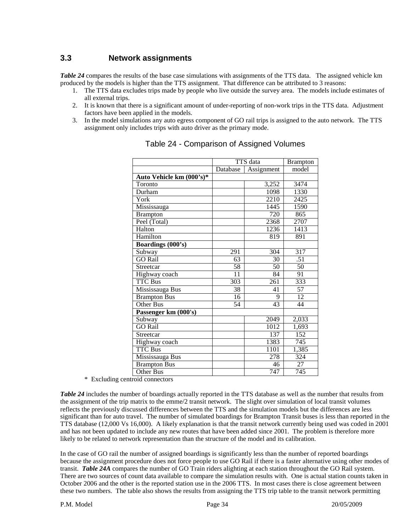#### **3.3 Network assignments**

*Table 24* compares the results of the base case simulations with assignments of the TTS data. The assigned vehicle km produced by the models is higher than the TTS assignment. That difference can be attributed to 3 reasons:

- 1. The TTS data excludes trips made by people who live outside the survey area. The models include estimates of all external trips.
- 2. It is known that there is a significant amount of under-reporting of non-work trips in the TTS data. Adjustment factors have been applied in the models.
- 3. In the model simulations any auto egress component of GO rail trips is assigned to the auto network. The TTS assignment only includes trips with auto driver as the primary mode.

|                          |          | TTS data   | <b>Brampton</b>  |
|--------------------------|----------|------------|------------------|
|                          | Database | Assignment | model            |
| Auto Vehicle km (000's)* |          |            |                  |
| Toronto                  |          | 3,252      | 3474             |
| Durham                   |          | 1098       | 1330             |
| York                     |          | 2210       | 2425             |
| Mississauga              |          | 1445       | 1590             |
| <b>Brampton</b>          |          | 720        | 865              |
| Peel (Total)             |          | 2368       | 2707             |
| Halton                   |          | 1236       | 1413             |
| Hamilton                 |          | 819        | 891              |
| Boardings (000's)        |          |            |                  |
| Subway                   | 291      | 304        | 317              |
| <b>GO Rail</b>           | 63       | 30         | .51              |
| Streetcar                | 58       | 50         | 50               |
| Highway coach            | 11       | 84         | 91               |
| <b>TTC Bus</b>           | 303      | 261        | 333              |
| Mississauga Bus          | 38       | 41         | 57               |
| <b>Brampton Bus</b>      | 16       | 9          | 12               |
| <b>Other Bus</b>         | 54       | 43         | 44               |
| Passenger km (000's)     |          |            |                  |
| Subway                   |          | 2049       | 2,033            |
| <b>GO Rail</b>           |          | 1012       | 1,693            |
| Streetcar                |          | 137        | $\overline{152}$ |
| Highway coach            |          | 1383       | 745              |
| <b>TTC Bus</b>           |          | 1101       | 1,385            |
| Mississauga Bus          |          | 278        | 324              |
| <b>Brampton Bus</b>      |          | 46         | 27               |
| Other Bus                |          | 747        | 745              |

Table 24 - Comparison of Assigned Volumes

\* Excluding centroid connectors

*Table 24* includes the number of boardings actually reported in the TTS database as well as the number that results from the assignment of the trip matrix to the emme/2 transit network. The slight over simulation of local transit volumes reflects the previously discussed differences between the TTS and the simulation models but the differences are less significant than for auto travel. The number of simulated boardings for Brampton Transit buses is less than reported in the TTS database (12,000 Vs 16,000). A likely explanation is that the transit network currently being used was coded in 2001 and has not been updated to include any new routes that have been added since 2001. The problem is therefore more likely to be related to network representation than the structure of the model and its calibration.

In the case of GO rail the number of assigned boardings is significantly less than the number of reported boardings because the assignment procedure does not force people to use GO Rail if there is a faster alternative using other modes of transit. *Table 24A* compares the number of GO Train riders alighting at each station throughout the GO Rail system. There are two sources of count data available to compare the simulation results with. One is actual station counts taken in October 2006 and the other is the reported station use in the 2006 TTS. In most cases there is close agreement between these two numbers. The table also shows the results from assigning the TTS trip table to the transit network permitting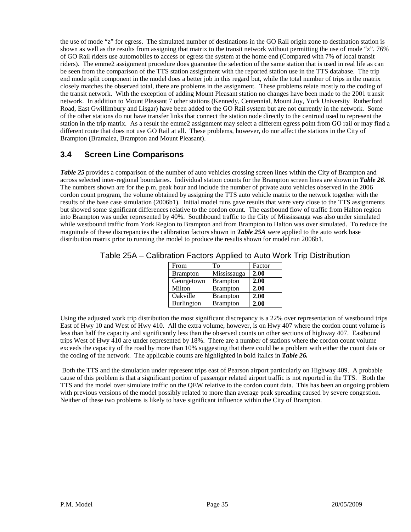the use of mode "z" for egress. The simulated number of destinations in the GO Rail origin zone to destination station is shown as well as the results from assigning that matrix to the transit network without permitting the use of mode "z". 76% of GO Rail riders use automobiles to access or egress the system at the home end (Compared with 7% of local transit riders). The emme2 assignment procedure does guarantee the selection of the same station that is used in real life as can be seen from the comparison of the TTS station assignment with the reported station use in the TTS database. The trip end mode split component in the model does a better job in this regard but, while the total number of trips in the matrix closely matches the observed total, there are problems in the assignment. These problems relate mostly to the coding of the transit network. With the exception of adding Mount Pleasant station no changes have been made to the 2001 transit network. In addition to Mount Pleasant 7 other stations (Kennedy, Centennial, Mount Joy, York University Rutherford Road, East Gwillimbury and Lisgar) have been added to the GO Rail system but are not currently in the network. Some of the other stations do not have transfer links that connect the station node directly to the centroid used to represent the station in the trip matrix. As a result the emme2 assignment may select a different egress point from GO rail or may find a different route that does not use GO Rail at all. These problems, however, do nor affect the stations in the City of Brampton (Bramalea, Brampton and Mount Pleasant).

# **3.4 Screen Line Comparisons**

*Table 25* provides a comparison of the number of auto vehicles crossing screen lines within the City of Brampton and across selected inter-regional boundaries. Individual station counts for the Brampton screen lines are shown in *Table 26*. The numbers shown are for the p.m. peak hour and include the number of private auto vehicles observed in the 2006 cordon count program, the volume obtained by assigning the TTS auto vehicle matrix to the network together with the results of the base case simulation (2006b1). Initial model runs gave results that were very close to the TTS assignments but showed some significant differences relative to the cordon count. The eastbound flow of traffic from Halton region into Brampton was under represented by 40%. Southbound traffic to the City of Mississauga was also under simulated while westbound traffic from York Region to Brampton and from Brampton to Halton was over simulated. To reduce the magnitude of these discrepancies the calibration factors shown in *Table 25A* were applied to the auto work base distribution matrix prior to running the model to produce the results shown for model run 2006b1.

| From            | To              | Factor |
|-----------------|-----------------|--------|
| <b>Brampton</b> | Mississauga     | 2.00   |
| Georgetown      | <b>Brampton</b> | 2.00   |
| Milton          | <b>Brampton</b> | 2.00   |
| Oakville        | <b>Brampton</b> | 2.00   |
| Burlington      | <b>Brampton</b> | 2.00   |

Table 25A – Calibration Factors Applied to Auto Work Trip Distribution

Using the adjusted work trip distribution the most significant discrepancy is a 22% over representation of westbound trips East of Hwy 10 and West of Hwy 410. All the extra volume, however, is on Hwy 407 where the cordon count volume is less than half the capacity and significantly less than the observed counts on other sections of highway 407. Eastbound trips West of Hwy 410 are under represented by 18%. There are a number of stations where the cordon count volume exceeds the capacity of the road by more than 10% suggesting that there could be a problem with either the count data or the coding of the network. The applicable counts are highlighted in bold italics in *Table 26.*

Both the TTS and the simulation under represent trips east of Pearson airport particularly on Highway 409. A probable cause of this problem is that a significant portion of passenger related airport traffic is not reported in the TTS. Both the TTS and the model over simulate traffic on the QEW relative to the cordon count data. This has been an ongoing problem with previous versions of the model possibly related to more than average peak spreading caused by severe congestion. Neither of these two problems is likely to have significant influence within the City of Brampton.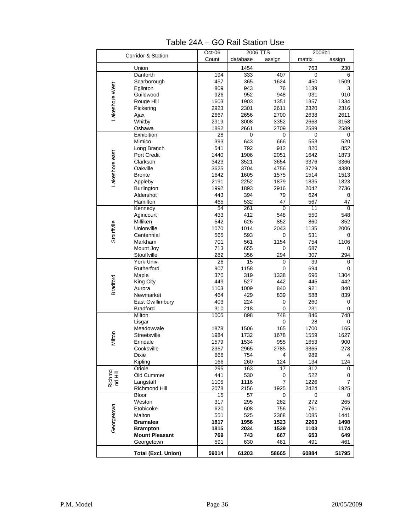| Corridor & Station |                            | $Oct-06$ |                 | 2006 TTS    | 2006b1          |             |
|--------------------|----------------------------|----------|-----------------|-------------|-----------------|-------------|
|                    |                            | Count    | database        | assign      | matrix          | assign      |
|                    | Union                      |          | 1454            |             | 763             | 230         |
|                    | Danforth                   | 194      | 333             | 407         | 0               | 6           |
|                    | Scarborough                | 457      | 365             | 1624        | 450             | 1509        |
| Lakeshore West     | Eglinton                   | 809      | 943             | 76          | 1139            | 3           |
|                    | Guildwood                  | 926      | 952             | 948         | 931             | 910         |
|                    | Rouge Hill                 | 1603     | 1903            | 1351        | 1357            | 1334        |
|                    |                            |          |                 |             |                 |             |
|                    | Pickering                  | 2923     | 2301            | 2611        | 2320            | 2316        |
|                    | Ajax                       | 2667     | 2656            | 2700        | 2638            | 2611        |
|                    | Whitby                     | 2919     | 3008            | 3352        | 2663            | 3158        |
|                    | Oshawa                     | 1882     | 2661            | 2709        | 2589            | 2589        |
|                    | Exhibition                 | 28       | 0               | 0           | 0               | 0           |
|                    | Mimico                     | 393      | 643             | 666         | 553             | 520         |
|                    | Long Branch                | 541      | 792             | 912         | 820             | 852         |
| Lakeshore east     | Port Credit                | 1440     | 1906            | 2051        | 1642            | 1873        |
|                    | Clarkson                   | 3423     | 3521            | 3654        | 3376            | 3366        |
|                    | Oakville                   | 3625     | 3704            | 4756        | 3729            | 4380        |
|                    | <b>Bronte</b>              | 1642     | 1605            | 1575        | 1514            | 1513        |
|                    | Appleby                    | 2191     | 2252            | 1879        | 1835            | 1823        |
|                    | Burlington                 | 1992     | 1893            | 2916        | 2042            | 2736        |
|                    | Aldershot                  | 443      | 394             | 79          | 624             | 0           |
|                    | Hamilton                   | 465      | 532             | 47          | 567             | 47          |
|                    | Kennedy                    | 54       | 261             | $\mathbf 0$ | 11              | $\mathbf 0$ |
|                    | Agincourt                  | 433      | 412             | 548         | 550             | 548         |
|                    | Milliken                   | 542      | 626             | 852         | 860             | 852         |
|                    | Unionville                 | 1070     | 1014            | 2043        | 1135            | 2006        |
| Stouffvile         | Centennial                 | 565      | 593             | 0           | 531             | 0           |
|                    | Markham                    | 701      | 561             | 1154        | 754             | 1106        |
|                    | Mount Joy                  | 713      | 655             | 0           | 687             | 0           |
|                    | Stouffville                | 282      | 356             | 294         | 307             | 294         |
|                    | York Univ.                 | 26       | $\overline{15}$ | 0           | $\overline{39}$ | 0           |
|                    | Rutherford                 | 907      | 1158            | 0           | 694             | 0           |
|                    | Maple                      | 370      | 319             | 1338        | 696             | 1304        |
| Bradford           | King City                  | 449      | 527             | 442         | 445             | 442         |
|                    | Aurora                     | 1103     | 1009            | 840         | 921             | 840         |
|                    |                            | 464      | 429             | 839         |                 |             |
|                    | Newmarket                  |          |                 |             | 588             | 839         |
|                    | East Gwillimbury           | 403      | 224             | 0           | 260             | 0           |
|                    | <b>Bradford</b>            | 310      | 218             | 0           | 231             | 0           |
|                    | Milton                     | 1005     | 898             | 748         | 846             | 748         |
|                    | Lisgar                     |          |                 | 0           | 28              | 0           |
|                    | Meadowvale                 | 1878     | 1506            | 165         | 1700            | 165         |
| Milton             | Streetsville               | 1984     | 1732            | 1678        | 1559            | 1627        |
|                    | Erindale                   | 1579     | 1534            | 955         | 1653            | 900         |
|                    | Cooksville                 | 2367     | 2965            | 2785        | 3365            | 278         |
|                    | <b>Dixie</b>               | 666      | 754             | 4           | 989             | 4           |
|                    | Kipling                    | 166      | 260             | 124         | 134             | 124         |
|                    | Oriole                     | 295      | 163             | 17          | 312             | 0           |
| Richmo<br>nd Hill  | Old Cummer                 | 441      | 530             | 0           | 522             | 0           |
|                    | Langstaff                  | 1105     | 1116            | 7           | 1226            | 7           |
|                    | Richmond Hill              | 2078     | 2156            | 1925        | 2424            | 1925        |
|                    | <b>Bloor</b>               | 15       | 57              | 0           | 0               | 0           |
|                    | Weston                     | 317      | 295             | 282         | 272             | 265         |
| Georgetown         | Etobicoke                  | 620      | 608             | 756         | 761             | 756         |
|                    | Malton                     | 551      | 525             | 2368        | 1085            | 1441        |
|                    | <b>Bramalea</b>            | 1817     | 1956            | 1523        | 2263            | 1498        |
|                    | <b>Brampton</b>            | 1815     | 2034            | 1539        | 1103            | 1174        |
|                    | <b>Mount Pleasant</b>      | 769      | 743             | 667         | 653             | 649         |
|                    | Georgetown                 | 591      | 630             | 461         | 491             | 461         |
|                    |                            |          |                 |             |                 |             |
|                    | <b>Total (Excl. Union)</b> | 59014    | 61203           | 58665       | 60884           | 51795       |

Table 24A – GO Rail Station Use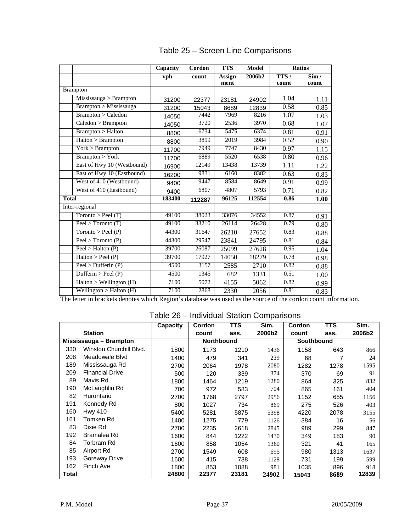|                             | Capacity | Cordon | <b>TTS</b> | <b>Model</b> |       | <b>Ratios</b> |
|-----------------------------|----------|--------|------------|--------------|-------|---------------|
|                             | vph      | count  | Assign     | 2006b2       | TTS/  | Sim/          |
|                             |          |        | ment       |              | count | count         |
| <b>Brampton</b>             |          |        |            |              |       |               |
| Mississauga > Brampton      | 31200    | 22377  | 23181      | 24902        | 1.04  | 1.11          |
| Brampton > Mississauga      | 31200    | 15043  | 8689       | 12839        | 0.58  | 0.85          |
| Brampton > Caledon          | 14050    | 7442   | 7969       | 8216         | 1.07  | 1.03          |
| Caledon > Brampton          | 14050    | 3720   | 2536       | 3970         | 0.68  | 1.07          |
| <b>Brampton &gt; Halton</b> | 8800     | 6734   | 5475       | 6374         | 0.81  | 0.91          |
| Halton > Brampton           | 8800     | 3899   | 2019       | 3984         | 0.52  | 0.90          |
| York > Brampton             | 11700    | 7949   | 7747       | 8430         | 0.97  | 1.15          |
| <b>Brampton &gt; York</b>   | 11700    | 6889   | 5520       | 6538         | 0.80  | 0.96          |
| East of Hwy 10 (Westbound)  | 16900    | 12149  | 13438      | 13739        | 1.11  | 1.22          |
| East of Hwy 10 (Eastbound)  | 16200    | 9831   | 6160       | 8382         | 0.63  | 0.83          |
| West of 410 (Westbound)     | 9400     | 9447   | 8584       | 8649         | 0.91  | 0.99          |
| West of 410 (Eastbound)     | 9400     | 6807   | 4807       | 5793         | 0.71  | 0.82          |
| <b>Total</b>                | 183400   | 112287 | 96125      | 112554       | 0.86  | 1.00          |
| Inter-regional              |          |        |            |              |       |               |
| Toronto > Ped(T)            | 49100    | 38023  | 33076      | 34552        | 0.87  | 0.91          |
| Peel > Toronto(T)           | 49100    | 33210  | 26114      | 26428        | 0.79  | 0.80          |
| Toronto > Peel(P)           | 44300    | 31647  | 26210      | 27652        | 0.83  | 0.88          |
| Peel > Toronto(P)           | 44300    | 29547  | 23841      | 24795        | 0.81  | 0.84          |
| Peel > Halton(P)            | 39700    | 26087  | 25099      | 27628        | 0.96  | 1.04          |
| Halton > Peel(P)            | 39700    | 17927  | 14050      | 18279        | 0.78  | 0.98          |
| Peel > Dufferin(P)          | 4500     | 3157   | 2585       | 2710         | 0.82  | 0.88          |
| Dufferin > Peel $(P)$       | 4500     | 1345   | 682        | 1331         | 0.51  | 1.00          |
| Halton > Wellington (H)     | 7100     | 5072   | 4155       | 5062         | 0.82  | 0.99          |
| Wellington > Halton $(H)$   | 7100     | 2868   | 2330       | 2056         | 0.81  | 0.83          |

# Table 25 – Screen Line Comparisons

The letter in brackets denotes which Region's database was used as the source of the cordon count information.

# Table 26 – Individual Station Comparisons

|       |                         | <b>Capacity</b> | Cordon            | TTS   | Sim.   | Cordon     | <b>TTS</b> | Sim.   |
|-------|-------------------------|-----------------|-------------------|-------|--------|------------|------------|--------|
|       | <b>Station</b>          |                 | count             | ass.  | 2006b2 | count      | ass.       | 2006b2 |
|       | Mississauga - Brampton  |                 | <b>Northbound</b> |       |        | Southbound |            |        |
| 330   | Winston Churchill Blvd. | 1800            | 1173              | 1210  | 1436   | 1158       | 643        | 866    |
| 208   | Meadowale Blvd          | 1400            | 479               | 341   | 239    | 68         |            | 24     |
| 189   | Mississauga Rd          | 2700            | 2064              | 1978  | 2080   | 1282       | 1278       | 1595   |
| 209   | <b>Financial Drive</b>  | 500             | 120               | 339   | 374    | 370        | 69         | 91     |
| 89    | Mavis Rd                | 1800            | 1464              | 1219  | 1280   | 864        | 325        | 832    |
| 190   | McLaughlin Rd           | 700             | 972               | 583   | 704    | 865        | 161        | 404    |
| 82    | Hurontario              | 2700            | 1768              | 2797  | 2956   | 1152       | 655        | 1156   |
| 191   | Kennedy Rd              | 800             | 1027              | 734   | 869    | 275        | 526        | 403    |
| 160   | <b>Hwy 410</b>          | 5400            | 5281              | 5875  | 5398   | 4220       | 2078       | 3155   |
| 161   | Tomken Rd               | 1400            | 1275              | 779   | 1126   | 384        | 16         | 56     |
| 83    | Dixie Rd                | 2700            | 2235              | 2618  | 2845   | 989        | 299        | 847    |
| 192   | Bramalea Rd             | 1600            | 844               | 1222  | 1430   | 349        | 183        | 90     |
| 84    | Torbram Rd              | 1600            | 858               | 1054  | 1360   | 321        | 41         | 165    |
| 85    | Airport Rd              | 2700            | 1549              | 608   | 695    | 980        | 1313       | 1637   |
| 193   | Goreway Drive           | 1600            | 415               | 738   | 1128   | 731        | 199        | 599    |
| 162   | Finch Ave               | 1800            | 853               | 1088  | 981    | 1035       | 896        | 918    |
| Total |                         | 24800           | 22377             | 23181 | 24902  | 15043      | 8689       | 12839  |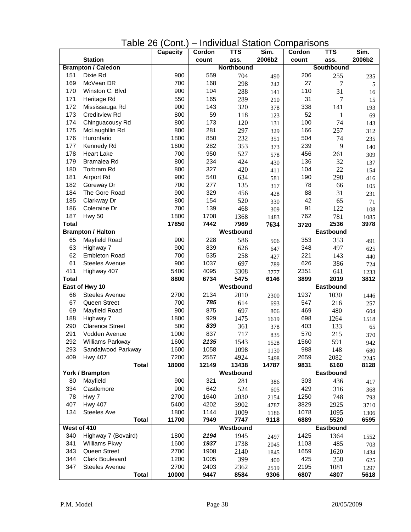# Table 26 (Cont.) – Individual Station Comparisons

|              |                                | <b>Capacity</b> | Cordon        | <b>TTS</b>    | Sim.          | Cordon       | $\overline{\text{TTS}}$ | Sim.         |
|--------------|--------------------------------|-----------------|---------------|---------------|---------------|--------------|-------------------------|--------------|
|              | <b>Station</b>                 |                 | count         | ass.          | 2006b2        | count        | ass.                    | 2006b2       |
|              | <b>Brampton / Caledon</b>      |                 |               | Northbound    |               |              | Southbound              |              |
| 151          | Dixie Rd                       | 900             | 559           | 704           | 490           | 206          | 255                     | 235          |
| 169          | McVean DR                      | 700             | 168           | 298           | 242           | 27           | 7                       | 5            |
| 170          | Winston C. Blvd                | 900             | 104           | 288           | 141           | 110          | 31                      | 16           |
| 171          | Heritage Rd                    | 550             | 165           | 289           | 210           | 31           | 7                       | 15           |
| 172          | Mississauga Rd                 | 900             | 143           | 320           | 378           | 338          | 141                     | 193          |
| 173          | <b>Creditview Rd</b>           | 800             | 59            | 118           | 123           | 52           | 1                       | 69           |
| 174          | Chinguacousy Rd                | 800             | 173           | 120           | 131           | 100          | 74                      | 143          |
| 175          | McLaughllin Rd                 | 800             | 281           | 297           | 329           | 166          | 257                     | 312          |
| 176          | Hurontario                     | 1800            | 850           | 232           | 351           | 504          | 74                      | 235          |
| 177          | Kennedy Rd                     | 1600            | 282           | 353           | 373           | 239          | 9                       | 140          |
| 178          | <b>Heart Lake</b>              | 700             | 950           | 527           | 578           | 456          | 261                     | 309          |
| 179          | Bramalea Rd                    | 800             | 234           | 424           | 430           | 136          | 32                      | 137          |
| 180          | Torbram Rd                     | 800             | 327           | 420           | 411           | 104          | 22                      | 154          |
| 181          | Airport Rd                     | 900             | 540           | 634           | 581           | 190          | 298                     | 416          |
| 182          | Goreway Dr                     | 700             | 277           | 135           | 317           | 78           | 66                      | 105          |
| 184          | The Gore Road                  | 900             | 329           | 456           | 428           | 88           | 31                      | 231          |
| 185          | Clarkway Dr                    | 800             | 154           | 520           | 330           | 42           | 65                      | 71           |
| 186          | Coleraine Dr                   | 700             | 139           | 468           | 309           | 91           | 122                     | 108          |
| 187          | Hwy 50                         | 1800            | 1708          | 1368          | 1483          | 762          | 781                     | 1085         |
| <b>Total</b> |                                | 17850           | 7442          | 7969          | 7634          | 3720         | 2536                    | 3978         |
|              | <b>Brampton / Halton</b>       |                 |               | Westbound     |               |              | <b>Eastbound</b>        |              |
| 65           | Mayfield Road                  | 900             | 228           | 586           | 506           | 353          | 353                     | 491          |
| 63           | Highway 7                      | 900             | 839           | 626           | 647           | 348          | 497                     | 625          |
| 62           | <b>Embleton Road</b>           | 700             | 535           | 258           | 427           | 221          | 143                     | 440          |
| 61           | <b>Steeles Avenue</b>          | 900             | 1037          | 697           | 789           | 626          | 386                     | 724          |
| 411          | Highway 407                    | 5400            | 4095          | 3308          | 3777          | 2351         | 641                     | 1233         |
| <b>Total</b> |                                | 8800            | 6734          | 5475          | 6146          | 3899         | 2019                    | 3812         |
|              | East of Hwy 10                 |                 |               | Westbound     |               |              | <b>Eastbound</b>        |              |
| 66           | <b>Steeles Avenue</b>          | 2700            | 2134          | 2010          | 2300          | 1937         | 1030                    | 1446         |
| 67           | Queen Street                   | 700             | 785           | 614           | 693           | 547          | 216                     | 257          |
| 69           | Mayfield Road                  | 900             | 875           | 697           | 806           | 469          | 480                     | 604          |
| 188          | Highway 7                      | 1800            | 929           | 1475          | 1619          | 698          | 1264                    | 1518         |
| 290          | <b>Clarence Street</b>         | 500             | 839           | 361           | 378           | 403          | 133                     | 65           |
| 291          | Vodden Avenue                  | 1000            | 837           | 717           | 835           | 570          | 215                     | 370          |
| 292          | Williams Parkway               | 1600            | 2135          | 1543          | 1528          | 1560         | 591                     | 942          |
| 293          | Sandalwood Parkway             | 1600            | 1058          | 1098          | 1130          | 988          | 148                     | 680          |
| 409          | <b>Hwy 407</b><br><b>Total</b> | 7200<br>18000   | 2557<br>12149 | 4924<br>13438 | 5498<br>14787 | 2659<br>9831 | 2082<br>6160            | 2245<br>8128 |
|              | York / Brampton                |                 |               | Westbound     |               |              | <b>Eastbound</b>        |              |
| 80           | Mayfield                       | 900             | 321           | 281           |               | 303          | 436                     |              |
| 334          | Castlemore                     | 900             | 642           | 524           | 386           | 429          | 316                     | 417          |
| 78           | Hwy 7                          | 2700            | 1640          | 2030          | 605           | 1250         | 748                     | 368          |
| 407          | <b>Hwy 407</b>                 | 5400            | 4202          | 3902          | 2154          | 3829         | 2925                    | 793          |
| 134          | <b>Steeles Ave</b>             | 1800            | 1144          | 1009          | 4787          | 1078         | 1095                    | 3710         |
|              | <b>Total</b>                   | 11700           | 7949          | 7747          | 1186<br>9118  | 6889         | 5520                    | 1306<br>6595 |
|              | West of 410                    |                 |               | Westbound     |               |              | <b>Eastbound</b>        |              |
| 340          | Highway 7 (Bovaird)            | 1800            | 2194          | 1945          | 2497          | 1425         | 1364                    | 1552         |
| 341          | Williams Pkwy                  | 1600            | 1937          | 1738          | 2045          | 1103         | 485                     | 703          |
| 343          | Queen Street                   | 2700            | 1908          | 2140          | 1845          | 1659         | 1620                    | 1434         |
| 344          | <b>Clark Boulevard</b>         | 1200            | 1005          | 399           | 400           | 425          | 258                     | 625          |
| 347          | <b>Steeles Avenue</b>          | 2700            | 2403          | 2362          | 2519          | 2195         | 1081                    | 1297         |
|              | <b>Total</b>                   | 10000           | 9447          | 8584          | 9306          | 6807         | 4807                    | 5618         |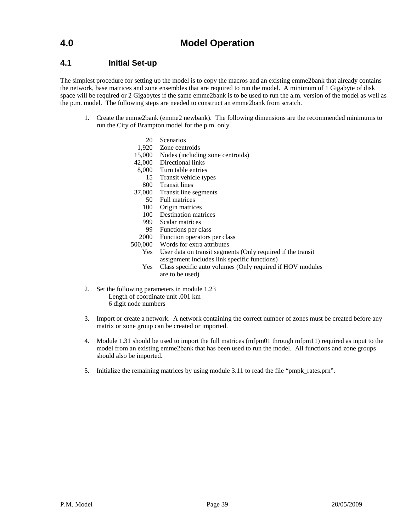### **4.1 Initial Set-up**

The simplest procedure for setting up the model is to copy the macros and an existing emme2bank that already contains the network, base matrices and zone ensembles that are required to run the model. A minimum of 1 Gigabyte of disk space will be required or 2 Gigabytes if the same emme2bank is to be used to run the a.m. version of the model as well as the p.m. model. The following steps are needed to construct an emme2bank from scratch.

- 1. Create the emme2bank (emme2 newbank). The following dimensions are the recommended minimums to run the City of Brampton model for the p.m. only.
	- 20 Scenarios
	- 1,920 Zone centroids
	- 15,000 Nodes (including zone centroids)
	- 42,000 Directional links
	- 8,000 Turn table entries
		- 15 Transit vehicle types
		- 800 Transit lines
	- 37,000 Transit line segments
		- 50 Full matrices
		- 100 Origin matrices
		- 100 Destination matrices
		- 999 Scalar matrices
		- 99 Functions per class
		- 2000 Function operators per class
	- 500,000 Words for extra attributes
		- Yes User data on transit segments (Only required if the transit assignment includes link specific functions)
		- Yes Class specific auto volumes (Only required if HOV modules are to be used)
- 2. Set the following parameters in module 1.23 Length of coordinate unit .001 km 6 digit node numbers
- 3. Import or create a network. A network containing the correct number of zones must be created before any matrix or zone group can be created or imported.
- 4. Module 1.31 should be used to import the full matrices (mfpm01 through mfpm11) required as input to the model from an existing emme2bank that has been used to run the model. All functions and zone groups should also be imported.
- 5. Initialize the remaining matrices by using module 3.11 to read the file "pmpk\_rates.prn".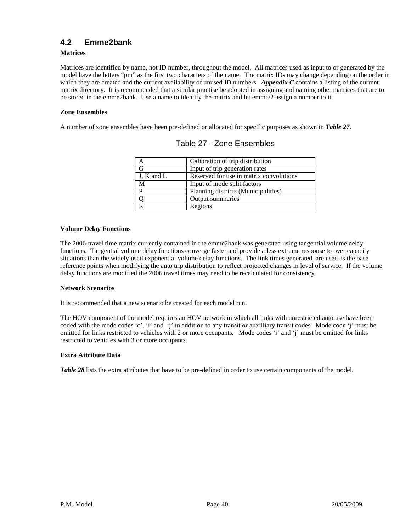### **4.2 Emme2bank**

#### **Matrices**

Matrices are identified by name, not ID number, throughout the model. All matrices used as input to or generated by the model have the letters "pm" as the first two characters of the name. The matrix IDs may change depending on the order in which they are created and the current availability of unused ID numbers. *Appendix C* contains a listing of the current matrix directory. It is recommended that a similar practise be adopted in assigning and naming other matrices that are to be stored in the emme2bank. Use a name to identify the matrix and let emme/2 assign a number to it.

#### **Zone Ensembles**

A number of zone ensembles have been pre-defined or allocated for specific purposes as shown in *Table 27*.

|            | Calibration of trip distribution        |
|------------|-----------------------------------------|
| G          | Input of trip generation rates          |
| J, K and L | Reserved for use in matrix convolutions |
| M          | Input of mode split factors             |
| D          | Planning districts (Municipalities)     |
|            | Output summaries                        |
|            | Regions                                 |

|  |  | Table 27 - Zone Ensembles |
|--|--|---------------------------|
|--|--|---------------------------|

#### **Volume Delay Functions**

The 2006-travel time matrix currently contained in the emme2bank was generated using tangential volume delay functions. Tangential volume delay functions converge faster and provide a less extreme response to over capacity situations than the widely used exponential volume delay functions. The link times generated are used as the base reference points when modifying the auto trip distribution to reflect projected changes in level of service. If the volume delay functions are modified the 2006 travel times may need to be recalculated for consistency.

#### **Network Scenarios**

It is recommended that a new scenario be created for each model run.

The HOV component of the model requires an HOV network in which all links with unrestricted auto use have been coded with the mode codes 'c', 'i' and 'j' in addition to any transit or auxilliary transit codes. Mode code 'j' must be omitted for links restricted to vehicles with 2 or more occupants. Mode codes 'i' and 'j' must be omitted for links restricted to vehicles with 3 or more occupants.

#### **Extra Attribute Data**

*Table 28* lists the extra attributes that have to be pre-defined in order to use certain components of the model.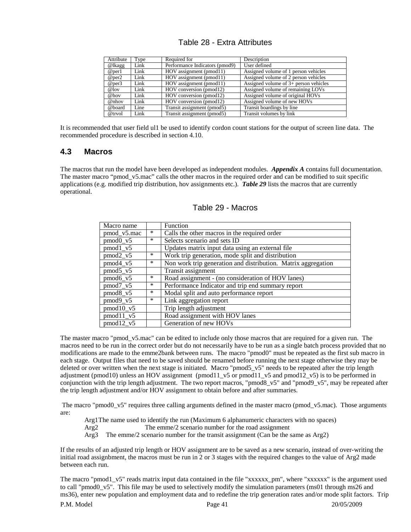| Attribute | Type | Required for                   | Description                             |
|-----------|------|--------------------------------|-----------------------------------------|
| @lkagg    | Link | Performance Indicators (pmod9) | User defined                            |
| @per1     | Link | HOV assignment (pmod11)        | Assigned volume of 1 person vehicles    |
| @per2     | Link | HOV assignment (pmod11)        | Assigned volume of 2 person vehicles    |
| @per3     | Link | HOV assignment (pmod11)        | Assigned volume of $3+$ person vehicles |
| @lov      | Link | HOV conversion (pmod12)        | Assigned volume of remaining LOVs       |
| @hov      | Link | HOV conversion (pmod12)        | Assigned volume of original HOVs        |
| @nhov     | Link | HOV conversion (pmod12)        | Assigned volume of new HOVs             |
| @board    | Line | Transit assignment (pmod5)     | Transit boardings by line               |
| @trvol    | Link | Transit assignment (pmod5)     | Transit volumes by link                 |

#### Table 28 - Extra Attributes

It is recommended that user field ul1 be used to identify cordon count stations for the output of screen line data. The recommended procedure is described in section 4.10.

#### **4.3 Macros**

The macros that run the model have been developed as independent modules. *Appendix A* contains full documentation. The master macro "pmod\_v5.mac" calls the other macros in the required order and can be modified to suit specific applications (e.g. modified trip distribution, hov assignments etc.). *Table 29* lists the macros that are currently operational.

| Macro name                       |        | Function                                                      |
|----------------------------------|--------|---------------------------------------------------------------|
| pmod_v5.mac                      | *      | Calls the other macros in the required order                  |
| $pmod0_v5$                       | $\ast$ | Selects scenario and sets ID                                  |
| $pmod{1}$ v5                     |        | Updates matrix input data using an external file              |
| $pmod2_v5$                       | $\ast$ | Work trip generation, mode split and distribution             |
| $pmod4_v5$                       | $\ast$ | Non work trip generation and distribution. Matrix aggregation |
| $pmod{5_v}$                      |        | Transit assignment                                            |
| $pmod6_v5$                       | *      | Road assignment - (no consideration of HOV lanes)             |
| pmod <sub>7</sub> v <sub>5</sub> | $\ast$ | Performance Indicator and trip end summary report             |
| $pmod{8_v5}$                     | $\ast$ | Modal split and auto performance report                       |
| $pmod9_v5$                       | ∗      | Link aggregation report                                       |
| $pmod10_v5$                      |        | Trip length adjustment                                        |
| $pmod11_v5$                      |        | Road assignment with HOV lanes                                |
| $pmod{12}$ v5                    |        | Generation of new HOVs                                        |

#### Table 29 - Macros

The master macro "pmod\_v5.mac" can be edited to include only those macros that are required for a given run. The macros need to be run in the correct order but do not necessarily have to be run as a single batch process provided that no modifications are made to the emme2bank between runs. The macro "pmod0" must be repeated as the first sub macro in each stage. Output files that need to be saved should be renamed before running the next stage otherwise they may be deleted or over written when the next stage is initiated. Macro "pmod5\_v5" needs to be repeated after the trip length adjustment (pmod10) unless an HOV assignment (pmod11\_v5 or pmod11\_v5 and pmod12\_v5) is to be performed in conjunction with the trip length adjustment. The two report macros, "pmod8 $v5$ " and "pmod9 $v5$ ", may be repeated after the trip length adjustment and/or HOV assignment to obtain before and after summaries.

The macro "pmod0\_v5" requires three calling arguments defined in the master macro (pmod\_v5.mac). Those arguments are:

Arg1The name used to identify the run (Maximum 6 alphanumeric characters with no spaces)

Arg2 The emme/2 scenario number for the road assignment

Arg3 The emme/2 scenario number for the transit assignment (Can be the same as Arg2)

If the results of an adjusted trip length or HOV assignment are to be saved as a new scenario, instead of over-writing the initial road assignbment, the macros must be run in 2 or 3 stages with the required changes to the value of Arg2 made between each run.

The macro "pmod1\_v5" reads matrix input data contained in the file "xxxxxx\_pm", where "xxxxxx" is the argument used to call "pmod0\_v5". This file may be used to selectively modify the simulation parameters (ms01 through ms26 and ms36), enter new population and employment data and to redefine the trip generation rates and/or mode split factors. Trip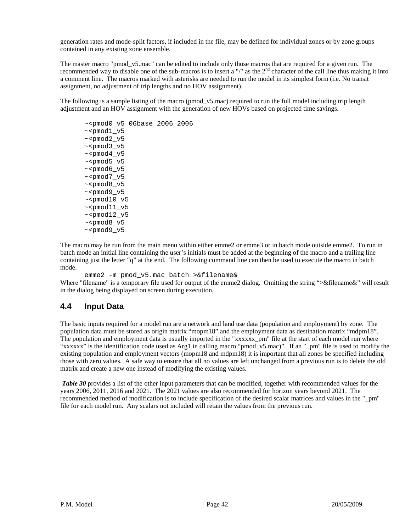generation rates and mode-split factors, if included in the file, may be defined for individual zones or by zone groups contained in any existing zone ensemble.

The master macro "pmod\_v5.mac" can be edited to include only those macros that are required for a given run. The recommended way to disable one of the sub-macros is to insert a "/" as the  $2<sup>nd</sup>$  character of the call line thus making it into a comment line. The macros marked with asterisks are needed to run the model in its simplest form (i.e. No transit assignment, no adjustment of trip lengths and no HOV assignment).

The following is a sample listing of the macro (pmod v5.mac) required to run the full model including trip length adjustment and an HOV assignment with the generation of new HOVs based on projected time savings.

~<pmod0\_v5 06base 2006 2006  $~\sim$  <pmod1  $v5$ ~<pmod2\_v5  $~\sim$  <pmod3\_v5  $~\sim$  <pmod4  $v5$ ~<pmod5\_v5 ~<pmod6\_v5  $~\sim$  <pmod7  $v5$  $~\sim$  <pmod8  $v5$ ~<pmod9\_v5  $~\sim$  <pmod10\_v5  $~\sim$  <pmod $11$ \_v5  $~\sim$  <pmod12\_v5  $~\sim$  <pmod8  $v5$  $~\sim$  <pmod9  $v5$ 

The macro may be run from the main menu within either emme2 or emme3 or in batch mode outside emme2. To run in batch mode an initial line containing the user's initials must be added at the beginning of the macro and a trailing line containing just the letter "q" at the end. The following command line can then be used to execute the macro in batch mode.

emme2 -m pmod\_v5.mac batch >&filename& Where "filename" is a temporary file used for output of the emme2 dialog. Omitting the string ">&filename&" will result in the dialog being displayed on screen during execution.

# **4.4 Input Data**

The basic inputs required for a model run are a network and land use data (population and employment) by zone. The population data must be stored as origin matrix "mopm18" and the employment data as destination matrix "mdpm18". The population and employment data is usually imported in the "xxxxxx pm" file at the start of each model run where "xxxxxx" is the identification code used as Arg1 in calling macro "pmod\_v5.mac)". If an "\_pm" file is used to modify the existing population and employment vectors (mopm18 and mdpm18) it is important that all zones be specified including those with zero values. A safe way to ensure that all no values are left unchanged from a previous run is to delete the old matrix and create a new one instead of modifying the existing values.

*Table 30* provides a list of the other input parameters that can be modified, together with recommended values for the years 2006, 2011, 2016 and 2021. The 2021 values are also recommended for horizon years beyond 2021. The recommended method of modification is to include specification of the desired scalar matrices and values in the "\_pm" file for each model run. Any scalars not included will retain the values from the previous run.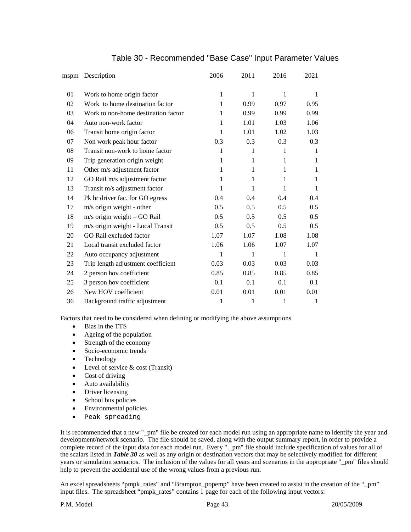|    | mspm Description                    | 2006 | 2011 | 2016 | 2021 |
|----|-------------------------------------|------|------|------|------|
| 01 | Work to home origin factor          | 1    | 1    | 1    | 1    |
| 02 | Work to home destination factor     | 1    | 0.99 | 0.97 | 0.95 |
| 03 | Work to non-home destination factor | 1    | 0.99 | 0.99 | 0.99 |
| 04 | Auto non-work factor                | 1    | 1.01 | 1.03 | 1.06 |
| 06 | Transit home origin factor          | 1    | 1.01 | 1.02 | 1.03 |
| 07 | Non work peak hour factor           | 0.3  | 0.3  | 0.3  | 0.3  |
| 08 | Transit non-work to home factor     | 1    | 1    | 1    | 1    |
| 09 | Trip generation origin weight       | 1    | 1    | 1    | 1    |
| 11 | Other m/s adjustment factor         | 1    | 1    | 1    | 1    |
| 12 | GO Rail m/s adjustment factor       | 1    | 1    | 1    | 1    |
| 13 | Transit m/s adjustment factor       | 1    | 1    | 1    | 1    |
| 14 | Pk hr driver fac. for GO egress     | 0.4  | 0.4  | 0.4  | 0.4  |
| 17 | m/s origin weight - other           | 0.5  | 0.5  | 0.5  | 0.5  |
| 18 | m/s origin weight - GO Rail         | 0.5  | 0.5  | 0.5  | 0.5  |
| 19 | m/s origin weight - Local Transit   | 0.5  | 0.5  | 0.5  | 0.5  |
| 20 | GO Rail excluded factor             | 1.07 | 1.07 | 1.08 | 1.08 |
| 21 | Local transit excluded factor       | 1.06 | 1.06 | 1.07 | 1.07 |
| 22 | Auto occupancy adjustment           | 1    | 1    | 1    | 1    |
| 23 | Trip length adjustment coefficient  | 0.03 | 0.03 | 0.03 | 0.03 |
| 24 | 2 person hov coefficient            | 0.85 | 0.85 | 0.85 | 0.85 |
| 25 | 3 person hov coefficient            | 0.1  | 0.1  | 0.1  | 0.1  |
| 26 | New HOV coefficient                 | 0.01 | 0.01 | 0.01 | 0.01 |
| 36 | Background traffic adjustment       | 1    | 1    | 1    | 1    |
|    |                                     |      |      |      |      |

#### Table 30 - Recommended "Base Case" Input Parameter Values

Factors that need to be considered when defining or modifying the above assumptions

- Bias in the TTS
- Ageing of the population
- Strength of the economy
- Socio-economic trends
- Technology
- Level of service & cost (Transit)
- Cost of driving
- Auto availability
- Driver licensing
- School bus policies
- Environmental policies
- Peak spreading

It is recommended that a new "\_pm" file be created for each model run using an appropriate name to identify the year and development/network scenario. The file should be saved, along with the output summary report, in order to provide a complete record of the input data for each model run. Every ".\_pm" file should include specification of values for all of the scalars listed in *Table 30* as well as any origin or destination vectors that may be selectively modified for different years or simulation scenarios. The inclusion of the values for all years and scenarios in the appropriate "\_pm" files should help to prevent the accidental use of the wrong values from a previous run.

An excel spreadsheets "pmpk\_rates" and "Brampton\_popemp" have been created to assist in the creation of the "\_pm" input files. The spreadsheet "pmpk\_rates" contains 1 page for each of the following input vectors: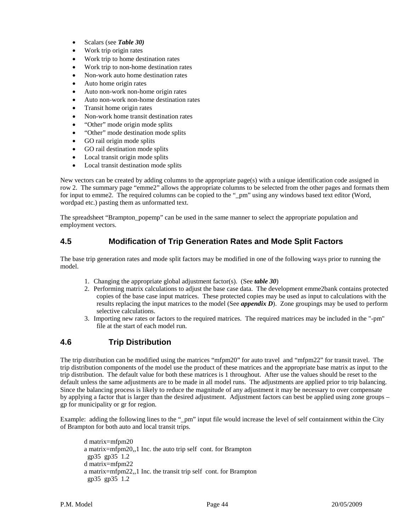- Scalars (see *Table 30)*
- Work trip origin rates
- Work trip to home destination rates
- Work trip to non-home destination rates
- Non-work auto home destination rates
- Auto home origin rates
- Auto non-work non-home origin rates
- Auto non-work non-home destination rates
- Transit home origin rates
- Non-work home transit destination rates
- "Other" mode origin mode splits
- "Other" mode destination mode splits
- GO rail origin mode splits
- GO rail destination mode splits
- Local transit origin mode splits
- Local transit destination mode splits

New vectors can be created by adding columns to the appropriate page(s) with a unique identification code assigned in row 2. The summary page "emme2" allows the appropriate columns to be selected from the other pages and formats them for input to emme2. The required columns can be copied to the "\_pm" using any windows based text editor (Word, wordpad etc.) pasting them as unformatted text.

The spreadsheet "Brampton\_popemp" can be used in the same manner to select the appropriate population and employment vectors.

### **4.5 Modification of Trip Generation Rates and Mode Split Factors**

The base trip generation rates and mode split factors may be modified in one of the following ways prior to running the model.

- 1. Changing the appropriate global adjustment factor(s). (See *table 30*)
- 2. Performing matrix calculations to adjust the base case data. The development emme2bank contains protected copies of the base case input matrices. These protected copies may be used as input to calculations with the results replacing the input matrices to the model (See *appendix D*). Zone groupings may be used to perform selective calculations.
- 3. Importing new rates or factors to the required matrices. The required matrices may be included in the "-pm" file at the start of each model run.

### **4.6 Trip Distribution**

The trip distribution can be modified using the matrices "mfpm20" for auto travel and "mfpm22" for transit travel. The trip distribution components of the model use the product of these matrices and the appropriate base matrix as input to the trip distribution. The default value for both these matrices is 1 throughout. After use the values should be reset to the default unless the same adjustments are to be made in all model runs. The adjustments are applied prior to trip balancing. Since the balancing process is likely to reduce the magnitude of any adjustment it may be necessary to over compensate by applying a factor that is larger than the desired adjustment. Adjustment factors can best be applied using zone groups – gp for municipality or gr for region.

Example: adding the following lines to the "\_pm" input file would increase the level of self containment within the City of Brampton for both auto and local transit trips.

d matrix=mfpm20 a matrix=mfpm20,,1 Inc. the auto trip self cont. for Brampton gp35 gp35 1.2 d matrix=mfpm22 a matrix=mfpm22,,1 Inc. the transit trip self cont. for Brampton gp35 gp35 1.2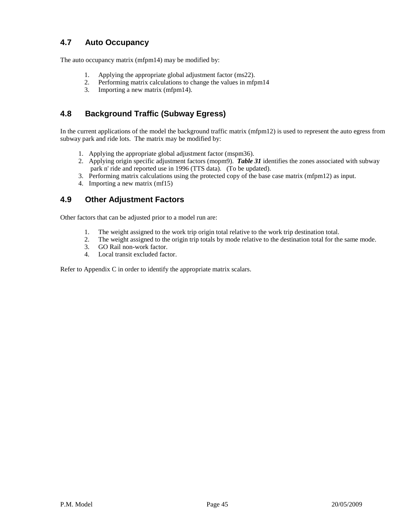# **4.7 Auto Occupancy**

The auto occupancy matrix (mfpm14) may be modified by:

- 1. Applying the appropriate global adjustment factor (ms22).
- 2. Performing matrix calculations to change the values in mfpm14
- 3. Importing a new matrix (mfpm14).

# **4.8 Background Traffic (Subway Egress)**

In the current applications of the model the background traffic matrix (mfpm12) is used to represent the auto egress from subway park and ride lots. The matrix may be modified by:

- 1. Applying the appropriate global adjustment factor (mspm36).
- 2. Applying origin specific adjustment factors (mopm9). *Table 31* identifies the zones associated with subway park n' ride and reported use in 1996 (TTS data). (To be updated).
- 3. Performing matrix calculations using the protected copy of the base case matrix (mfpm12) as input.
- 4. Importing a new matrix (mf15)

# **4.9 Other Adjustment Factors**

Other factors that can be adjusted prior to a model run are:

- 1. The weight assigned to the work trip origin total relative to the work trip destination total.
- 2. The weight assigned to the origin trip totals by mode relative to the destination total for the same mode.
- 3. GO Rail non-work factor.
- 4. Local transit excluded factor.

Refer to Appendix C in order to identify the appropriate matrix scalars.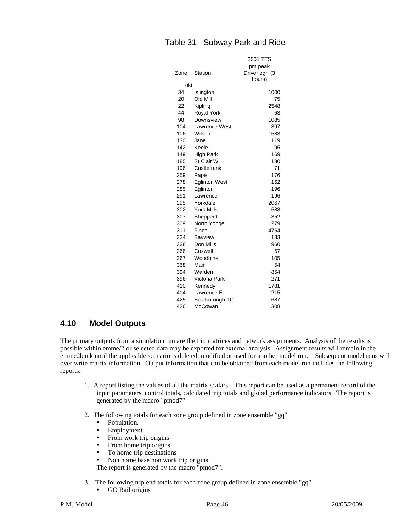### Table 31 - Subway Park and Ride

|      |                      | 2001 TTS       |
|------|----------------------|----------------|
|      |                      | pm peak        |
| Zone | Station              | Driver egr. (3 |
|      |                      | hours)         |
| oki  |                      |                |
| 34   | Islington            | 1000           |
| 20   | Old Mill             | 75             |
| 22   | Kipling              | 2548           |
| 44   | <b>Royal York</b>    | 63             |
| 98   | Downsview            | 1085           |
| 104  | <b>Lawrence West</b> | 397            |
| 106  | Wilson               | 1583           |
| 130  | Jane                 | 119            |
| 142  | Keele                | 95             |
| 149  | High Park            | 169            |
| 185  | St Clair W           | 130            |
| 196  | Castlefrank          | 71             |
| 259  | Pape                 | 176            |
| 278  | <b>Eglinton West</b> | 162            |
| 285  | Eglinton             | 196            |
| 291  | Lawrence             | 196            |
| 295  | Yorkdale             | 2067           |
| 302  | <b>York Mills</b>    | 588            |
| 307  | Shepperd             | 352            |
| 309  | North Yonge          | 279            |
| 311  | Finch                | 4764           |
| 324  | <b>Bayview</b>       | 133            |
| 338  | Don Mills            | 960            |
| 366  | Coxwell              | 57             |
| 367  | Woodbine             | 105            |
| 368  | Main                 | 54             |
| 394  | Warden               | 854            |
| 396  | Victoria Park        | 271            |
| 410  | Kennedy              | 1781           |
| 414  | Lawrence E.          | 215            |
| 425  | Scarborough TC       | 687            |
| 426  | McCowan              | 308            |

#### **4.10 Model Outputs**

The primary outputs from a simulation run are the trip matrices and network assignments. Analysis of the results is possible within emme/2 or selected data may be exported for external analysis. Assignment results will remain in the emme2bank until the applicable scenario is deleted, modified or used for another model run. Subsequent model runs will over write matrix information. Output information that can be obtained from each model run includes the following reports:

- 1. A report listing the values of all the matrix scalars. This report can be used as a permanent record of the input parameters, control totals, calculated trip totals and global performance indicators. The report is generated by the macro "pmod7"
- 2. The following totals for each zone group defined in zone ensemble "gq"
	- Population.
	- Employment
	- From work trip origins
	- From home trip origins
	- To home trip destinations
	- Non home base non work trip origins

The report is generated by the macro "pmod7".

- 3. The following trip end totals for each zone group defined in zone ensemble "gq"
	- GO Rail origins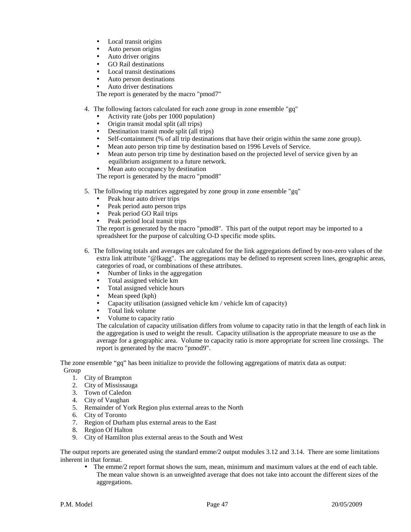- Local transit origins
- Auto person origins
- Auto driver origins
- GO Rail destinations
- Local transit destinations
- Auto person destinations
- Auto driver destinations

The report is generated by the macro "pmod7"

- 4. The following factors calculated for each zone group in zone ensemble "gq"
	- Activity rate (jobs per 1000 population)
	- Origin transit modal split (all trips)
	- Destination transit mode split (all trips)
	- Self-containment (% of all trip destinations that have their origin within the same zone group).
	- Mean auto person trip time by destination based on 1996 Levels of Service.<br>Mean auto person trip time by destination based on the projected level of service.
	- Mean auto person trip time by destination based on the projected level of service given by an equilibrium assignment to a future network.
	- Mean auto occupancy by destination

The report is generated by the macro "pmod8"

- 5. The following trip matrices aggregated by zone group in zone ensemble "gq"
	-
	- Peak hour auto driver trips<br>• Peak period auto person trip Peak period auto person trips
	- Peak period GO Rail trips
	- Peak period local transit trips

The report is generated by the macro "pmod8". This part of the output report may be imported to a spreadsheet for the purpose of calculting O-D specific mode splits.

- 6. The following totals and averages are calculated for the link aggregations defined by non-zero values of the extra link attribute "@lkagg". The aggregations may be defined to represent screen lines, geographic areas, categories of road, or combinations of these attributes.
	- Number of links in the aggregation
	- Total assigned vehicle km
	- Total assigned vehicle hours
	- Mean speed (kph)
	- Capacity utilisation (assigned vehicle km / vehicle km of capacity)
	- Total link volume
	- Volume to capacity ratio

The calculation of capacity utilisation differs from volume to capacity ratio in that the length of each link in the aggregation is used to weight the result. Capacity utilisation is the appropriate measure to use as the average for a geographic area. Volume to capacity ratio is more appropriate for screen line crossings. The report is generated by the macro "pmod9".

The zone ensemble "gq" has been initialize to provide the following aggregations of matrix data as output: Group

- 1. City of Brampton
- 2. City of Mississauga
- 3. Town of Caledon
- 4. City of Vaughan
- 5. Remainder of York Region plus external areas to the North
- 6. City of Toronto
- 7. Region of Durham plus external areas to the East
- 8. Region Of Halton
- 9. City of Hamilton plus external areas to the South and West

The output reports are generated using the standard emme/2 output modules 3.12 and 3.14. There are some limitations inherent in that format.

 The emme/2 report format shows the sum, mean, minimum and maximum values at the end of each table. The mean value shown is an unweighted average that does not take into account the different sizes of the aggregations.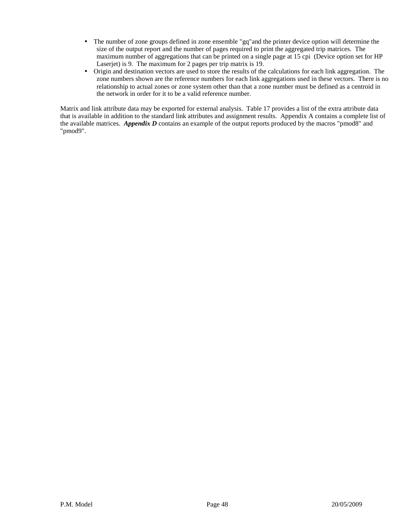- The number of zone groups defined in zone ensemble "gq"and the printer device option will determine the size of the output report and the number of pages required to print the aggregated trip matrices. The maximum number of aggregations that can be printed on a single page at 15 cpi (Device option set for HP Laserjet) is 9. The maximum for 2 pages per trip matrix is 19.
- Origin and destination vectors are used to store the results of the calculations for each link aggregation. The zone numbers shown are the reference numbers for each link aggregations used in these vectors. There is no relationship to actual zones or zone system other than that a zone number must be defined as a centroid in the network in order for it to be a valid reference number.

Matrix and link attribute data may be exported for external analysis. Table 17 provides a list of the extra attribute data that is available in addition to the standard link attributes and assignment results. Appendix A contains a complete list of the available matrices. *Appendix D* contains an example of the output reports produced by the macros "pmod8" and "pmod9".